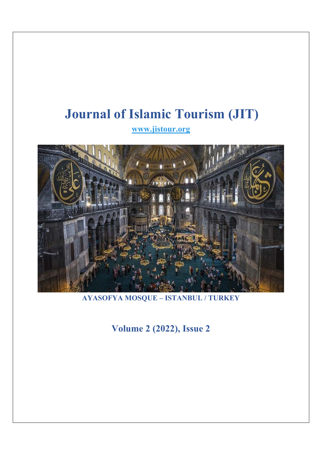# **Journal of Islamic Tourism (JIT)**

**www.jistour.org** 



**AYASOFYA MOSQUE – ISTANBUL / TURKEY** 

**Volume 2 (2022), Issue 2**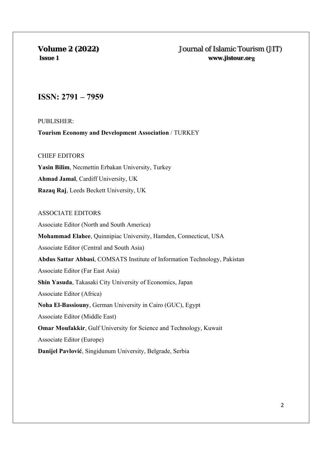## **ISSN: 2791 – 7959**

PUBLISHER:

**Tourism Economy and Development Association** / TURKEY

## CHIEF EDITORS

**Yasin Bilim**, Necmettin Erbakan University, Turkey **Ahmad Jamal**, Cardiff University, UK **Razaq Raj**, Leeds Beckett University, UK

## ASSOCIATE EDITORS

Associate Editor (North and South America) **Mohammad Elahee**, Quinnipiac University, Hamden, Connecticut, USA Associate Editor (Central and South Asia) **Abdus Sattar Abbasi**, COMSATS Institute of Information Technology, Pakistan Associate Editor (Far East Asia) **Shin Yasuda**, Takasaki City University of Economics, Japan Associate Editor (Africa) **Noha El-Bassiouny**, German University in Cairo (GUC), Egypt Associate Editor (Middle East) **Omar Moufakkir**, Gulf University for Science and Technology, Kuwait Associate Editor (Europe) **Danijel Pavlović**, Singidunum University, Belgrade, Serbia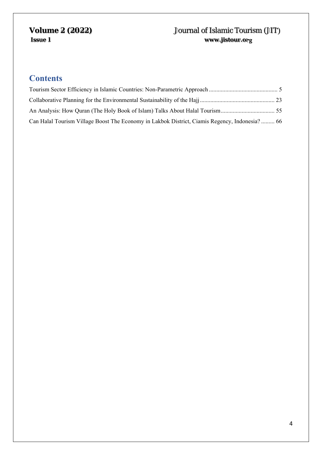# **Contents**

| Can Halal Tourism Village Boost The Economy in Lakbok District, Ciamis Regency, Indonesia? 66 |  |
|-----------------------------------------------------------------------------------------------|--|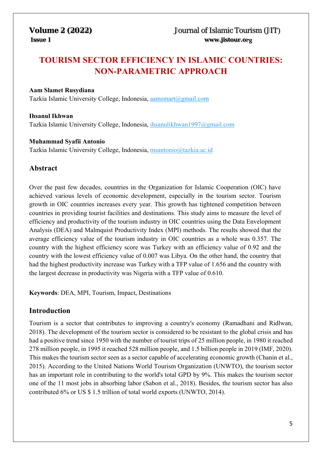# **TOURISM SECTOR EFFICIENCY IN ISLAMIC COUNTRIES: NON-PARAMETRIC APPROACH**

## **Aam Slamet Rusydiana**

Tazkia Islamic University College, Indonesia, aamsmart@gmail.com

## **Ihsanul Ikhwan**

Tazkia Islamic University College, Indonesia, ihsanulikhwan1997@gmail.com

## **Muhammad Syafii Antonio**

Tazkia Islamic University College, Indonesia, msantonio@tazkia.ac.id

## **Abstract**

Over the past few decades, countries in the Organization for Islamic Cooperation (OIC) have achieved various levels of economic development, especially in the tourism sector. Tourism growth in OIC countries increases every year. This growth has tightened competition between countries in providing tourist facilities and destinations. This study aims to measure the level of efficiency and productivity of the tourism industry in OIC countries using the Data Envelopment Analysis (DEA) and Malmquist Productivity Index (MPI) methods. The results showed that the average efficiency value of the tourism industry in OIC countries as a whole was 0.357. The country with the highest efficiency score was Turkey with an efficiency value of 0.92 and the country with the lowest efficiency value of 0.007 was Libya. On the other hand, the country that had the highest productivity increase was Turkey with a TFP value of 1.656 and the country with the largest decrease in productivity was Nigeria with a TFP value of 0.610.

**Keywords**: DEA, MPI, Tourism, Impact, Destinations

## **Introduction**

Tourism is a sector that contributes to improving a country's economy (Ramadhani and Ridlwan, 2018). The development of the tourism sector is considered to be resistant to the global crisis and has had a positive trend since 1950 with the number of tourist trips of 25 million people, in 1980 it reached 278 million people, in 1995 it reached 528 million people, and 1.5 billion people in 2019 (IMF, 2020). This makes the tourism sector seen as a sector capable of accelerating economic growth (Chanin et al., 2015). According to the United Nations World Tourism Organization (UNWTO), the tourism sector has an important role in contributing to the world's total GPD by 9%. This makes the tourism sector one of the 11 most jobs in absorbing labor (Sabon et al., 2018). Besides, the tourism sector has also contributed 6% or US \$ 1.5 trillion of total world exports (UNWTO, 2014).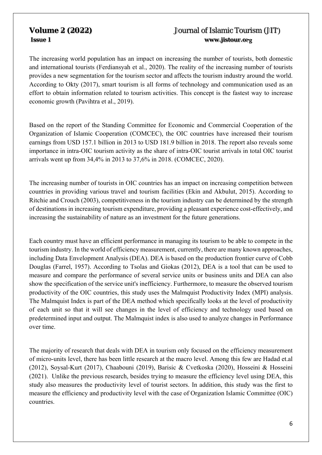The increasing world population has an impact on increasing the number of tourists, both domestic and international tourists (Ferdiansyah et al., 2020). The reality of the increasing number of tourists provides a new segmentation for the tourism sector and affects the tourism industry around the world. According to Okty (2017), smart tourism is all forms of technology and communication used as an effort to obtain information related to tourism activities. This concept is the fastest way to increase economic growth (Pavihtra et al., 2019).

Based on the report of the Standing Committee for Economic and Commercial Cooperation of the Organization of Islamic Cooperation (COMCEC), the OIC countries have increased their tourism earnings from USD 157.1 billion in 2013 to USD 181.9 billion in 2018. The report also reveals some importance in intra-OIC tourism activity as the share of intra-OIC tourist arrivals in total OIC tourist arrivals went up from 34,4% in 2013 to 37,6% in 2018. (COMCEC, 2020).

The increasing number of tourists in OIC countries has an impact on increasing competition between countries in providing various travel and tourism facilities (Ekin and Akbulut, 2015). According to Ritchie and Crouch (2003), competitiveness in the tourism industry can be determined by the strength of destinations in increasing tourism expenditure, providing a pleasant experience cost-effectively, and increasing the sustainability of nature as an investment for the future generations.

Each country must have an efficient performance in managing its tourism to be able to compete in the tourism industry. In the world of efficiency measurement, currently, there are many known approaches, including Data Envelopment Analysis (DEA). DEA is based on the production frontier curve of Cobb Douglas (Farrel, 1957). According to Tsolas and Giokas (2012), DEA is a tool that can be used to measure and compare the performance of several service units or business units and DEA can also show the specification of the service unit's inefficiency. Furthermore, to measure the observed tourism productivity of the OIC countries, this study uses the Malmquist Productivity Index (MPI) analysis. The Malmquist Index is part of the DEA method which specifically looks at the level of productivity of each unit so that it will see changes in the level of efficiency and technology used based on predetermined input and output. The Malmquist index is also used to analyze changes in Performance over time.

The majority of research that deals with DEA in tourism only focused on the efficiency measurement of micro-units level, there has been little research at the macro level. Among this few are Hadad et.al (2012), Soysal-Kurt (2017), Chaabouni (2019), Barisic & Cvetkoska (2020), Hosseini & Hosseini (2021). Unlike the previous research, besides trying to measure the efficiency level using DEA, this study also measures the productivity level of tourist sectors. In addition, this study was the first to measure the efficiency and productivity level with the case of Organization Islamic Committee (OIC) countries.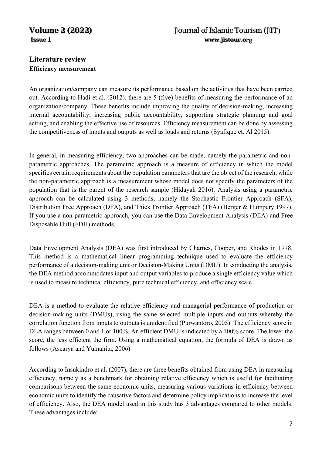# **Literature review Efficiency measurement**

An organization/company can measure its performance based on the activities that have been carried out. According to Hadi et al. (2012), there are 5 (five) benefits of measuring the performance of an organization/company. These benefits include improving the quality of decision-making, increasing internal accountability, increasing public accountability, supporting strategic planning and goal setting, and enabling the effective use of resources. Efficiency measurement can be done by assessing the competitiveness of inputs and outputs as well as loads and returns (Syafique et. Al 2015).

In general, in measuring efficiency, two approaches can be made, namely the parametric and nonparametric approaches. The parametric approach is a measure of efficiency in which the model specifies certain requirements about the population parameters that are the object of the research, while the non-parametric approach is a measurement whose model does not specify the parameters of the population that is the parent of the research sample (Hidayah 2016). Analysis using a parametric approach can be calculated using 3 methods, namely the Stochastic Frontier Approach (SFA), Distribution Free Approach (DFA), and Thick Frontier Approach (TFA) (Berger & Humpery 1997). If you use a non-parametric approach, you can use the Data Envelopment Analysis (DEA) and Free Disposable Hull (FDH) methods.

Data Envelopment Analysis (DEA) was first introduced by Charnes, Cooper, and Rhodes in 1978. This method is a mathematical linear programming technique used to evaluate the efficiency performance of a decision-making unit or Decision-Making Units (DMU). In conducting the analysis, the DEA method accommodates input and output variables to produce a single efficiency value which is used to measure technical efficiency, pure technical efficiency, and efficiency scale.

DEA is a method to evaluate the relative efficiency and managerial performance of production or decision-making units (DMUs), using the same selected multiple inputs and outputs whereby the correlation function from inputs to outputs is unidentified (Purwantoro, 2005). The efficiency score in DEA ranges between 0 and 1 or 100%. An efficient DMU is indicated by a 100% score. The lower the score, the less efficient the firm. Using a mathematical equation, the formula of DEA is drawn as follows (Ascarya and Yumanita, 2006)

According to Insukindro et al. (2007), there are three benefits obtained from using DEA in measuring efficiency, namely as a benchmark for obtaining relative efficiency which is useful for facilitating comparisons between the same economic units, measuring various variations in efficiency between economic units to identify the causative factors and determine policy implications to increase the level of efficiency. Also, the DEA model used in this study has 3 advantages compared to other models. These advantages include: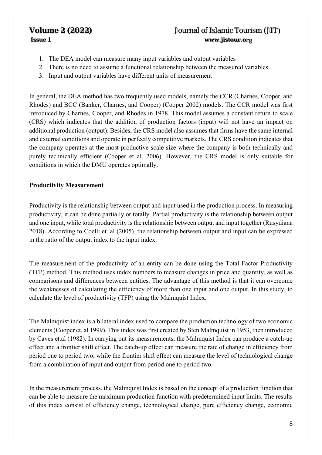- 1. The DEA model can measure many input variables and output variables
- 2. There is no need to assume a functional relationship between the measured variables
- 3. Input and output variables have different units of measurement

In general, the DEA method has two frequently used models, namely the CCR (Charnes, Cooper, and Rhodes) and BCC (Banker, Charnes, and Cooper) (Cooper 2002) models. The CCR model was first introduced by Charnes, Cooper, and Rhodes in 1978. This model assumes a constant return to scale (CRS) which indicates that the addition of production factors (input) will not have an impact on additional production (output). Besides, the CRS model also assumes that firms have the same internal and external conditions and operate in perfectly competitive markets. The CRS condition indicates that the company operates at the most productive scale size where the company is both technically and purely technically efficient (Cooper et al. 2006). However, the CRS model is only suitable for conditions in which the DMU operates optimally.

## **Productivity Measurement**

Productivity is the relationship between output and input used in the production process. In measuring productivity, it can be done partially or totally. Partial productivity is the relationship between output and one input, while total productivity is the relationship between output and input together (Rusydiana 2018). According to Coelli et. al (2005), the relationship between output and input can be expressed in the ratio of the output index to the input index.

The measurement of the productivity of an entity can be done using the Total Factor Productivity (TFP) method. This method uses index numbers to measure changes in price and quantity, as well as comparisons and differences between entities. The advantage of this method is that it can overcome the weaknesses of calculating the efficiency of more than one input and one output. In this study, to calculate the level of productivity (TFP) using the Malmquist Index.

The Malmquist index is a bilateral index used to compare the production technology of two economic elements (Cooper et. al 1999). This index was first created by Sten Malmquist in 1953, then introduced by Caves et.al (1982). In carrying out its measurements, the Malmquist Index can produce a catch-up effect and a frontier shift effect. The catch-up effect can measure the rate of change in efficiency from period one to period two, while the frontier shift effect can measure the level of technological change from a combination of input and output from period one to period two.

In the measurement process, the Malmquist Index is based on the concept of a production function that can be able to measure the maximum production function with predetermined input limits. The results of this index consist of efficiency change, technological change, pure efficiency change, economic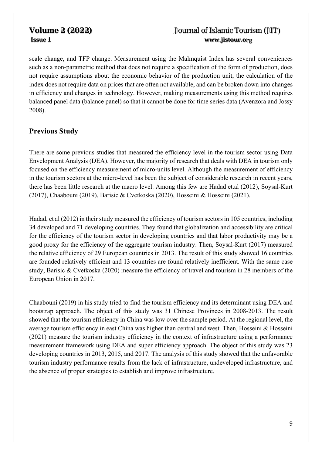scale change, and TFP change. Measurement using the Malmquist Index has several conveniences such as a non-parametric method that does not require a specification of the form of production, does not require assumptions about the economic behavior of the production unit, the calculation of the index does not require data on prices that are often not available, and can be broken down into changes in efficiency and changes in technology. However, making measurements using this method requires balanced panel data (balance panel) so that it cannot be done for time series data (Avenzora and Jossy 2008).

# **Previous Study**

There are some previous studies that measured the efficiency level in the tourism sector using Data Envelopment Analysis (DEA). However, the majority of research that deals with DEA in tourism only focused on the efficiency measurement of micro-units level. Although the measurement of efficiency in the tourism sectors at the micro-level has been the subject of considerable research in recent years, there has been little research at the macro level. Among this few are Hadad et.al (2012), Soysal-Kurt (2017), Chaabouni (2019), Barisic & Cvetkoska (2020), Hosseini & Hosseini (2021).

Hadad, et al (2012) in their study measured the efficiency of tourism sectors in 105 countries, including 34 developed and 71 developing countries. They found that globalization and accessibility are critical for the efficiency of the tourism sector in developing countries and that labor productivity may be a good proxy for the efficiency of the aggregate tourism industry. Then, Soysal-Kurt (2017) measured the relative efficiency of 29 European countries in 2013. The result of this study showed 16 countries are founded relatively efficient and 13 countries are found relatively inefficient. With the same case study, Barisic & Cvetkoska (2020) measure the efficiency of travel and tourism in 28 members of the European Union in 2017.

Chaabouni (2019) in his study tried to find the tourism efficiency and its determinant using DEA and bootstrap approach. The object of this study was 31 Chinese Provinces in 2008-2013. The result showed that the tourism efficiency in China was low over the sample period. At the regional level, the average tourism efficiency in east China was higher than central and west. Then, Hosseini & Hosseini (2021) measure the tourism industry efficiency in the context of infrastructure using a performance measurement framework using DEA and super efficiency approach. The object of this study was 23 developing countries in 2013, 2015, and 2017. The analysis of this study showed that the unfavorable tourism industry performance results from the lack of infrastructure, undeveloped infrastructure, and the absence of proper strategies to establish and improve infrastructure.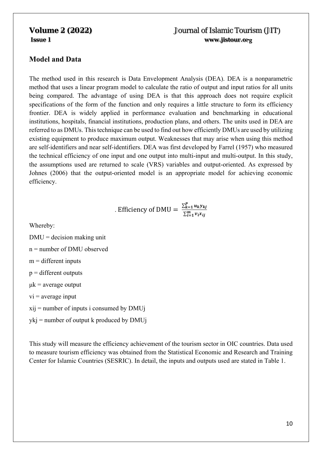## **Model and Data**

The method used in this research is Data Envelopment Analysis (DEA). DEA is a nonparametric method that uses a linear program model to calculate the ratio of output and input ratios for all units being compared. The advantage of using DEA is that this approach does not require explicit specifications of the form of the function and only requires a little structure to form its efficiency frontier. DEA is widely applied in performance evaluation and benchmarking in educational institutions, hospitals, financial institutions, production plans, and others. The units used in DEA are referred to as DMUs. This technique can be used to find out how efficiently DMUs are used by utilizing existing equipment to produce maximum output. Weaknesses that may arise when using this method are self-identifiers and near self-identifiers. DEA was first developed by Farrel (1957) who measured the technical efficiency of one input and one output into multi-input and multi-output. In this study, the assumptions used are returned to scale (VRS) variables and output-oriented. As expressed by Johnes (2006) that the output-oriented model is an appropriate model for achieving economic efficiency.

. Efficiency of DMU = 
$$
\frac{\sum_{k=1}^{P} u_k y_{kj}}{\sum_{i=1}^{m} v_i x_{ij}}
$$

Whereby:

 $DMU = decision making unit$ n = number of DMU observed  $m =$  different inputs  $p =$  different outputs  $\mu$ k = average output  $vi = average input$  $xii$  = number of inputs i consumed by DMU<sub>j</sub>  $vki = number of output k produced by DMUi$ 

This study will measure the efficiency achievement of the tourism sector in OIC countries. Data used to measure tourism efficiency was obtained from the Statistical Economic and Research and Training Center for Islamic Countries (SESRIC). In detail, the inputs and outputs used are stated in Table 1.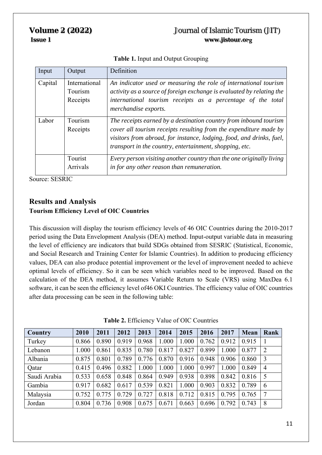| Input   | Output                               | Definition                                                                                                                                                                                                                                                                |
|---------|--------------------------------------|---------------------------------------------------------------------------------------------------------------------------------------------------------------------------------------------------------------------------------------------------------------------------|
| Capital | International<br>Tourism<br>Receipts | An indicator used or measuring the role of international tourism<br>activity as a source of foreign exchange is evaluated by relating the<br>international tourism receipts as a percentage of the total<br>merchandise exports.                                          |
| Labor   | Tourism<br>Receipts                  | The receipts earned by a destination country from inbound tourism<br>cover all tourism receipts resulting from the expenditure made by<br>visitors from abroad, for instance, lodging, food, and drinks, fuel,<br>transport in the country, entertainment, shopping, etc. |
|         | Tourist<br>Arrivals                  | Every person visiting another country than the one originally living<br>in for any other reason than remuneration.                                                                                                                                                        |

**Table 1.** Input and Output Grouping

Source: SESRIC

## **Results and Analysis Tourism Efficiency Level of OIC Countries**

This discussion will display the tourism efficiency levels of 46 OIC Countries during the 2010-2017 period using the Data Envelopment Analysis (DEA) method. Input-output variable data in measuring the level of efficiency are indicators that build SDGs obtained from SESRIC (Statistical, Economic, and Social Research and Training Center for Islamic Countries). In addition to producing efficiency values, DEA can also produce potential improvement or the level of improvement needed to achieve optimal levels of efficiency. So it can be seen which variables need to be improved. Based on the calculation of the DEA method, it assumes Variable Return to Scale (VRS) using MaxDea 6.1 software, it can be seen the efficiency level of46 OKI Countries. The efficiency value of OIC countries after data processing can be seen in the following table:

| <b>Country</b> | 2010  | 2011  | 2012  | 2013  | 2014  | 2015  | 2016  | 2017  | <b>Mean</b> | Rank           |
|----------------|-------|-------|-------|-------|-------|-------|-------|-------|-------------|----------------|
| Turkey         | 0.866 | 0.890 | 0.919 | 0.968 | 1.000 | 1.000 | 0.762 | 0.912 | 0.915       |                |
| Lebanon        | 1.000 | 0.861 | 0.835 | 0.780 | 0.817 | 0.827 | 0.899 | 1.000 | 0.877       | 2              |
| Albania        | 0.875 | 0.801 | 0.789 | 0.776 | 0.870 | 0.916 | 0.948 | 0.906 | 0.860       | 3              |
| Qatar          | 0.415 | 0.496 | 0.882 | 1.000 | 1.000 | 1.000 | 0.997 | 1.000 | 0.849       | $\overline{4}$ |
| Saudi Arabia   | 0.533 | 0.658 | 0.848 | 0.864 | 0.949 | 0.938 | 0.898 | 0.842 | 0.816       | 5              |
| Gambia         | 0.917 | 0.682 | 0.617 | 0.539 | 0.821 | 1.000 | 0.903 | 0.832 | 0.789       | 6              |
| Malaysia       | 0.752 | 0.775 | 0.729 | 0.727 | 0.818 | 0.712 | 0.815 | 0.795 | 0.765       | 7              |
| Jordan         | 0.804 | 0.736 | 0.908 | 0.675 | 0.671 | 0.663 | 0.696 | 0.792 | 0.743       | 8              |

| Table 2. Efficiency Value of OIC Countries |  |
|--------------------------------------------|--|
|--------------------------------------------|--|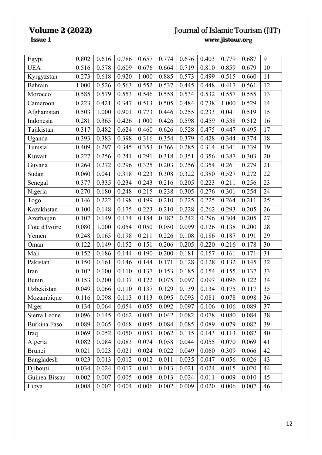| Egypt         | 0.802 | 0.616 | 0.786 | 0.657 | 0.774 | 0.676 | 0.403 | 0.779 | 0.687 | 9  |
|---------------|-------|-------|-------|-------|-------|-------|-------|-------|-------|----|
| <b>UEA</b>    | 0.516 | 0.578 | 0.609 | 0.676 | 0.664 | 0.719 | 0.810 | 0.859 | 0.679 | 10 |
| Kyrgyzstan    | 0.273 | 0.618 | 0.920 | 1.000 | 0.885 | 0.573 | 0.499 | 0.515 | 0.660 | 11 |
| Bahrain       | 1.000 | 0.526 | 0.563 | 0.552 | 0.537 | 0.445 | 0.448 | 0.417 | 0.561 | 12 |
| Morocco       | 0.585 | 0.579 | 0.553 | 0.546 | 0.558 | 0.534 | 0.532 | 0.557 | 0.555 | 13 |
| Cameroon      | 0.223 | 0.421 | 0.347 | 0.513 | 0.505 | 0.484 | 0.738 | 1.000 | 0.529 | 14 |
| Afghanistan   | 0.503 | 1.000 | 0.901 | 0.773 | 0.446 | 0.255 | 0.233 | 0.041 | 0.519 | 15 |
| Indonesia     | 0.281 | 0.365 | 0.426 | 1.000 | 0.426 | 0.598 | 0.459 | 0.538 | 0.512 | 16 |
| Tajikistan    | 0.317 | 0.482 | 0.624 | 0.460 | 0.626 | 0.528 | 0.475 | 0.447 | 0.495 | 17 |
| Uganda        | 0.393 | 0.383 | 0.398 | 0.316 | 0.354 | 0.379 | 0.428 | 0.344 | 0.374 | 18 |
| Tunisia       | 0.409 | 0.297 | 0.345 | 0.353 | 0.366 | 0.285 | 0.314 | 0.341 | 0.339 | 19 |
| Kuwait        | 0.227 | 0.256 | 0.241 | 0.291 | 0.318 | 0.351 | 0.356 | 0.387 | 0.303 | 20 |
| Guyana        | 0.264 | 0.272 | 0.296 | 0.325 | 0.203 | 0.256 | 0.354 | 0.261 | 0.279 | 21 |
| Sudan         | 0.060 | 0.041 | 0.318 | 0.223 | 0.308 | 0.322 | 0.380 | 0.527 | 0.272 | 22 |
| Senegal       | 0.377 | 0.335 | 0.234 | 0.243 | 0.216 | 0.205 | 0.223 | 0.211 | 0.256 | 23 |
| Nigeria       | 0.270 | 0.180 | 0.248 | 0.215 | 0.238 | 0.305 | 0.276 | 0.301 | 0.254 | 24 |
| Togo          | 0.146 | 0.222 | 0.198 | 0.199 | 0.210 | 0.225 | 0.225 | 0.264 | 0.211 | 25 |
| Kazakhstan    | 0.100 | 0.148 | 0.175 | 0.223 | 0.210 | 0.228 | 0.262 | 0.293 | 0.205 | 26 |
| Azerbaijan    | 0.107 | 0.149 | 0.174 | 0.184 | 0.182 | 0.242 | 0.296 | 0.304 | 0.205 | 27 |
| Cote d'Ivoire | 0.080 | 1.000 | 0.054 | 0.050 | 0.050 | 0.099 | 0.126 | 0.138 | 0.200 | 28 |
| Yemen         | 0.248 | 0.165 | 0.198 | 0.211 | 0.226 | 0.108 | 0.186 | 0.187 | 0.191 | 29 |
| Oman          | 0.122 | 0.149 | 0.152 | 0.151 | 0.206 | 0.205 | 0.220 | 0.216 | 0.178 | 30 |
| Mali          | 0.152 | 0.186 | 0.144 | 0.190 | 0.200 | 0.181 | 0.157 | 0.161 | 0.171 | 31 |
| Pakistan      | 0.150 | 0.161 | 0.146 | 0.144 | 0.171 | 0.128 | 0.128 | 0.132 | 0.145 | 32 |
| Iran          | 0.102 | 0.100 | 0.110 | 0.137 | 0.153 | 0.185 | 0.154 | 0.155 | 0.137 | 33 |
| Benin         | 0.153 | 0.200 | 0.137 | 0.122 | 0.075 | 0.097 | 0.097 | 0.096 | 0.122 | 34 |
| Uzbekistan    | 0.049 | 0.066 | 0.110 | 0.137 | 0.129 | 0.139 | 0.134 | 0.175 | 0.117 | 35 |
| Mozambique    | 0.116 | 0.098 | 0.113 | 0.113 | 0.095 | 0.093 | 0.081 | 0.078 | 0.098 | 36 |
| Niger         | 0.134 | 0.064 | 0.054 | 0.055 | 0.092 | 0.097 | 0.106 | 0.106 | 0.089 | 37 |
| Sierra Leone  | 0.096 | 0.145 | 0.062 | 0.087 | 0.042 | 0.082 | 0.078 | 0.080 | 0.084 | 38 |
| Burkina Faso  | 0.089 | 0.065 | 0.068 | 0.095 | 0.084 | 0.085 | 0.089 | 0.079 | 0.082 | 39 |
| Iraq          | 0.069 | 0.052 | 0.050 | 0.053 | 0.062 | 0.115 | 0.143 | 0.113 | 0.082 | 40 |
| Algeria       | 0.082 | 0.084 | 0.083 | 0.074 | 0.058 | 0.044 | 0.055 | 0.070 | 0.069 | 41 |
| <b>Brunei</b> | 0.021 | 0.023 | 0.021 | 0.024 | 0.022 | 0.049 | 0.060 | 0.309 | 0.066 | 42 |
| Bangladesh    | 0.023 | 0.013 | 0.012 | 0.012 | 0.011 | 0.035 | 0.047 | 0.056 | 0.026 | 43 |
| Djibouti      | 0.034 | 0.024 | 0.017 | 0.011 | 0.013 | 0.021 | 0.024 | 0.015 | 0.020 | 44 |
| Guinea-Bissau | 0.002 | 0.007 | 0.005 | 0.008 | 0.013 | 0.024 | 0.011 | 0.009 | 0.010 | 45 |
| Libya         | 0.008 | 0.002 | 0.004 | 0.006 | 0.002 | 0.009 | 0.020 | 0.006 | 0.007 | 46 |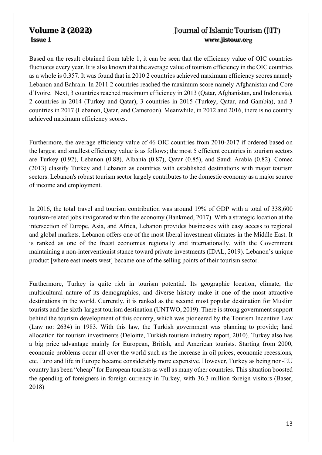Based on the result obtained from table 1, it can be seen that the efficiency value of OIC countries fluctuates every year. It is also known that the average value of tourism efficiency in the OIC countries as a whole is 0.357. It was found that in 2010 2 countries achieved maximum efficiency scores namely Lebanon and Bahrain. In 2011 2 countries reached the maximum score namely Afghanistan and Core d'Ivoire. Next, 3 countries reached maximum efficiency in 2013 (Qatar, Afghanistan, and Indonesia), 2 countries in 2014 (Turkey and Qatar), 3 countries in 2015 (Turkey, Qatar, and Gambia), and 3 countries in 2017 (Lebanon, Qatar, and Cameroon). Meanwhile, in 2012 and 2016, there is no country achieved maximum efficiency scores.

Furthermore, the average efficiency value of 46 OIC countries from 2010-2017 if ordered based on the largest and smallest efficiency value is as follows; the most 5 efficient countries in tourism sectors are Turkey (0.92), Lebanon (0.88), Albania (0.87), Qatar (0.85), and Saudi Arabia (0.82). Comec (2013) classify Turkey and Lebanon as countries with established destinations with major tourism sectors. Lebanon's robust tourism sector largely contributes to the domestic economy as a major source of income and employment.

In 2016, the total travel and tourism contribution was around 19% of GDP with a total of 338,600 tourism-related jobs invigorated within the economy (Bankmed, 2017). With a strategic location at the intersection of Europe, Asia, and Africa, Lebanon provides businesses with easy access to regional and global markets. Lebanon offers one of the most liberal investment climates in the Middle East. It is ranked as one of the freest economies regionally and internationally, with the Government maintaining a non‐interventionist stance toward private investments (IDAL, 2019). Lebanon's unique product [where east meets west] became one of the selling points of their tourism sector.

Furthermore, Turkey is quite rich in tourism potential. Its geographic location, climate, the multicultural nature of its demographics, and diverse history make it one of the most attractive destinations in the world. Currently, it is ranked as the second most popular destination for Muslim tourists and the sixth-largest tourism destination (UNTWO, 2019). There is strong government support behind the tourism development of this country, which was pioneered by the Tourism Incentive Law (Law no: 2634) in 1983. With this law, the Turkish government was planning to provide; land allocation for tourism investments (Deloitte, Turkish tourism industry report, 2010). Turkey also has a big price advantage mainly for European, British, and American tourists. Starting from 2000, economic problems occur all over the world such as the increase in oil prices, economic recessions, etc. Euro and life in Europe became considerably more expensive. However, Turkey as being non-EU country has been "cheap" for European tourists as well as many other countries. This situation boosted the spending of foreigners in foreign currency in Turkey, with 36.3 million foreign visitors (Baser, 2018)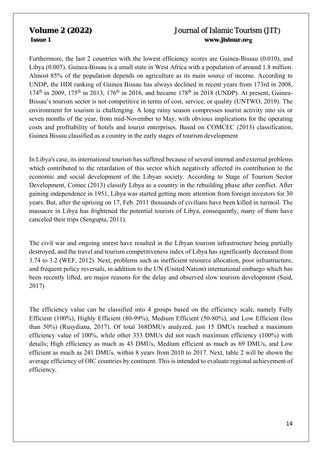Furthermore, the last 2 countries with the lowest efficiency scores are Guinea-Bissau (0.010), and Libya (0.007). Guinea-Bissau is a small state in West Africa with a population of around 1.8 million. Almost 85% of the population depends on agriculture as its main source of income. According to UNDP, the HDI ranking of Guinea Bissau has always declined in recent years from 173rd in 2008,  $174<sup>th</sup>$  in 2009,  $175<sup>th</sup>$  in 2013,  $176<sup>th</sup>$  in 2016, and became  $178<sup>th</sup>$  in 2018 (UNDP). At present, Guinea-Bissau's tourism sector is not competitive in terms of cost, service, or quality (UNTWO, 2019). The environment for tourism is challenging. A long rainy season compresses tourist activity into six or seven months of the year, from mid-November to May, with obvious implications for the operating costs and profitability of hotels and tourist enterprises. Based on COMCEC (2013) classification, Guinea Bissau classified as a country in the early stages of tourism development

In Libya's case, its international tourism has suffered because of several internal and external problems which contributed to the retardation of this sector which negatively affected its contribution to the economic and social development of the Libyan society. According to Stage of Tourism Sector Development, Comec (2013) classify Libya as a country in the rebuilding phase after conflict. After gaining independence in 1951, Libya was started getting more attention from foreign investors for 30 years. But, after the uprising on 17, Feb. 2011 thousands of civilians have been killed in turmoil. The massacre in Libya has frightened the potential tourists of Libya, consequently, many of them have canceled their trips (Sengupta, 2011).

The civil war and ongoing unrest have resulted in the Libyan tourism infrastructure being partially destroyed, and the travel and tourism competitiveness index of Libya has significantly decreased from 3.74 to 3.2 (WEF, 2012). Next, problems such as inefficient resource allocation, poor infrastructure, and frequent policy reversals, in addition to the UN (United Nation) international embargo which has been recently lifted, are major reasons for the delay and observed slow tourism development (Said, 2017)

The efficiency value can be classified into 4 groups based on the efficiency scale, namely Fully Efficient (100%), Highly Efficient (80-99%), Medium Efficient (50-80%), and Low Efficient (less than 50%) (Rusydiana, 2017). Of total 368DMUs analyzed, just 15 DMUs reached a maximum efficiency value of 100%, while other 353 DMUs did not reach maximum efficiency (100%) with details; High efficiency as much as 43 DMUs, Medium efficient as much as 69 DMUs, and Low efficient as much as 241 DMUs, within 8 years from 2010 to 2017. Next, table 2 will be shown the average efficiency of OIC countries by continent. This is intended to evaluate regional achievement of efficiency.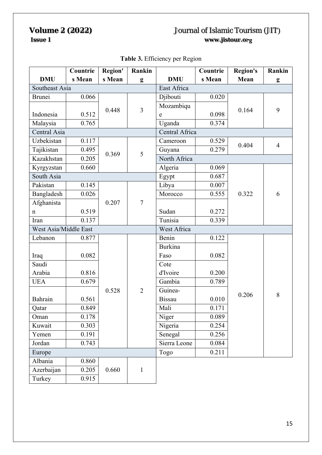## **DMU Countrie s Mean Region' s Mean Rankin g DMU Countrie s Mean Region's Mean Rankin g**  Southeast Asia East Africa Brunei 0.066  $0.448$  3 Djibouti | 0.020 Indonesia 0.512 0.448  $\frac{3}{e}$   $\frac{10.2 \text{ mJg}}{2}$  0.098 0.164 9 Mozambiqu e 0.098 Malaysia 0.765 Uganda 0.374 Central Asia Central Africa Uzbekistan 0.117  $0.369$  5 Uzbekistan 0.117<br>Tajikistan 0.495 0.260 Guyana 0.279 0.404 4 Kazakhstan  $\begin{array}{|c|c|c|c|c|c|c|c|} \hline 0.205 & 0.309 & \text{North Africa} \ \hline \end{array}$ Kyrgyzstan 0.660 Algeria 0.069  $0.322 \quad 6$ South Asia Egypt 0.687 Pakistan 0.145  $0.207$  7 Libya  $0.007$ Bangladesh 0.026 Morocco 0.555 Afghanista n 10.519 | Sudan | 0.272 Iran | 0.137 | | Tunisia | 0.339 West Asia/Middle East West Africa Lebanon 0.877  $0.528$  | 2 Benin 0.122  $0.206$  8 Iraq 0.082 Burkina Faso 0.082 Saudi Arabia 0.816 Cote d'Ivoire 0.200 UEA 0.679 | Gambia | 0.789 Bahrain 0.561 Guinea-Bissau 0.010 Qatar 0.849 Mali 0.171 Oman 0.178 | Niger 1 0.089 Kuwait | 0.303 | | | | | Nigeria | 0.254 Yemen 0.191 Senegal 0.256 Jordan 0.743 Sierra Leone 0.084 Europe 7.11 and 7.211 Albania 0.860  $0.660$  1 Azerbaijan 0.205 Turkey 0.915

## **Table 3.** Efficiency per Region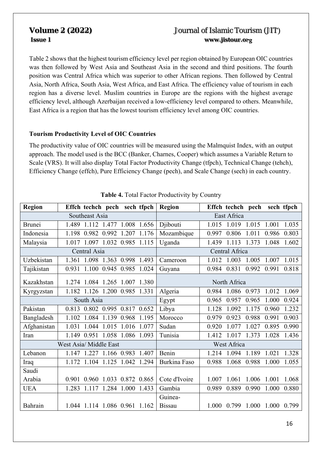Table 2 shows that the highest tourism efficiency level per region obtained by European OIC countries was then followed by West Asia and Southeast Asia in the second and third positions. The fourth position was Central Africa which was superior to other African regions. Then followed by Central Asia, North Africa, South Asia, West Africa, and East Africa. The efficiency value of tourism in each region has a diverse level. Muslim countries in Europe are the regions with the highest average efficiency level, although Azerbaijan received a low-efficiency level compared to others. Meanwhile, East Africa is a region that has the lowest tourism efficiency level among OIC countries.

## **Tourism Productivity Level of OIC Countries**

The productivity value of OIC countries will be measured using the Malmquist Index, with an output approach. The model used is the BCC (Banker, Charnes, Cooper) which assumes a Variable Return to Scale (VRS). It will also display Total Factor Productivity Change (tfpch), Technical Change (tehch), Efficiency Change (effch), Pure Efficiency Change (pech), and Scale Change (sech) in each country.

| <b>Region</b> | Effch techch pech sech tfpch              | <b>Region</b><br>Effch techch pech<br>sech tfpch           |  |  |  |
|---------------|-------------------------------------------|------------------------------------------------------------|--|--|--|
|               | Southeast Asia                            | East Africa                                                |  |  |  |
| <b>Brunei</b> | 1.112<br>1.489<br>1.477<br>1.008 1.656    | Djibouti<br>1.015<br>1.019<br>1.035<br>1.015<br>1.001      |  |  |  |
| Indonesia     | 1.198<br>0.982<br>0.992<br>1.207<br>1.176 | Mozambique<br>0.803<br>0.806<br>1.011<br>0.986<br>0.997    |  |  |  |
| Malaysia      | 1.097 1.032 0.985 1.115<br>1.017          | 1.113<br>1.602<br>Uganda<br>1.439<br>1.373<br>1.048        |  |  |  |
|               | Central Asia                              | Central Africa                                             |  |  |  |
| Uzbekistan    | 1.363 0.998 1.493<br>1.361<br>1.098       | 1.015<br>1.012<br>1.003<br>1.005<br>1.007<br>Cameroon      |  |  |  |
| Tajikistan    | 0.945<br>1.100<br>0.985<br>0.931<br>1.024 | 0.831<br>0.992<br>0.818<br>0.984<br>0.991<br>Guyana        |  |  |  |
| Kazakhstan    | 1.084 1.265<br>1.274<br>1.007 1.380       | North Africa                                               |  |  |  |
| Kyrgyzstan    | 1.200 0.985 1.331<br>1.182<br>1.126       | Algeria<br>1.086<br>0.984<br>0.973<br>1.012<br>1.069       |  |  |  |
|               | South Asia                                | 0.924<br>0.965<br>0.957<br>0.965<br>1.000<br>Egypt         |  |  |  |
| Pakistan      | 0.802 0.995 0.817 0.652<br>0.813          | Libya<br>1.232<br>1.128<br>1.092<br>1.175<br>0.960         |  |  |  |
| Bangladesh    | 1.084<br>1.139 0.968 1.195<br>1.102       | Morocco<br>0.988<br>0.903<br>0.979<br>0.923<br>0.991       |  |  |  |
| Afghanistan   | 1.031<br>1.044<br>1.015<br>1.016<br>1.077 | 0.990<br>Sudan<br>0.920<br>1.027<br>0.895<br>1.077         |  |  |  |
| Iran          | 1.058<br>1.086<br>1.149<br>0.951<br>1.093 | Tunisia<br>1.017<br>1.373<br>1.436<br>1.412<br>1.028       |  |  |  |
|               | West Asia/ Middle East                    | West Africa                                                |  |  |  |
| Lebanon       | 1.147<br>1.166 0.983 1.407<br>1.227       | Benin<br>1.328<br>1.094<br>1.189<br>1.021<br>1.214         |  |  |  |
| Iraq          | 1.042<br>1.172<br>1.104<br>1.125<br>1.294 | Burkina Faso<br>1.068<br>0.988<br>1.055<br>0.988<br>1.000  |  |  |  |
| Saudi         |                                           |                                                            |  |  |  |
| Arabia        | 0.960 1.033 0.872 0.865<br>0.901          | Cote d'Ivoire<br>1.068<br>1.006<br>1.007<br>1.061<br>1.001 |  |  |  |
| <b>UEA</b>    | 1.283<br>1.284<br>1.000 1.433<br>1.117    | Gambia<br>0.880<br>0.989<br>0.889<br>0.990<br>1.000        |  |  |  |
|               |                                           | Guinea-                                                    |  |  |  |
| Bahrain       | 1.044 1.114 1.086 0.961 1.162             | <b>Bissau</b><br>0.799<br>1.000<br>0.799<br>1.000<br>1.000 |  |  |  |

| Table 4. Total Factor Productivity by Country |  |  |  |
|-----------------------------------------------|--|--|--|
|                                               |  |  |  |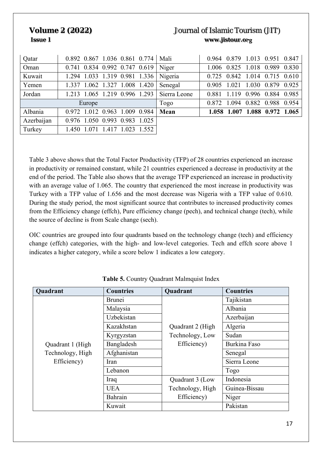| Qatar      | $0.892$ $0.867$ 1.036 0.861 0.774 Mali  |              | 0.964 0.879 1.013 0.951 0.847       |
|------------|-----------------------------------------|--------------|-------------------------------------|
| Oman       | $0.741$ $0.834$ $0.992$ $0.747$ $0.619$ | Niger        | 1.006 0.825 1.018 0.989 0.830       |
| Kuwait     | 1.294 1.033 1.319 0.981 1.336 Nigeria   |              | 0.725 0.842 1.014 0.715 0.610       |
| Yemen      | 1.337 1.062 1.327 1.008 1.420           | Senegal      | 0.905 1.021 1.030 0.879 0.925       |
| Jordan     | 1.213 1.065 1.219 0.996 1.293           | Sierra Leone | 0.996 0.884<br>0.881 1.119<br>0.985 |
|            | Europe                                  | Togo         | 0.872 1.094 0.882 0.988 0.954       |
| Albania    | $0.972$ 1.012 0.963 1.009 0.984         | Mean         | 1.058 1.007 1.088 0.972 1.065       |
| Azerbaijan | 0.976 1.050 0.993 0.983 1.025           |              |                                     |
| Turkey     | 1.023 1.552<br>1.417<br>1.071<br>1.450  |              |                                     |

Table 3 above shows that the Total Factor Productivity (TFP) of 28 countries experienced an increase in productivity or remained constant, while 21 countries experienced a decrease in productivity at the end of the period. The Table also shows that the average TFP experienced an increase in productivity with an average value of 1.065. The country that experienced the most increase in productivity was Turkey with a TFP value of 1.656 and the most decrease was Nigeria with a TFP value of 0.610. During the study period, the most significant source that contributes to increased productivity comes from the Efficiency change (effch), Pure efficiency change (pech), and technical change (tech), while the source of decline is from Scale change (sech).

OIC countries are grouped into four quadrants based on the technology change (tech) and efficiency change (effch) categories, with the high- and low-level categories. Tech and effch score above 1 indicates a higher category, while a score below 1 indicates a low category.

| Quadrant         | <b>Countries</b> | Quadrant         | <b>Countries</b>    |
|------------------|------------------|------------------|---------------------|
|                  | <b>Brunei</b>    |                  | Tajikistan          |
|                  | Malaysia         |                  | Albania             |
|                  | Uzbekistan       |                  | Azerbaijan          |
|                  | Kazakhstan       | Quadrant 2 (High | Algeria             |
|                  | Kyrgyzstan       | Technology, Low  | Sudan               |
| Quadrant 1 (High | Bangladesh       | Efficiency)      | <b>Burkina Faso</b> |
| Technology, High | Afghanistan      |                  | Senegal             |
| Efficiency)      | Iran             |                  | Sierra Leone        |
|                  | Lebanon          |                  | Togo                |
|                  | Iraq             | Quadrant 3 (Low  | Indonesia           |
|                  | <b>UEA</b>       | Technology, High | Guinea-Bissau       |
|                  | Bahrain          | Efficiency)      | Niger               |
|                  | Kuwait           |                  | Pakistan            |

**Table 5.** Country Quadrant Malmquist Index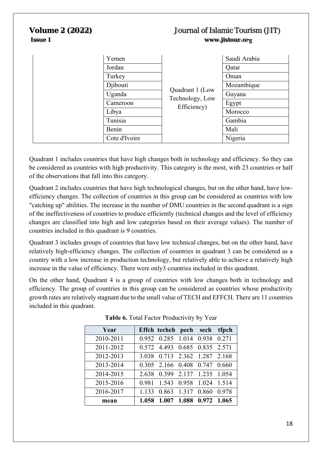| Yemen         |                                    | Saudi Arabia |
|---------------|------------------------------------|--------------|
| Jordan        |                                    | Qatar        |
| Turkey        |                                    | Oman         |
| Djibouti      |                                    | Mozambique   |
| Uganda        | Quadrant 1 (Low<br>Technology, Low | Guyana       |
| Cameroon      | Efficiency)                        | Egypt        |
| Libya         |                                    | Morocco      |
| Tunisia       |                                    | Gambia       |
| Benin         |                                    | Mali         |
| Cote d'Ivoire |                                    | Nigeria      |

Quadrant 1 includes countries that have high changes both in technology and efficiency. So they can be considered as countries with high productivity. This category is the most, with 23 countries or half of the observations that fall into this category.

Quadrant 2 includes countries that have high technological changes, but on the other hand, have lowefficiency changes. The collection of countries in this group can be considered as countries with low "catching up" abilities. The increase in the number of DMU countries in the second quadrant is a sign of the ineffectiveness of countries to produce efficiently (technical changes and the level of efficiency changes are classified into high and low categories based on their average values). The number of countries included in this quadrant is 9 countries.

Quadrant 3 includes groups of countries that have low technical changes, but on the other hand, have relatively high-efficiency changes. The collection of countries in quadrant 3 can be considered as a country with a low increase in production technology, but relatively able to achieve a relatively high increase in the value of efficiency. There were only3 countries included in this quadrant.

On the other hand, Quadrant 4 is a group of countries with low changes both in technology and efficiency. The group of countries in this group can be considered as countries whose productivity growth rates are relatively stagnant due to the small value of TECH and EFFCH. There are 11 countries included in this quadrant.

| Year      |       | Effch techch pech sech        |                   |                         | tfpch |
|-----------|-------|-------------------------------|-------------------|-------------------------|-------|
| 2010-2011 |       | 0.952 0.285 1.014 0.938 0.271 |                   |                         |       |
| 2011-2012 |       | 0.572 4.493 0.685 0.835 2.571 |                   |                         |       |
| 2012-2013 |       | 3.038 0.713 2.362 1.287 2.168 |                   |                         |       |
| 2013-2014 |       | 0.305 2.166 0.408 0.747       |                   |                         | 0.660 |
| 2014-2015 | 2.638 |                               |                   | 0.399 2.137 1.235 1.054 |       |
| 2015-2016 | 0.981 |                               |                   | 1.543 0.958 1.024 1.514 |       |
| 2016-2017 | 1.133 |                               | 0.863 1.317 0.860 |                         | 0.978 |
| mean      | 1.058 |                               |                   | 1.007 1.088 0.972 1.065 |       |

| Table 6. Total Factor Productivity by Year |  |  |  |
|--------------------------------------------|--|--|--|
|                                            |  |  |  |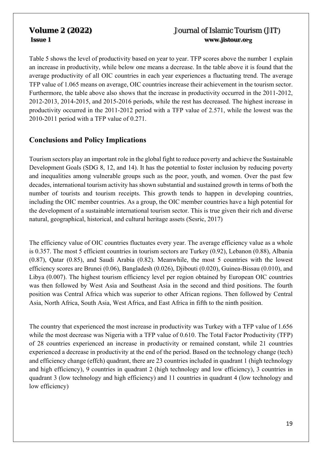Table 5 shows the level of productivity based on year to year. TFP scores above the number 1 explain an increase in productivity, while below one means a decrease. In the table above it is found that the average productivity of all OIC countries in each year experiences a fluctuating trend. The average TFP value of 1.065 means on average, OIC countries increase their achievement in the tourism sector. Furthermore, the table above also shows that the increase in productivity occurred in the 2011-2012, 2012-2013, 2014-2015, and 2015-2016 periods, while the rest has decreased. The highest increase in productivity occurred in the 2011-2012 period with a TFP value of 2.571, while the lowest was the 2010-2011 period with a TFP value of 0.271.

# **Conclusions and Policy Implications**

Tourism sectors play an important role in the global fight to reduce poverty and achieve the Sustainable Development Goals (SDG 8, 12, and 14). It has the potential to foster inclusion by reducing poverty and inequalities among vulnerable groups such as the poor, youth, and women. Over the past few decades, international tourism activity has shown substantial and sustained growth in terms of both the number of tourists and tourism receipts. This growth tends to happen in developing countries, including the OIC member countries. As a group, the OIC member countries have a high potential for the development of a sustainable international tourism sector. This is true given their rich and diverse natural, geographical, historical, and cultural heritage assets (Sesric, 2017)

The efficiency value of OIC countries fluctuates every year. The average efficiency value as a whole is 0.357. The most 5 efficient countries in tourism sectors are Turkey (0.92), Lebanon (0.88), Albania (0.87), Qatar (0.85), and Saudi Arabia (0.82). Meanwhile, the most 5 countries with the lowest efficiency scores are Brunei (0.06), Bangladesh (0.026), Djibouti (0.020), Guinea-Bissau (0.010), and Libya (0.007). The highest tourism efficiency level per region obtained by European OIC countries was then followed by West Asia and Southeast Asia in the second and third positions. The fourth position was Central Africa which was superior to other African regions. Then followed by Central Asia, North Africa, South Asia, West Africa, and East Africa in fifth to the ninth position.

The country that experienced the most increase in productivity was Turkey with a TFP value of 1.656 while the most decrease was Nigeria with a TFP value of 0.610. The Total Factor Productivity (TFP) of 28 countries experienced an increase in productivity or remained constant, while 21 countries experienced a decrease in productivity at the end of the period. Based on the technology change (tech) and efficiency change (effch) quadrant, there are 23 countries included in quadrant 1 (high technology and high efficiency), 9 countries in quadrant 2 (high technology and low efficiency), 3 countries in quadrant 3 (low technology and high efficiency) and 11 countries in quadrant 4 (low technology and low efficiency)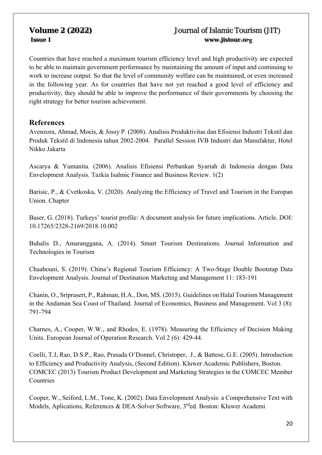Countries that have reached a maximum tourism efficiency level and high productivity are expected to be able to maintain government performance by maintaining the amount of input and continuing to work to increase output. So that the level of community welfare can be maintained, or even increased in the following year. As for countries that have not yet reached a good level of efficiency and productivity, they should be able to improve the performance of their governments by choosing the right strategy for better tourism achievement.

## **References**

Avenzora, Ahmad, Moeis, & Jossy P. (2008). Analisis Produktivitas dan Efisiensi Industri Tekstil dan Produk Tekstil di Indonesia tahun 2002-2004. Parallel Session IVB Industri dan Manufaktur, Hotel Nikko Jakarta

Ascarya & Yumanita. (2006). Analisis Efisiensi Perbankan Syariah di Indonesia dengan Data Envelopment Analysis. Tazkia Isalmic Finance and Business Review. 1(2)

Barisic, P., & Cvetkoska, V. (2020). Analyzing the Efficiency of Travel and Tourism in the Europan Union. Chapter

Baser, G. (2018). Turkeys' tourist profile: A document analysis for future implications. Article. DOI: 10.17265/2328-2169/2018.10.002

Buhalis D., Amaranggana, A. (2014). Smart Tourism Destinations. Journal Information and Technologies in Tourism

Chaabouni, S. (2019). China's Regional Tourism Efficiency: A Two-Stage Double Bootstap Data Envelopment Analysis. Journal of Destination Marketing and Management 11: 183-191

Chanin, O., Sriprasert, P., Rahman, H.A., Don, MS. (2015). Guidelines on Halal Tourism Management in the Andaman Sea Coast of Thailand. Journal of Economics, Business and Management. Vol 3 (8): 791-794

Charnes, A., Cooper, W.W., and Rhodes, E. (1978). Measuring the Efficiency of Decision Making Units. European Journal of Operation Research. Vol 2 (6): 429-44.

Coelli, T.J, Rao, D.S.P., Rao, Prasada O'Donnel, Christoper, J., & Battese, G.E. (2005). Introduction to Efficiency and Productivity Analysis, (Second Edition). Kluwer Academic Publishers, Boston. COMCEC (2013) Tourism Product Development and Marketing Strategies in the COMCEC Member Countries

Cooper, W., Seiford, L.M., Tone, K. (2002). Data Envelopment Analysis: a Comprehensive Text with Models, Aplications, References & DEA-Solver Software, 3<sup>rd</sup>ed. Boston: Kluwer Academi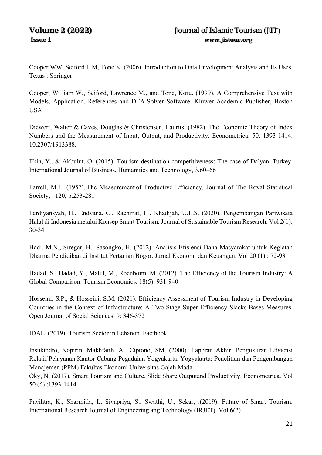Cooper WW, Seiford L.M, Tone K. (2006). Introduction to Data Envelopment Analysis and Its Uses. Texas : Springer

Cooper, William W., Seiford, Lawrence M., and Tone, Koru. (1999). A Comprehensive Text with Models, Application, References and DEA-Solver Software. Kluwer Academic Publisher, Boston USA

Diewert, Walter & Caves, Douglas & Christensen, Laurits. (1982). The Economic Theory of Index Numbers and the Measurement of Input, Output, and Productivity. Econometrica. 50. 1393-1414. 10.2307/1913388.

Ekin, Y., & Akbulut, O. (2015). Tourism destination competitiveness: The case of Dalyan–Turkey. International Journal of Business, Humanities and Technology, 3,60–66

Farrell, M.L. (1957). The Measurement of Productive Efficiency, Journal of The Royal Statistical Society, 120, p.253-281

Ferdiyansyah, H., Endyana, C., Rachmat, H., Khadijah, U.L.S. (2020). Pengembangan Pariwisata Halal di Indonesia melalui Konsep Smart Tourism. Journal of Sustainable Tourism Research. Vol 2(1): 30-34

Hadi, M.N., Siregar, H., Sasongko, H. (2012). Analisis Efisiensi Dana Masyarakat untuk Kegiatan Dharma Pendidikan di Institut Pertanian Bogor. Jurnal Ekonomi dan Keuangan. Vol 20 (1) : 72-93

Hadad, S., Hadad, Y., Malul, M., Roenboim, M. (2012). The Efficiency of the Tourism Industry: A Global Comparison. Tourism Economics. 18(5): 931-940

Hosseini, S.P., & Hosseini, S.M. (2021). Efficiency Assessment of Tourism Industry in Developing Countries in the Context of Infrastructure: A Two-Stage Super-Efficiency Slacks-Bases Measures. Open Journal of Social Sciences. 9: 346-372

IDAL. (2019). Tourism Sector in Lebanon. Factbook

Insukindro, Nopirin, Makhfatih, A., Ciptono, SM. (2000). Laporan Akhir: Pengukuran Efisiensi Relatif Pelayanan Kantor Cabang Pegadaian Yogyakarta. Yogyakarta: Penelitian dan Pengembangan Manajemen (PPM) Fakultas Ekonomi Universitas Gajah Mada

Oky, N. (2017). Smart Tourism and Culture. Slide Share Outputand Productivity. Econometrica. Vol 50 (6) :1393-1414

Pavihtra, K., Sharmilla, I., Sivapriya, S., Swathi, U., Sekar, .(2019). Future of Smart Tourism. International Research Journal of Engineering ang Technology (IRJET). Vol 6(2)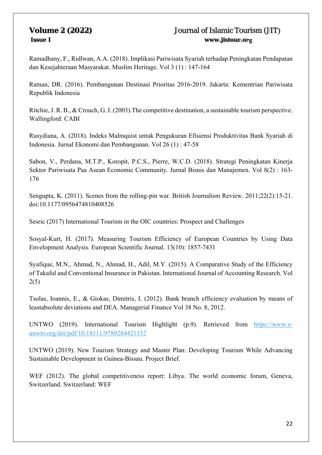Ramadhany, F., Ridlwan, A.A. (2018). Implikasi Pariwisata Syariah terhadap Peningkatan Pendapatan dan Kesejahteraan Masyarakat. Muslim Heritage. Vol 3 (1) : 147-164

Ratnan, DR. (2016). Pembangunan Destinasi Prioritas 2016-2019. Jakarta: Kementrian Pariwisata Republik Indonesia

Ritchie, J. R. B., & Crouch, G. I. (2003).The competitive destination, a sustainable tourism perspective. Wallingford: CABI

Rusydiana, A. (2018). Indeks Malmquist untuk Pengukuran Efisiensi Produktivitas Bank Syariah di Indonesia. Jurnal Ekonomi dan Pembangunan. Vol 26 (1) : 47-58

Sabon, V., Perdana, M.T.P., Koropit, P.C.S., Pierre, W.C.D. (2018). Strategi Peningkatan Kinerja Sektor Pariwisata Paa Asean Economic Community. Jurnal Bisnis dan Manajemen. Vol 8(2) : 163- 176

Sengupta, K. (2011). Scenes from the rolling-pin war. British Journalism Review. 2011;22(2):15-21. doi:10.1177/0956474810408526

Sesric (2017) International Tourism in the OIC countries: Prospect and Challenges

Sosyal-Kurt, H. (2017). Measuring Tourism Efficiency of European Countries by Using Data Envelopment Analysis. European Scientific Journal. 13(10): 1857-7431

Syafique, M.N., Ahmad, N., Ahmad, H., Adil, M.Y. (2015). A Comparative Study of the Efficiency of Takaful and Conventional Insurance in Pakistan. International Journal of Accounting Research. Vol 2(5)

Tsolas, Ioannis, E., & Giokas, Dimitris, I. (2012). Bank branch efficiency evaluation by means of leastabsolute deviations and DEA. Managerial Finance Vol 38 No. 8, 2012.

UNTWO (2019). International Tourism Highlight (p.9). Retrieved from https://www.eunwto.org/doi/pdf/10.18111/9789284421152

UNTWO (2019). New Tourism Strategy and Master Plan: Developing Tourism While Advancing Sustainable Development in Guinea-Bissau. Project Brief.

WEF (2012). The global competitiveness report: Libya. The world economic forum, Geneva, Switzerland. Switzerland: WEF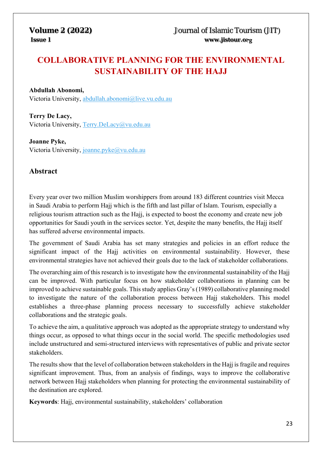# **COLLABORATIVE PLANNING FOR THE ENVIRONMENTAL SUSTAINABILITY OF THE HAJJ**

## **Abdullah Abonomi,**

Victoria University, abdullah.abonomi@live.vu.edu.au

**Terry De Lacy,**  Victoria University, Terry.DeLacy@vu.edu.au

**Joanne Pyke,**  Victoria University, joanne.pyke@vu.edu.au

# **Abstract**

Every year over two million Muslim worshippers from around 183 different countries visit Mecca in Saudi Arabia to perform Hajj which is the fifth and last pillar of Islam. Tourism, especially a religious tourism attraction such as the Hajj, is expected to boost the economy and create new job opportunities for Saudi youth in the services sector. Yet, despite the many benefits, the Hajj itself has suffered adverse environmental impacts.

The government of Saudi Arabia has set many strategies and policies in an effort reduce the significant impact of the Hajj activities on environmental sustainability. However, these environmental strategies have not achieved their goals due to the lack of stakeholder collaborations.

The overarching aim of this research is to investigate how the environmental sustainability of the Hajj can be improved. With particular focus on how stakeholder collaborations in planning can be improved to achieve sustainable goals. This study applies Gray's (1989) collaborative planning model to investigate the nature of the collaboration process between Hajj stakeholders. This model establishes a three-phase planning process necessary to successfully achieve stakeholder collaborations and the strategic goals.

To achieve the aim, a qualitative approach was adopted as the appropriate strategy to understand why things occur, as opposed to what things occur in the social world. The specific methodologies used include unstructured and semi-structured interviews with representatives of public and private sector stakeholders.

The results show that the level of collaboration between stakeholders in the Hajj is fragile and requires significant improvement. Thus, from an analysis of findings, ways to improve the collaborative network between Hajj stakeholders when planning for protecting the environmental sustainability of the destination are explored.

**Keywords**: Hajj, environmental sustainability, stakeholders' collaboration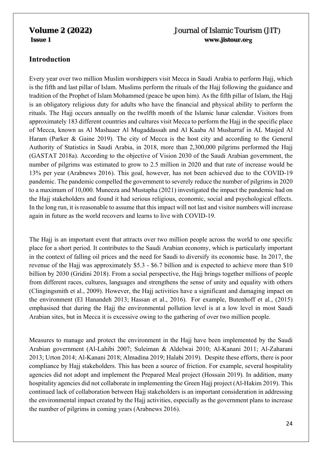# **Introduction**

Every year over two million Muslim worshippers visit Mecca in Saudi Arabia to perform Hajj, which is the fifth and last pillar of Islam. Muslims perform the rituals of the Hajj following the guidance and tradition of the Prophet of Islam Mohammed (peace be upon him). As the fifth pillar of Islam, the Hajj is an obligatory religious duty for adults who have the financial and physical ability to perform the rituals. The Hajj occurs annually on the twelfth month of the Islamic lunar calendar. Visitors from approximately 183 different countries and cultures visit Mecca to perform the Hajj in the specific place of Mecca, known as Al Mashaaer Al Mugaddassah and Al Kaaba Al Musharraf in AL Masjed Al Haram (Parker & Gaine 2019). The city of Mecca is the host city and according to the General Authority of Statistics in Saudi Arabia, in 2018, more than 2,300,000 pilgrims performed the Hajj (GASTAT 2018a). According to the objective of Vision 2030 of the Saudi Arabian government, the number of pilgrims was estimated to grow to 2.5 million in 2020 and that rate of increase would be 13% per year (Arabnews 2016). This goal, however, has not been achieved due to the COVID-19 pandemic. The pandemic compelled the government to severely reduce the number of pilgrims in 2020 to a maximum of 10,000. Muneeza and Mustapha (2021) investigated the impact the pandemic had on the Hajj stakeholders and found it had serious religious, economic, social and psychological effects. In the long run, it is reasonable to assume that this impact will not last and visitor numbers will increase again in future as the world recovers and learns to live with COVID-19.

The Hajj is an important event that attracts over two million people across the world to one specific place for a short period. It contributes to the Saudi Arabian economy, which is particularly important in the context of falling oil prices and the need for Saudi to diversify its economic base. In 2017, the revenue of the Hajj was approximately \$5.3 - \$6.7 billion and is expected to achieve more than \$10 billion by 2030 (Gridini 2018). From a social perspective, the Hajj brings together millions of people from different races, cultures, languages and strengthens the sense of unity and equality with others (Clingingsmith et al., 2009). However, the Hajj activities have a significant and damaging impact on the environment (El Hanandeh 2013; Hassan et al., 2016). For example, Butenhoff et al., (2015) emphasised that during the Hajj the environmental pollution level is at a low level in most Saudi Arabian sites, but in Mecca it is excessive owing to the gathering of over two million people.

Measures to manage and protect the environment in the Hajj have been implemented by the Saudi Arabian government (Al-Lahibi 2007; Suleiman & Aldelwai 2010; Al-Kanani 2011; Al-Zaharani 2013; Urton 2014; Al-Kanani 2018; Almadina 2019; Halabi 2019). Despite these efforts, there is poor compliance by Hajj stakeholders. This has been a source of friction. For example, several hospitality agencies did not adopt and implement the Prepared Meal project (Hossain 2019). In addition, many hospitality agencies did not collaborate in implementing the Green Hajj project (Al-Hakim 2019). This continued lack of collaboration between Hajj stakeholders is an important consideration in addressing the environmental impact created by the Hajj activities, especially as the government plans to increase the number of pilgrims in coming years (Arabnews 2016).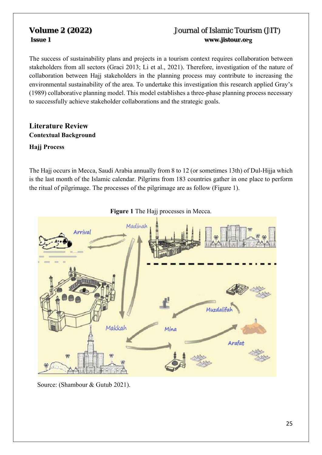The success of sustainability plans and projects in a tourism context requires collaboration between stakeholders from all sectors (Graci 2013; Li et al., 2021). Therefore, investigation of the nature of collaboration between Hajj stakeholders in the planning process may contribute to increasing the environmental sustainability of the area. To undertake this investigation this research applied Gray's (1989) collaborative planning model. This model establishes a three-phase planning process necessary to successfully achieve stakeholder collaborations and the strategic goals.

# **Literature Review Contextual Background**

## **Hajj Process**

The Hajj occurs in Mecca, Saudi Arabia annually from 8 to 12 (or sometimes 13th) of Dul-Hijja which is the last month of the Islamic calendar. Pilgrims from 183 countries gather in one place to perform the ritual of pilgrimage. The processes of the pilgrimage are as follow (Figure 1).



**Figure 1** The Hajj processes in Mecca.

Source: (Shambour & Gutub 2021).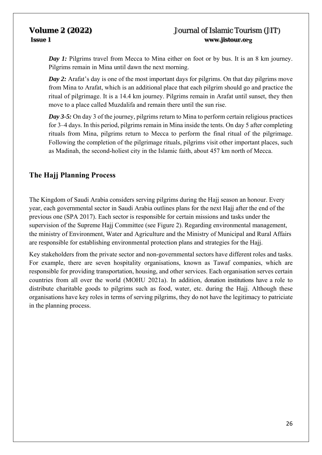*Day 1: Pilgrims travel from Mecca to Mina either on foot or by bus. It is an 8 km journey.* Pilgrims remain in Mina until dawn the next morning.

*Day 2:* Arafat's day is one of the most important days for pilgrims. On that day pilgrims move from Mina to Arafat, which is an additional place that each pilgrim should go and practice the ritual of pilgrimage. It is a 14.4 km journey. Pilgrims remain in Arafat until sunset, they then move to a place called Muzdalifa and remain there until the sun rise.

*Day 3-5:* On day 3 of the journey, pilgrims return to Mina to perform certain religious practices for 3–4 days. In this period, pilgrims remain in Mina inside the tents. On day 5 after completing rituals from Mina, pilgrims return to Mecca to perform the final ritual of the pilgrimage. Following the completion of the pilgrimage rituals, pilgrims visit other important places, such as Madinah, the second-holiest city in the Islamic faith, about 457 km north of Mecca.

# **The Hajj Planning Process**

The Kingdom of Saudi Arabia considers serving pilgrims during the Hajj season an honour. Every year, each governmental sector in Saudi Arabia outlines plans for the next Hajj after the end of the previous one (SPA 2017). Each sector is responsible for certain missions and tasks under the supervision of the Supreme Hajj Committee (see Figure 2). Regarding environmental management, the ministry of Environment, Water and Agriculture and the Ministry of Municipal and Rural Affairs are responsible for establishing environmental protection plans and strategies for the Hajj.

Key stakeholders from the private sector and non-governmental sectors have different roles and tasks. For example, there are seven hospitality organisations, known as Tawaf companies, which are responsible for providing transportation, housing, and other services. Each organisation serves certain countries from all over the world (MOHU 2021a). In addition, donation institutions have a role to distribute charitable goods to pilgrims such as food, water, etc. during the Hajj. Although these organisations have key roles in terms of serving pilgrims, they do not have the legitimacy to patriciate in the planning process.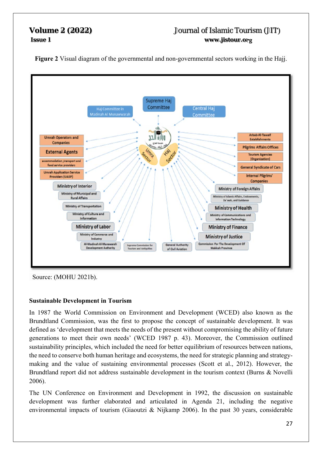**Figure 2** Visual diagram of the governmental and non-governmental sectors working in the Hajj.



Source: (MOHU 2021b).

## **Sustainable Development in Tourism**

In 1987 the World Commission on Environment and Development (WCED) also known as the Brundtland Commission, was the first to propose the concept of sustainable development. It was defined as 'development that meets the needs of the present without compromising the ability of future generations to meet their own needs' (WCED 1987 p. 43). Moreover, the Commission outlined sustainability principles, which included the need for better equilibrium of resources between nations, the need to conserve both human heritage and ecosystems, the need for strategic planning and strategymaking and the value of sustaining environmental processes (Scott et al., 2012). However, the Brundtland report did not address sustainable development in the tourism context (Burns & Novelli 2006).

The UN Conference on Environment and Development in 1992, the discussion on sustainable development was further elaborated and articulated in Agenda 21, including the negative environmental impacts of tourism (Giaoutzi & Nijkamp 2006). In the past 30 years, considerable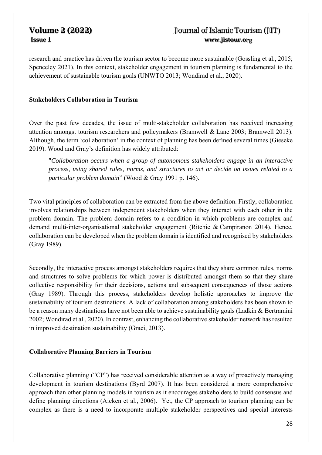research and practice has driven the tourism sector to become more sustainable (Gossling et al., 2015; Spenceley 2021). In this context, stakeholder engagement in tourism planning is fundamental to the achievement of sustainable tourism goals (UNWTO 2013; Wondirad et al., 2020).

## **Stakeholders Collaboration in Tourism**

Over the past few decades, the issue of multi-stakeholder collaboration has received increasing attention amongst tourism researchers and policymakers (Bramwell & Lane 2003; Bramwell 2013). Although, the term 'collaboration' in the context of planning has been defined several times (Gieseke 2019). Wood and Gray's definition has widely attributed:

"*Collaboration occurs when a group of autonomous stakeholders engage in an interactive process, using shared rules, norms, and structures to act or decide on issues related to a particular problem domain*" (Wood & Gray 1991 p. 146).

Two vital principles of collaboration can be extracted from the above definition. Firstly, collaboration involves relationships between independent stakeholders when they interact with each other in the problem domain. The problem domain refers to a condition in which problems are complex and demand multi-inter-organisational stakeholder engagement (Ritchie & Campiranon 2014). Hence, collaboration can be developed when the problem domain is identified and recognised by stakeholders (Gray 1989).

Secondly, the interactive process amongst stakeholders requires that they share common rules, norms and structures to solve problems for which power is distributed amongst them so that they share collective responsibility for their decisions, actions and subsequent consequences of those actions (Gray 1989). Through this process, stakeholders develop holistic approaches to improve the sustainability of tourism destinations. A lack of collaboration among stakeholders has been shown to be a reason many destinations have not been able to achieve sustainability goals (Ladkin & Bertramini 2002; Wondirad et al., 2020). In contrast, enhancing the collaborative stakeholder network has resulted in improved destination sustainability (Graci, 2013).

## **Collaborative Planning Barriers in Tourism**

Collaborative planning ("CP") has received considerable attention as a way of proactively managing development in tourism destinations (Byrd 2007). It has been considered a more comprehensive approach than other planning models in tourism as it encourages stakeholders to build consensus and define planning directions (Aicken et al., 2006). Yet, the CP approach to tourism planning can be complex as there is a need to incorporate multiple stakeholder perspectives and special interests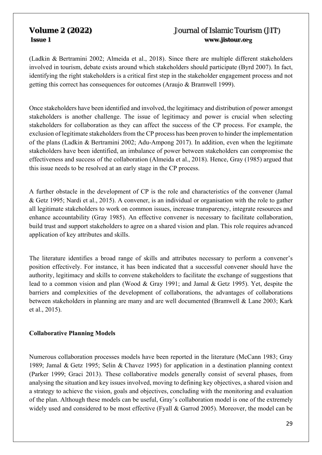(Ladkin & Bertramini 2002; Almeida et al., 2018). Since there are multiple different stakeholders involved in tourism, debate exists around which stakeholders should participate (Byrd 2007). In fact, identifying the right stakeholders is a critical first step in the stakeholder engagement process and not getting this correct has consequences for outcomes (Araujo & Bramwell 1999).

Once stakeholders have been identified and involved, the legitimacy and distribution of power amongst stakeholders is another challenge. The issue of legitimacy and power is crucial when selecting stakeholders for collaboration as they can affect the success of the CP process. For example, the exclusion of legitimate stakeholders from the CP process has been proven to hinder the implementation of the plans (Ladkin & Bertramini 2002; Adu-Ampong 2017). In addition, even when the legitimate stakeholders have been identified, an imbalance of power between stakeholders can compromise the effectiveness and success of the collaboration (Almeida et al., 2018). Hence, Gray (1985) argued that this issue needs to be resolved at an early stage in the CP process.

A further obstacle in the development of CP is the role and characteristics of the convener (Jamal & Getz 1995; Nardi et al., 2015). A convener, is an individual or organisation with the role to gather all legitimate stakeholders to work on common issues, increase transparency, integrate resources and enhance accountability (Gray 1985). An effective convener is necessary to facilitate collaboration, build trust and support stakeholders to agree on a shared vision and plan. This role requires advanced application of key attributes and skills.

The literature identifies a broad range of skills and attributes necessary to perform a convener's position effectively. For instance, it has been indicated that a successful convener should have the authority, legitimacy and skills to convene stakeholders to facilitate the exchange of suggestions that lead to a common vision and plan (Wood & Gray 1991; and Jamal & Getz 1995). Yet, despite the barriers and complexities of the development of collaborations, the advantages of collaborations between stakeholders in planning are many and are well documented (Bramwell & Lane 2003; Kark et al., 2015).

## **Collaborative Planning Models**

Numerous collaboration processes models have been reported in the literature (McCann 1983; Gray 1989; Jamal & Getz 1995; Selin & Chavez 1995) for application in a destination planning context (Parker 1999; Graci 2013). These collaborative models generally consist of several phases, from analysing the situation and key issues involved, moving to defining key objectives, a shared vision and a strategy to achieve the vision, goals and objectives, concluding with the monitoring and evaluation of the plan. Although these models can be useful, Gray's collaboration model is one of the extremely widely used and considered to be most effective (Fyall & Garrod 2005). Moreover, the model can be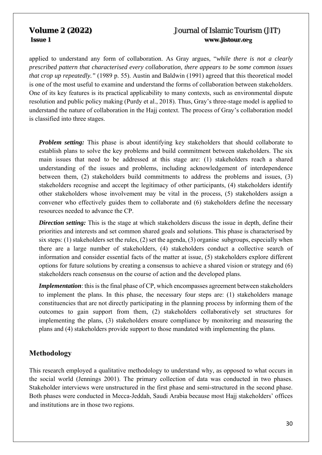applied to understand any form of collaboration. As Gray argues, "*while there is not a clearly prescribed pattern that characterised every collaboration, there appears to be some common issues that crop up repeatedly."* (1989 p. 55). Austin and Baldwin (1991) agreed that this theoretical model is one of the most useful to examine and understand the forms of collaboration between stakeholders. One of its key features is its practical applicability to many contexts, such as environmental dispute resolution and public policy making (Purdy et al., 2018). Thus, Gray's three-stage model is applied to understand the nature of collaboration in the Hajj context. The process of Gray's collaboration model is classified into three stages.

*Problem setting:* This phase is about identifying key stakeholders that should collaborate to establish plans to solve the key problems and build commitment between stakeholders. The six main issues that need to be addressed at this stage are: (1) stakeholders reach a shared understanding of the issues and problems, including acknowledgement of interdependence between them, (2) stakeholders build commitments to address the problems and issues, (3) stakeholders recognise and accept the legitimacy of other participants, (4) stakeholders identify other stakeholders whose involvement may be vital in the process, (5) stakeholders assign a convener who effectively guides them to collaborate and (6) stakeholders define the necessary resources needed to advance the CP.

*Direction setting:* This is the stage at which stakeholders discuss the issue in depth, define their priorities and interests and set common shared goals and solutions. This phase is characterised by six steps: (1) stakeholders set the rules, (2) set the agenda, (3) organise subgroups, especially when there are a large number of stakeholders, (4) stakeholders conduct a collective search of information and consider essential facts of the matter at issue, (5) stakeholders explore different options for future solutions by creating a consensus to achieve a shared vision or strategy and (6) stakeholders reach consensus on the course of action and the developed plans.

*Implementation*: this is the final phase of CP, which encompasses agreement between stakeholders to implement the plans. In this phase, the necessary four steps are: (1) stakeholders manage constituencies that are not directly participating in the planning process by informing them of the outcomes to gain support from them, (2) stakeholders collaboratively set structures for implementing the plans, (3) stakeholders ensure compliance by monitoring and measuring the plans and (4) stakeholders provide support to those mandated with implementing the plans.

## **Methodology**

This research employed a qualitative methodology to understand why, as opposed to what occurs in the social world (Jennings 2001). The primary collection of data was conducted in two phases. Stakeholder interviews were unstructured in the first phase and semi-structured in the second phase. Both phases were conducted in Mecca-Jeddah, Saudi Arabia because most Hajj stakeholders' offices and institutions are in those two regions.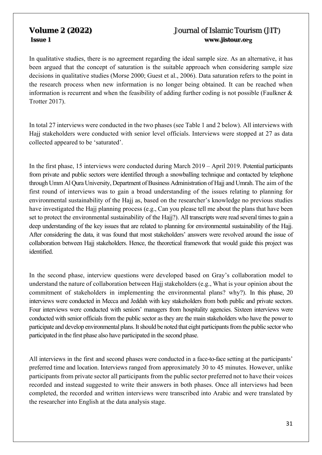In qualitative studies, there is no agreement regarding the ideal sample size. As an alternative, it has been argued that the concept of saturation is the suitable approach when considering sample size decisions in qualitative studies (Morse 2000; Guest et al., 2006). Data saturation refers to the point in the research process when new information is no longer being obtained. It can be reached when information is recurrent and when the feasibility of adding further coding is not possible (Faulkner & Trotter 2017).

In total 27 interviews were conducted in the two phases (see Table 1 and 2 below). All interviews with Hajj stakeholders were conducted with senior level officials. Interviews were stopped at 27 as data collected appeared to be 'saturated'.

In the first phase, 15 interviews were conducted during March 2019 – April 2019. Potential participants from private and public sectors were identified through a snowballing technique and contacted by telephone through Umm Al Qura University, Department of Business Administration of Hajj and Umrah. The aim of the first round of interviews was to gain a broad understanding of the issues relating to planning for environmental sustainability of the Hajj as, based on the researcher's knowledge no previous studies have investigated the Hajj planning process (e.g., Can you please tell me about the plans that have been set to protect the environmental sustainability of the Hajj?). All transcripts were read several times to gain a deep understanding of the key issues that are related to planning for environmental sustainability of the Hajj. After considering the data, it was found that most stakeholders' answers were revolved around the issue of collaboration between Hajj stakeholders. Hence, the theoretical framework that would guide this project was identified.

In the second phase, interview questions were developed based on Gray's collaboration model to understand the nature of collaboration between Hajj stakeholders (e.g., What is your opinion about the commitment of stakeholders in implementing the environmental plans? why?). In this phase, 20 interviews were conducted in Mecca and Jeddah with key stakeholders from both public and private sectors. Four interviews were conducted with seniors' managers from hospitality agencies. Sixteen interviews were conducted with senior officials from the public sector as they are the main stakeholders who have the power to participate and develop environmental plans. It should be noted that eight participants from the public sector who participated in the first phase also have participated in the second phase.

All interviews in the first and second phases were conducted in a face-to-face setting at the participants' preferred time and location. Interviews ranged from approximately 30 to 45 minutes. However, unlike participants from private sector all participants from the public sector preferred not to have their voices recorded and instead suggested to write their answers in both phases. Once all interviews had been completed, the recorded and written interviews were transcribed into Arabic and were translated by the researcher into English at the data analysis stage.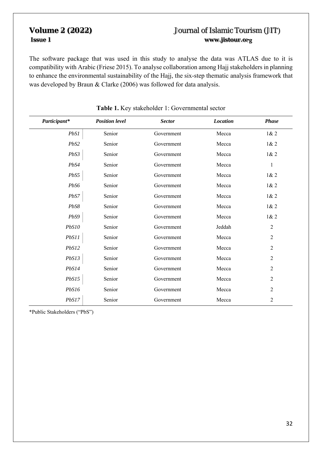The software package that was used in this study to analyse the data was ATLAS due to it is compatibility with Arabic (Friese 2015). To analyse collaboration among Hajj stakeholders in planning to enhance the environmental sustainability of the Hajj, the six-step thematic analysis framework that was developed by Braun & Clarke (2006) was followed for data analysis.

| Participant* | <b>Position level</b> | <b>Sector</b> | <b>Location</b> | <b>Phase</b>   |
|--------------|-----------------------|---------------|-----------------|----------------|
| PbS1         | Senior                | Government    | Mecca           | 1& 2           |
| PbS2         | Senior                | Government    | Mecca           | 1& 2           |
| PbS3         | Senior                | Government    | Mecca           | 1& 2           |
| PbS4         | Senior                | Government    | Mecca           | $\mathbf{1}$   |
| PbS5         | Senior                | Government    | Mecca           | 1& 2           |
| PbS6         | Senior                | Government    | Mecca           | 1& 2           |
| PbS7         | Senior                | Government    | Mecca           | 1& 2           |
| PbS8         | Senior                | Government    | Mecca           | 1& 2           |
| PbS9         | Senior                | Government    | Mecca           | 1& 2           |
| PbS10        | Senior                | Government    | Jeddah          | $\sqrt{2}$     |
| PbS11        | Senior                | Government    | Mecca           | $\overline{2}$ |
| PbS12        | Senior                | Government    | Mecca           | $\overline{2}$ |
| PbS13        | Senior                | Government    | Mecca           | $\overline{2}$ |
| PbS14        | Senior                | Government    | Mecca           | $\overline{2}$ |
| PbS15        | Senior                | Government    | Mecca           | $\overline{2}$ |
| PbS16        | Senior                | Government    | Mecca           | $\overline{2}$ |
| PbS17        | Senior                | Government    | Mecca           | $\overline{c}$ |

## **Table 1.** Key stakeholder 1: Governmental sector

\*Public Stakeholders ("PbS")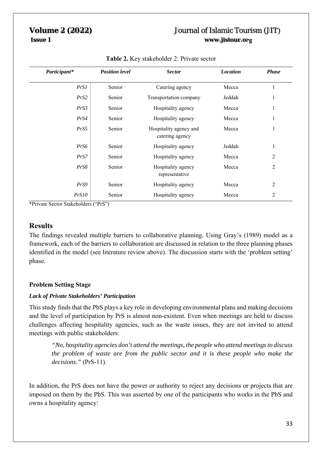| Participant* | <b>Position level</b> | <b>Sector</b>                             | <b>Location</b> | <b>Phase</b>   |
|--------------|-----------------------|-------------------------------------------|-----------------|----------------|
| PrSI         | Senior                | Catering agency                           | Mecca           |                |
| PrS2         | Senior                | Transportation company                    | Jeddah          | 1              |
| PrS3         | Senior                | Hospitality agency                        | Mecca           | 1              |
| PrS4         | Senior                | Hospitality agency                        | Mecca           | 1              |
| PrS5         | Senior                | Hospitality agency and<br>catering agency | Mecca           | 1              |
| PrS6         | Senior                | Hospitality agency                        | Jeddah          |                |
| PrS7         | Senior                | Hospitality agency                        | Mecca           | 2              |
| PrS8         | Senior                | Hospitality agency<br>representative      | Mecca           | 2              |
| PrS9         | Senior                | Hospitality agency                        | Mecca           | $\overline{2}$ |
| PrS10        | Senior                | Hospitality agency                        | Mecca           | 2              |

## **Table 2.** Key stakeholder 2: Private sector

\*Private Sector Stakeholders ("PrS")

## **Results**

The findings revealed multiple barriers to collaborative planning. Using Gray's (1989) model as a framework, each of the barriers to collaboration are discussed in relation to the three planning phases identified in the model (see literature review above). The discussion starts with the 'problem setting' phase.

## **Problem Setting Stage**

## *Lack of Private Stakeholders' Participation*

This study finds that the PbS plays a key role in developing environmental plans and making decisions and the level of participation by PrS is almost non-existent. Even when meetings are held to discuss challenges affecting hospitality agencies, such as the waste issues, they are not invited to attend meetings with public stakeholders:

*"No, hospitality agencies don't attend the meetings, the people who attend meetings to discuss the problem of waste are from the public sector and it is these people who make the decisions."* (PrS-11).

In addition, the PrS does not have the power or authority to reject any decisions or projects that are imposed on them by the PbS. This was asserted by one of the participants who works in the PbS and owns a hospitality agency: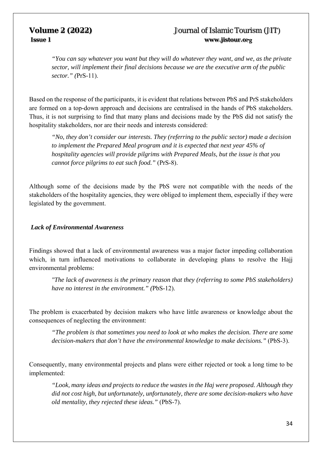*"You can say whatever you want but they will do whatever they want, and we, as the private sector, will implement their final decisions because we are the executive arm of the public sector." (*PrS-11).

Based on the response of the participants, it is evident that relations between PbS and PrS stakeholders are formed on a top-down approach and decisions are centralised in the hands of PbS stakeholders. Thus, it is not surprising to find that many plans and decisions made by the PbS did not satisfy the hospitality stakeholders, nor are their needs and interests considered:

*"No, they don't consider our interests. They (referring to the public sector) made a decision to implement the Prepared Meal program and it is expected that next year 45% of hospitality agencies will provide pilgrims with Prepared Meals, but the issue is that you cannot force pilgrims to eat such food."* (PrS-8).

Although some of the decisions made by the PbS were not compatible with the needs of the stakeholders of the hospitality agencies, they were obliged to implement them, especially if they were legislated by the government.

## *Lack of Environmental Awareness*

Findings showed that a lack of environmental awareness was a major factor impeding collaboration which, in turn influenced motivations to collaborate in developing plans to resolve the Haji environmental problems:

*"The lack of awareness is the primary reason that they (referring to some PbS stakeholders) have no interest in the environment." (*PbS-12).

The problem is exacerbated by decision makers who have little awareness or knowledge about the consequences of neglecting the environment:

*"The problem is that sometimes you need to look at who makes the decision. There are some decision-makers that don't have the environmental knowledge to make decisions."* (PbS-3).

Consequently, many environmental projects and plans were either rejected or took a long time to be implemented:

*"Look, many ideas and projects to reduce the wastes in the Haj were proposed. Although they did not cost high, but unfortunately, unfortunately, there are some decision-makers who have old mentality, they rejected these ideas."* (PbS-7).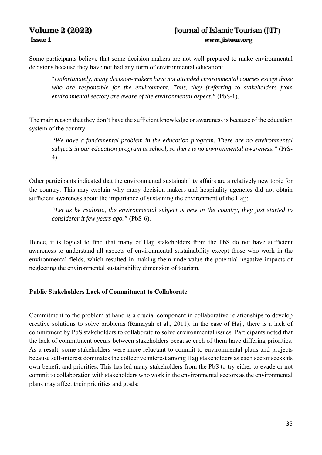Some participants believe that some decision-makers are not well prepared to make environmental decisions because they have not had any form of environmental education:

"*Unfortunately, many decision-makers have not attended environmental courses except those who are responsible for the environment. Thus, they (referring to stakeholders from environmental sector) are aware of the environmental aspect."* (PbS-1).

The main reason that they don't have the sufficient knowledge or awareness is because of the education system of the country:

*"We have a fundamental problem in the education program. There are no environmental subjects in our education program at school, so there is no environmental awareness."* (PrS-4).

Other participants indicated that the environmental sustainability affairs are a relatively new topic for the country. This may explain why many decision-makers and hospitality agencies did not obtain sufficient awareness about the importance of sustaining the environment of the Hajj:

*"Let us be realistic, the environmental subject is new in the country, they just started to considerer it few years ago."* (PbS-6).

Hence, it is logical to find that many of Hajj stakeholders from the PbS do not have sufficient awareness to understand all aspects of environmental sustainability except those who work in the environmental fields, which resulted in making them undervalue the potential negative impacts of neglecting the environmental sustainability dimension of tourism.

## **Public Stakeholders Lack of Commitment to Collaborate**

Commitment to the problem at hand is a crucial component in collaborative relationships to develop creative solutions to solve problems (Ramayah et al., 2011). in the case of Hajj, there is a lack of commitment by PbS stakeholders to collaborate to solve environmental issues. Participants noted that the lack of commitment occurs between stakeholders because each of them have differing priorities. As a result, some stakeholders were more reluctant to commit to environmental plans and projects because self-interest dominates the collective interest among Hajj stakeholders as each sector seeks its own benefit and priorities. This has led many stakeholders from the PbS to try either to evade or not commit to collaboration with stakeholders who work in the environmental sectors as the environmental plans may affect their priorities and goals: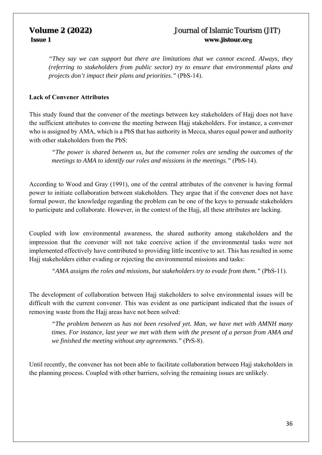*"They say we can support but there are limitations that we cannot exceed. Always, they (referring to stakeholders from public sector) try to ensure that environmental plans and projects don't impact their plans and priorities."* (PbS-14).

## **Lack of Convener Attributes**

This study found that the convener of the meetings between key stakeholders of Hajj does not have the sufficient attributes to convene the meeting between Hajj stakeholders. For instance, a convener who is assigned by AMA, which is a PbS that has authority in Mecca, shares equal power and authority with other stakeholders from the PbS:

*"The power is shared between us, but the convener roles are sending the outcomes of the meetings to AMA to identify our roles and missions in the meetings."* (PbS-14).

According to Wood and Gray (1991), one of the central attributes of the convener is having formal power to initiate collaboration between stakeholders. They argue that if the convener does not have formal power, the knowledge regarding the problem can be one of the keys to persuade stakeholders to participate and collaborate. However, in the context of the Hajj, all these attributes are lacking.

Coupled with low environmental awareness, the shared authority among stakeholders and the impression that the convener will not take coercive action if the environmental tasks were not implemented effectively have contributed to providing little incentive to act. This has resulted in some Hajj stakeholders either evading or rejecting the environmental missions and tasks:

*"AMA assigns the roles and missions, but stakeholders try to evade from them."* (PbS-11).

The development of collaboration between Hajj stakeholders to solve environmental issues will be difficult with the current convener. This was evident as one participant indicated that the issues of removing waste from the Hajj areas have not been solved:

*"The problem between us has not been resolved yet. Man, we have met with AMNH many times. For instance, last year we met with them with the present of a person from AMA and we finished the meeting without any agreements."* (PrS-8).

Until recently, the convener has not been able to facilitate collaboration between Hajj stakeholders in the planning process. Coupled with other barriers, solving the remaining issues are unlikely.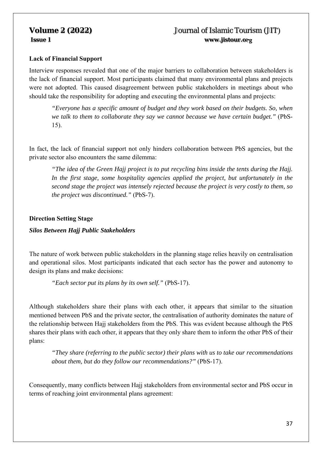# **Lack of Financial Support**

Interview responses revealed that one of the major barriers to collaboration between stakeholders is the lack of financial support. Most participants claimed that many environmental plans and projects were not adopted. This caused disagreement between public stakeholders in meetings about who should take the responsibility for adopting and executing the environmental plans and projects:

*"Everyone has a specific amount of budget and they work based on their budgets. So, when we talk to them to collaborate they say we cannot because we have certain budget."* (PbS-15).

In fact, the lack of financial support not only hinders collaboration between PbS agencies, but the private sector also encounters the same dilemma:

*"The idea of the Green Hajj project is to put recycling bins inside the tents during the Hajj. In the first stage, some hospitality agencies applied the project, but unfortunately in the second stage the project was intensely rejected because the project is very costly to them, so the project was discontinued."* (PbS-7).

## **Direction Setting Stage**

## *Silos Between Hajj Public Stakeholders*

The nature of work between public stakeholders in the planning stage relies heavily on centralisation and operational silos. Most participants indicated that each sector has the power and autonomy to design its plans and make decisions:

*"Each sector put its plans by its own self."* (PbS-17).

Although stakeholders share their plans with each other, it appears that similar to the situation mentioned between PbS and the private sector, the centralisation of authority dominates the nature of the relationship between Hajj stakeholders from the PbS. This was evident because although the PbS shares their plans with each other, it appears that they only share them to inform the other PbS of their plans:

*"They share (referring to the public sector) their plans with us to take our recommendations about them, but do they follow our recommendations?"* (PbS-17).

Consequently, many conflicts between Hajj stakeholders from environmental sector and PbS occur in terms of reaching joint environmental plans agreement: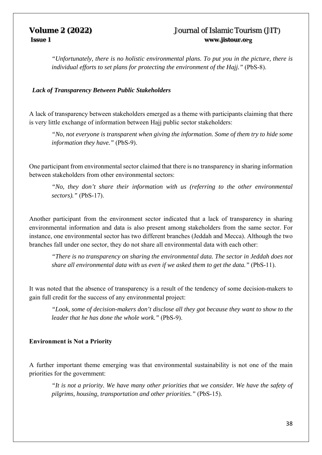*"Unfortunately, there is no holistic environmental plans. To put you in the picture, there is individual efforts to set plans for protecting the environment of the Hajj."* (PbS-8).

### *Lack of Transparency Between Public Stakeholders*

A lack of transparency between stakeholders emerged as a theme with participants claiming that there is very little exchange of information between Hajj public sector stakeholders:

*"No, not everyone is transparent when giving the information. Some of them try to hide some information they have."* (PbS-9).

One participant from environmental sector claimed that there is no transparency in sharing information between stakeholders from other environmental sectors:

*"No, they don't share their information with us (referring to the other environmental sectors)."* (PbS-17).

Another participant from the environment sector indicated that a lack of transparency in sharing environmental information and data is also present among stakeholders from the same sector. For instance, one environmental sector has two different branches (Jeddah and Mecca). Although the two branches fall under one sector, they do not share all environmental data with each other:

*"There is no transparency on sharing the environmental data. The sector in Jeddah does not share all environmental data with us even if we asked them to get the data."* (PbS-11).

It was noted that the absence of transparency is a result of the tendency of some decision-makers to gain full credit for the success of any environmental project:

*"Look, some of decision-makers don't disclose all they got because they want to show to the leader that he has done the whole work."* (PbS-9).

### **Environment is Not a Priority**

A further important theme emerging was that environmental sustainability is not one of the main priorities for the government:

*"It is not a priority. We have many other priorities that we consider. We have the safety of pilgrims, housing, transportation and other priorities."* (PbS-15).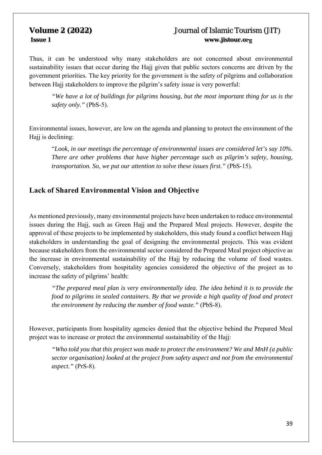Thus, it can be understood why many stakeholders are not concerned about environmental sustainability issues that occur during the Hajj given that public sectors concerns are driven by the government priorities. The key priority for the government is the safety of pilgrims and collaboration between Hajj stakeholders to improve the pilgrim's safety issue is very powerful:

*"We have a lot of buildings for pilgrims housing, but the most important thing for us is the safety only."* (PbS-5).

Environmental issues, however, are low on the agenda and planning to protect the environment of the Hajj is declining:

"*Look, in our meetings the percentage of environmental issues are considered let's say 10%. There are other problems that have higher percentage such as pilgrim's safety, housing, transportation. So, we put our attention to solve these issues first."* (PbS-15).

## **Lack of Shared Environmental Vision and Objective**

As mentioned previously, many environmental projects have been undertaken to reduce environmental issues during the Hajj, such as Green Hajj and the Prepared Meal projects. However, despite the approval of these projects to be implemented by stakeholders, this study found a conflict between Hajj stakeholders in understanding the goal of designing the environmental projects. This was evident because stakeholders from the environmental sector considered the Prepared Meal project objective as the increase in environmental sustainability of the Hajj by reducing the volume of food wastes. Conversely, stakeholders from hospitality agencies considered the objective of the project as to increase the safety of pilgrims' health:

*"The prepared meal plan is very environmentally idea. The idea behind it is to provide the food to pilgrims in sealed containers. By that we provide a high quality of food and protect the environment by reducing the number of food waste."* (PbS-8).

However, participants from hospitality agencies denied that the objective behind the Prepared Meal project was to increase or protect the environmental sustainability of the Hajj:

*"Who told you that this project was made to protect the environment? We and MnH (a public sector organisation) looked at the project from safety aspect and not from the environmental aspect."* (PrS-8).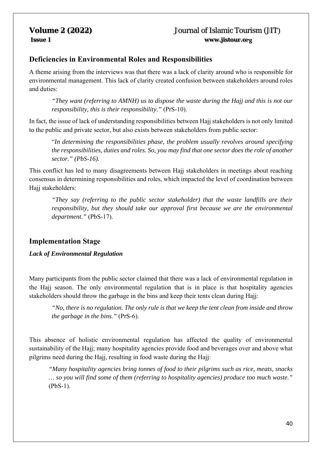# **Deficiencies in Environmental Roles and Responsibilities**

A theme arising from the interviews was that there was a lack of clarity around who is responsible for environmental management. This lack of clarity created confusion between stakeholders around roles and duties:

*"They want (referring to AMNH) us to dispose the waste during the Hajj and this is not our responsibility, this is their responsibility."* (PrS-10).

In fact, the issue of lack of understanding responsibilities between Hajj stakeholders is not only limited to the public and private sector, but also exists between stakeholders from public sector:

"*In determining the responsibilities phase, the problem usually revolves around specifying the responsibilities, duties and roles. So, you may find that one sector does the role of another sector." (PbS-16).*

This conflict has led to many disagreements between Hajj stakeholders in meetings about reaching consensus in determining responsibilities and roles, which impacted the level of coordination between Hajj stakeholders:

*"They say (referring to the public sector stakeholder) that the waste landfills are their responsibility, but they should take our approval first because we are the environmental department."* (PbS-17).

# **Implementation Stage**

*Lack of Environmental Regulation* 

Many participants from the public sector claimed that there was a lack of environmental regulation in the Hajj season. The only environmental regulation that is in place is that hospitality agencies stakeholders should throw the garbage in the bins and keep their tents clean during Hajj:

*"No, there is no regulation. The only rule is that we keep the tent clean from inside and throw the garbage in the bins."* (PrS-6).

This absence of holistic environmental regulation has affected the quality of environmental sustainability of the Hajj; many hospitality agencies provide food and beverages over and above what pilgrims need during the Hajj, resulting in food waste during the Hajj:

*"Many hospitality agencies bring tonnes of food to their pilgrims such as rice, meats, snacks … so you will find some of them (referring to hospitality agencies) produce too much waste."* (PbS-1).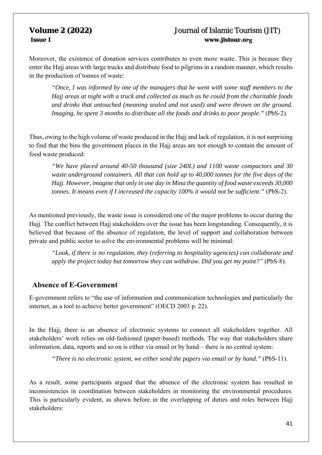Moreover, the existence of donation services contributes to even more waste. This is because they enter the Hajj areas with large trucks and distribute food to pilgrims in a random manner, which results in the production of tonnes of waste:

*"Once, I was informed by one of the managers that he went with some staff members to the Hajj areas at night with a truck and collected as much as he could from the charitable foods and drinks that untouched (meaning sealed and not used) and were thrown on the ground. Imaging, he spent 3 months to distribute all the foods and drinks to poor people.*" (PbS-2).

Thus, owing to the high volume of waste produced in the Hajj and lack of regulation, it is not surprising to find that the bins the government places in the Hajj areas are not enough to contain the amount of food waste produced:

*"We have placed around 40-50 thousand (size 240L) and 1100 waste compactors and 30 waste underground containers. All that can hold up to 40,000 tonnes for the five days of the Hajj. However, imagine that only in one day in Mina the quantity of food waste exceeds 30,000 tonnes. It means even if I increased the capacity 100% it would not be sufficient."* (PbS-2).

As mentioned previously, the waste issue is considered one of the major problems to occur during the Hajj. The conflict between Hajj stakeholders over the issue has been longstanding. Consequently, it is believed that because of the absence of regulation, the level of support and collaboration between private and public sector to solve the environmental problems will be minimal:

*"Look, if there is no regulation, they (referring to hospitality agencies) can collaborate and apply the project today but tomorrow they can withdraw. Did you get my point?"* (PbS-8).

### **Absence of E-Government**

E-government refers to "the use of information and communication technologies and particularly the internet, as a tool to achieve better government" (OECD 2003 p. 22).

In the Hajj, there is an absence of electronic systems to connect all stakeholders together. All stakeholders' work relies on old-fashioned (paper-based) methods. The way that stakeholders share information, data, reports and so on is either via email or by hand – there is no central system:

*"There is no electronic system, we either send the papers via email or by hand."* (PbS-11).

As a result, some participants argued that the absence of the electronic system has resulted in inconsistencies in coordination between stakeholders in monitoring the environmental procedures. This is particularly evident, as shown before in the overlapping of duties and roles between Hajj stakeholders: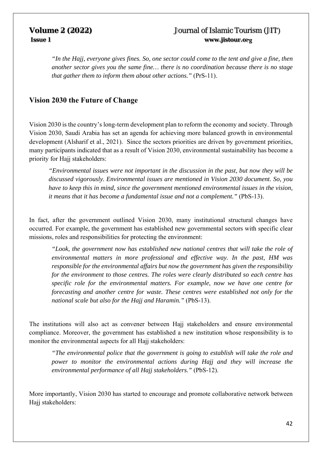*"In the Hajj, everyone gives fines. So, one sector could come to the tent and give a fine, then another sector gives you the same fine… there is no coordination because there is no stage that gather them to inform them about other actions."* (PrS-11).

### **Vision 2030 the Future of Change**

Vision 2030 is the country's long-term development plan to reform the economy and society. Through Vision 2030, Saudi Arabia has set an agenda for achieving more balanced growth in environmental development (Alsharif et al., 2021). Since the sectors priorities are driven by government priorities, many participants indicated that as a result of Vision 2030, environmental sustainability has become a priority for Hajj stakeholders:

*"Environmental issues were not important in the discussion in the past, but now they will be discussed vigorously. Environmental issues are mentioned in Vision 2030 document. So, you have to keep this in mind, since the government mentioned environmental issues in the vision, it means that it has become a fundamental issue and not a complement."* (PbS-13).

In fact, after the government outlined Vision 2030, many institutional structural changes have occurred. For example, the government has established new governmental sectors with specific clear missions, roles and responsibilities for protecting the environment:

*"Look, the government now has established new national centres that will take the role of environmental matters in more professional and effective way. In the past, HM was responsible for the environmental affairs but now the government has given the responsibility for the environment to those centres. The roles were clearly distributed so each centre has specific role for the environmental matters. For example, now we have one centre for forecasting and another centre for waste. These centres were established not only for the national scale but also for the Hajj and Haramin."* (PbS-13).

The institutions will also act as convener between Hajj stakeholders and ensure environmental compliance. Moreover, the government has established a new institution whose responsibility is to monitor the environmental aspects for all Hajj stakeholders:

*"The environmental police that the government is going to establish will take the role and power to monitor the environmental actions during Hajj and they will increase the environmental performance of all Hajj stakeholders."* (PbS-12).

More importantly, Vision 2030 has started to encourage and promote collaborative network between Hajj stakeholders: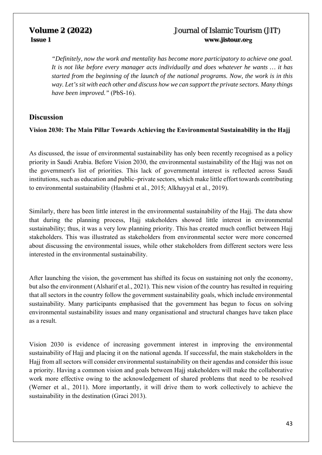*"Definitely, now the work and mentality has become more participatory to achieve one goal. It is not like before every manager acts individually and does whatever he wants … it has started from the beginning of the launch of the national programs. Now, the work is in this way. Let's sit with each other and discuss how we can support the private sectors. Many things have been improved."* (PbS-16).

### **Discussion**

### **Vision 2030: The Main Pillar Towards Achieving the Environmental Sustainability in the Hajj**

As discussed, the issue of environmental sustainability has only been recently recognised as a policy priority in Saudi Arabia. Before Vision 2030, the environmental sustainability of the Hajj was not on the government's list of priorities. This lack of governmental interest is reflected across Saudi institutions, such as education and public–private sectors, which make little effort towards contributing to environmental sustainability (Hashmi et al., 2015; Alkhayyal et al., 2019).

Similarly, there has been little interest in the environmental sustainability of the Hajj. The data show that during the planning process, Hajj stakeholders showed little interest in environmental sustainability; thus, it was a very low planning priority. This has created much conflict between Hajj stakeholders. This was illustrated as stakeholders from environmental sector were more concerned about discussing the environmental issues, while other stakeholders from different sectors were less interested in the environmental sustainability.

After launching the vision, the government has shifted its focus on sustaining not only the economy, but also the environment (Alsharif et al., 2021). This new vision of the country has resulted in requiring that all sectors in the country follow the government sustainability goals, which include environmental sustainability. Many participants emphasised that the government has begun to focus on solving environmental sustainability issues and many organisational and structural changes have taken place as a result.

Vision 2030 is evidence of increasing government interest in improving the environmental sustainability of Hajj and placing it on the national agenda. If successful, the main stakeholders in the Hajj from all sectors will consider environmental sustainability on their agendas and consider this issue a priority. Having a common vision and goals between Hajj stakeholders will make the collaborative work more effective owing to the acknowledgement of shared problems that need to be resolved (Werner et al., 2011). More importantly, it will drive them to work collectively to achieve the sustainability in the destination (Graci 2013).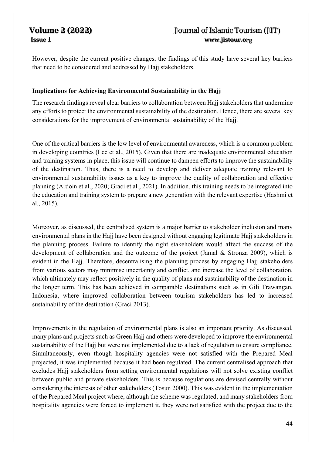However, despite the current positive changes, the findings of this study have several key barriers that need to be considered and addressed by Hajj stakeholders.

### **Implications for Achieving Environmental Sustainability in the Hajj**

The research findings reveal clear barriers to collaboration between Hajj stakeholders that undermine any efforts to protect the environmental sustainability of the destination. Hence, there are several key considerations for the improvement of environmental sustainability of the Hajj.

One of the critical barriers is the low level of environmental awareness, which is a common problem in developing countries (Lee et al., 2015). Given that there are inadequate environmental education and training systems in place, this issue will continue to dampen efforts to improve the sustainability of the destination. Thus, there is a need to develop and deliver adequate training relevant to environmental sustainability issues as a key to improve the quality of collaboration and effective planning (Ardoin et al., 2020; Graci et al., 2021). In addition, this training needs to be integrated into the education and training system to prepare a new generation with the relevant expertise (Hashmi et al., 2015).

Moreover, as discussed, the centralised system is a major barrier to stakeholder inclusion and many environmental plans in the Hajj have been designed without engaging legitimate Hajj stakeholders in the planning process. Failure to identify the right stakeholders would affect the success of the development of collaboration and the outcome of the project (Jamal & Stronza 2009), which is evident in the Hajj. Therefore, decentralising the planning process by engaging Hajj stakeholders from various sectors may minimise uncertainty and conflict, and increase the level of collaboration, which ultimately may reflect positively in the quality of plans and sustainability of the destination in the longer term. This has been achieved in comparable destinations such as in Gili Trawangan, Indonesia, where improved collaboration between tourism stakeholders has led to increased sustainability of the destination (Graci 2013).

Improvements in the regulation of environmental plans is also an important priority. As discussed, many plans and projects such as Green Hajj and others were developed to improve the environmental sustainability of the Hajj but were not implemented due to a lack of regulation to ensure compliance. Simultaneously, even though hospitality agencies were not satisfied with the Prepared Meal projected, it was implemented because it had been regulated. The current centralised approach that excludes Hajj stakeholders from setting environmental regulations will not solve existing conflict between public and private stakeholders. This is because regulations are devised centrally without considering the interests of other stakeholders (Tosun 2000). This was evident in the implementation of the Prepared Meal project where, although the scheme was regulated, and many stakeholders from hospitality agencies were forced to implement it, they were not satisfied with the project due to the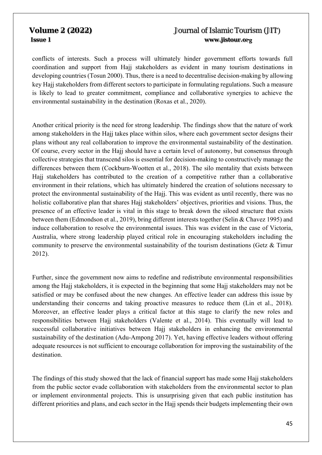conflicts of interests. Such a process will ultimately hinder government efforts towards full coordination and support from Hajj stakeholders as evident in many tourism destinations in developing countries (Tosun 2000). Thus, there is a need to decentralise decision-making by allowing key Hajj stakeholders from different sectors to participate in formulating regulations. Such a measure is likely to lead to greater commitment, compliance and collaborative synergies to achieve the environmental sustainability in the destination (Roxas et al., 2020).

Another critical priority is the need for strong leadership. The findings show that the nature of work among stakeholders in the Hajj takes place within silos, where each government sector designs their plans without any real collaboration to improve the environmental sustainability of the destination. Of course, every sector in the Hajj should have a certain level of autonomy, but consensus through collective strategies that transcend silos is essential for decision-making to constructively manage the differences between them (Cockburn-Wootten et al., 2018). The silo mentality that exists between Hajj stakeholders has contributed to the creation of a competitive rather than a collaborative environment in their relations, which has ultimately hindered the creation of solutions necessary to protect the environmental sustainability of the Hajj. This was evident as until recently, there was no holistic collaborative plan that shares Hajj stakeholders' objectives, priorities and visions. Thus, the presence of an effective leader is vital in this stage to break down the siloed structure that exists between them (Edmondson et al., 2019), bring different interests together (Selin & Chavez 1995) and induce collaboration to resolve the environmental issues. This was evident in the case of Victoria, Australia, where strong leadership played critical role in encouraging stakeholders including the community to preserve the environmental sustainability of the tourism destinations (Getz & Timur 2012).

Further, since the government now aims to redefine and redistribute environmental responsibilities among the Hajj stakeholders, it is expected in the beginning that some Hajj stakeholders may not be satisfied or may be confused about the new changes. An effective leader can address this issue by understanding their concerns and taking proactive measures to reduce them (Lin et al., 2018). Moreover, an effective leader plays a critical factor at this stage to clarify the new roles and responsibilities between Hajj stakeholders (Valente et al., 2014). This eventually will lead to successful collaborative initiatives between Hajj stakeholders in enhancing the environmental sustainability of the destination (Adu-Ampong 2017). Yet, having effective leaders without offering adequate resources is not sufficient to encourage collaboration for improving the sustainability of the destination.

The findings of this study showed that the lack of financial support has made some Hajj stakeholders from the public sector evade collaboration with stakeholders from the environmental sector to plan or implement environmental projects. This is unsurprising given that each public institution has different priorities and plans, and each sector in the Hajj spends their budgets implementing their own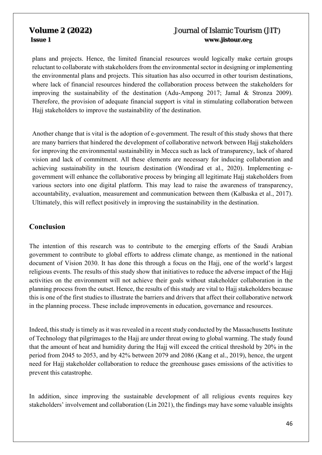plans and projects. Hence, the limited financial resources would logically make certain groups reluctant to collaborate with stakeholders from the environmental sector in designing or implementing the environmental plans and projects. This situation has also occurred in other tourism destinations, where lack of financial resources hindered the collaboration process between the stakeholders for improving the sustainability of the destination (Adu-Ampong 2017; Jamal & Stronza 2009). Therefore, the provision of adequate financial support is vital in stimulating collaboration between Hajj stakeholders to improve the sustainability of the destination.

Another change that is vital is the adoption of e-government. The result of this study shows that there are many barriers that hindered the development of collaborative network between Hajj stakeholders for improving the environmental sustainability in Mecca such as lack of transparency, lack of shared vision and lack of commitment. All these elements are necessary for inducing collaboration and achieving sustainability in the tourism destination (Wondirad et al., 2020). Implementing egovernment will enhance the collaborative process by bringing all legitimate Hajj stakeholders from various sectors into one digital platform. This may lead to raise the awareness of transparency, accountability, evaluation, measurement and communication between them (Kalbaska et al., 2017). Ultimately, this will reflect positively in improving the sustainability in the destination.

# **Conclusion**

The intention of this research was to contribute to the emerging efforts of the Saudi Arabian government to contribute to global efforts to address climate change, as mentioned in the national document of Vision 2030. It has done this through a focus on the Hajj, one of the world's largest religious events. The results of this study show that initiatives to reduce the adverse impact of the Hajj activities on the environment will not achieve their goals without stakeholder collaboration in the planning process from the outset. Hence, the results of this study are vital to Hajj stakeholders because this is one of the first studies to illustrate the barriers and drivers that affect their collaborative network in the planning process. These include improvements in education, governance and resources.

Indeed, this study is timely as it was revealed in a recent study conducted by the Massachusetts Institute of Technology that pilgrimages to the Hajj are under threat owing to global warming. The study found that the amount of heat and humidity during the Hajj will exceed the critical threshold by 20% in the period from 2045 to 2053, and by 42% between 2079 and 2086 (Kang et al., 2019), hence, the urgent need for Hajj stakeholder collaboration to reduce the greenhouse gases emissions of the activities to prevent this catastrophe.

In addition, since improving the sustainable development of all religious events requires key stakeholders' involvement and collaboration (Lin 2021), the findings may have some valuable insights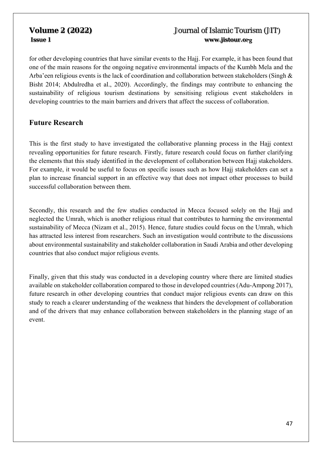for other developing countries that have similar events to the Hajj. For example, it has been found that one of the main reasons for the ongoing negative environmental impacts of the Kumbh Mela and the Arba'een religious events is the lack of coordination and collaboration between stakeholders (Singh & Bisht 2014; Abdulredha et al., 2020). Accordingly, the findings may contribute to enhancing the sustainability of religious tourism destinations by sensitising religious event stakeholders in developing countries to the main barriers and drivers that affect the success of collaboration.

### **Future Research**

This is the first study to have investigated the collaborative planning process in the Hajj context revealing opportunities for future research. Firstly, future research could focus on further clarifying the elements that this study identified in the development of collaboration between Hajj stakeholders. For example, it would be useful to focus on specific issues such as how Hajj stakeholders can set a plan to increase financial support in an effective way that does not impact other processes to build successful collaboration between them.

Secondly, this research and the few studies conducted in Mecca focused solely on the Hajj and neglected the Umrah, which is another religious ritual that contributes to harming the environmental sustainability of Mecca (Nizam et al., 2015). Hence, future studies could focus on the Umrah, which has attracted less interest from researchers. Such an investigation would contribute to the discussions about environmental sustainability and stakeholder collaboration in Saudi Arabia and other developing countries that also conduct major religious events.

Finally, given that this study was conducted in a developing country where there are limited studies available on stakeholder collaboration compared to those in developed countries (Adu-Ampong 2017), future research in other developing countries that conduct major religious events can draw on this study to reach a clearer understanding of the weakness that hinders the development of collaboration and of the drivers that may enhance collaboration between stakeholders in the planning stage of an event.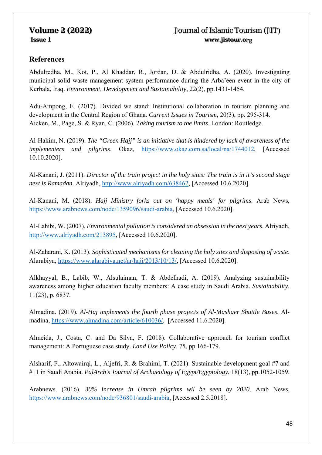# **References**

Abdulredha, M., Kot, P., Al Khaddar, R., Jordan, D. & Abdulridha, A. (2020). Investigating municipal solid waste management system performance during the Arba'een event in the city of Kerbala, Iraq. *Environment, Development and Sustainability*, 22(2), pp.1431-1454.

Adu-Ampong, E. (2017). Divided we stand: Institutional collaboration in tourism planning and development in the Central Region of Ghana. *Current Issues in Tourism*, 20(3), pp. 295-314. Aicken, M., Page, S. & Ryan, C. (2006). *Taking tourism to the limits*. London: Routledge.

Al-Hakim, N. (2019). *The "Green Hajj" is an initiative that is hindered by lack of awareness of the implementers and pilgrims*. Okaz, https://www.okaz.com.sa/local/na/1744012, [Accessed 10.10.2020].

Al-Kanani, J. (2011). *Director of the train project in the holy sites: The train is in it's second stage next is Ramadan*. Alriyadh, http://www.alriyadh.com/638462, [Accessed 10.6.2020].

Al-Kanani, M. (2018). *Hajj Ministry forks out on 'happy meals' for pilgrims*. Arab News, https://www.arabnews.com/node/1359096/saudi-arabia, [Accessed 10.6.2020].

Al-Lahibi, W. (2007). *Environmental pollution is considered an obsession in the next years*. Alriyadh, http://www.alriyadh.com/213895, [Accessed 10.6.2020].

Al-Zaharani, K. (2013). *Sophisticated mechanisms for cleaning the holy sites and disposing of waste*. Alarabiya, https://www.alarabiya.net/ar/hajj/2013/10/13/, [Accessed 10.6.2020].

Alkhayyal, B., Labib, W., Alsulaiman, T. & Abdelhadi, A. (2019). Analyzing sustainability awareness among higher education faculty members: A case study in Saudi Arabia. *Sustainability*, 11(23), p. 6837.

Almadina. (2019). *Al-Haj implements the fourth phase projects of Al-Mashaer Shuttle Buses*. Almadina, https://www.almadina.com/article/610036/, [Accessed 11.6.2020].

Almeida, J., Costa, C. and Da Silva, F. (2018). Collaborative approach for tourism conflict management: A Portuguese case study. *Land Use Policy*, 75, pp.166-179.

Alsharif, F., Altowairqi, L., Aljefri, R. & Brahimi, T. (2021). Sustainable development goal #7 and #11 in Saudi Arabia. *PalArch's Journal of Archaeology of Egypt/Egyptology*, 18(13), pp.1052-1059.

Arabnews. (2016). *30% increase in Umrah pilgrims wil be seen by 2020*. Arab News, https://www.arabnews.com/node/936801/saudi-arabia, [Accessed 2.5.2018].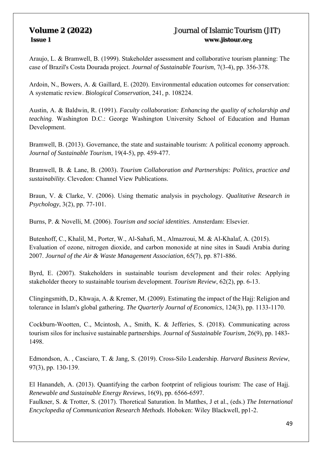Araujo, L. & Bramwell, B. (1999). Stakeholder assessment and collaborative tourism planning: The case of Brazil's Costa Dourada project. *Journal of Sustainable Tourism*, 7(3-4), pp. 356-378.

Ardoin, N., Bowers, A. & Gaillard, E. (2020). Environmental education outcomes for conservation: A systematic review. *Biological Conservation*, 241, p. 108224.

Austin, A. & Baldwin, R. (1991). *Faculty collaboration: Enhancing the quality of scholarship and teaching*. Washington D.C.: George Washington University School of Education and Human Development.

Bramwell, B. (2013). Governance, the state and sustainable tourism: A political economy approach. *Journal of Sustainable Tourism*, 19(4-5), pp. 459-477.

Bramwell, B. & Lane, B. (2003). *Tourism Collaboration and Partnerships: Politics, practice and sustainability*. Clevedon: Channel View Publications.

Braun, V. & Clarke, V. (2006). Using thematic analysis in psychology. *Qualitative Research in Psychology*, 3(2), pp. 77-101.

Burns, P. & Novelli, M. (2006). *Tourism and social identities*. Amsterdam: Elsevier.

Butenhoff, C., Khalil, M., Porter, W., Al-Sahafi, M., Almazroui, M. & Al-Khalaf, A. (2015). Evaluation of ozone, nitrogen dioxide, and carbon monoxide at nine sites in Saudi Arabia during 2007. *Journal of the Air & Waste Management Association*, 65(7), pp. 871-886.

Byrd, E. (2007). Stakeholders in sustainable tourism development and their roles: Applying stakeholder theory to sustainable tourism development. *Tourism Review*, 62(2), pp. 6-13.

Clingingsmith, D., Khwaja, A. & Kremer, M. (2009). Estimating the impact of the Hajj: Religion and tolerance in Islam's global gathering. *The Quarterly Journal of Economics*, 124(3), pp. 1133-1170.

Cockburn-Wootten, C., Mcintosh, A., Smith, K. & Jefferies, S. (2018). Communicating across tourism silos for inclusive sustainable partnerships. *Journal of Sustainable Tourism*, 26(9), pp. 1483- 1498.

Edmondson, A. , Casciaro, T. & Jang, S. (2019). Cross-Silo Leadership. *Harvard Business Review*, 97(3), pp. 130-139.

El Hanandeh, A. (2013). Quantifying the carbon footprint of religious tourism: The case of Hajj. *Renewable and Sustainable Energy Reviews*, 16(9), pp. 6566-6597.

Faulkner, S. & Trotter, S. (2017). Thoretical Saturation. In Matthes, J et al., (eds.) *The International Encyclopedia of Communication Research Methods*. Hoboken: Wiley Blackwell, pp1-2.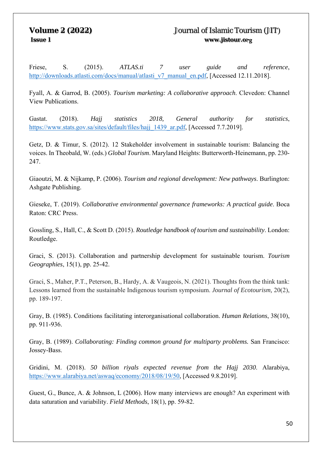Friese, S. (2015). *ATLAS.ti 7 user guide and reference*, http://downloads.atlasti.com/docs/manual/atlasti\_v7\_manual\_en.pdf, [Accessed 12.11.2018].

Fyall, A. & Garrod, B. (2005). *Tourism marketing: A collaborative approach*. Clevedon: Channel View Publications.

Gastat. (2018). *Hajj statistics 2018, General authority for statistics*, https://www.stats.gov.sa/sites/default/files/hajj\_1439\_ar.pdf, [Accessed 7.7.2019].

Getz, D. & Timur, S. (2012). 12 Stakeholder involvement in sustainable tourism: Balancing the voices. In Theobald, W. (eds.) *Global Tourism*. Maryland Heights: Butterworth-Heinemann, pp. 230- 247.

Giaoutzi, M. & Nijkamp, P. (2006). *Tourism and regional development: New pathways*. Burlington: Ashgate Publishing.

Gieseke, T. (2019). *Collaborative environmental governance frameworks: A practical guide*. Boca Raton: CRC Press.

Gossling, S., Hall, C., & Scott D. (2015). *Routledge handbook of tourism and sustainability*. London: Routledge.

Graci, S. (2013). Collaboration and partnership development for sustainable tourism. *Tourism Geographies*, 15(1), pp. 25-42.

Graci, S., Maher, P.T., Peterson, B., Hardy, A. & Vaugeois, N. (2021). Thoughts from the think tank: Lessons learned from the sustainable Indigenous tourism symposium. *Journal of Ecotourism,* 20(2), pp. 189-197.

Gray, B. (1985). Conditions facilitating interorganisational collaboration. *Human Relations*, 38(10), pp. 911-936.

Gray, B. (1989). *Collaborating: Finding common ground for multiparty problems.* San Francisco: Jossey-Bass.

Gridini, M. (2018). *50 billion riyals expected revenue from the Hajj 2030*. Alarabiya, https://www.alarabiya.net/aswaq/economy/2018/08/19/50, [Accessed 9.8.2019].

Guest, G., Bunce, A. & Johnson, L (2006). How many interviews are enough? An experiment with data saturation and variability. *Field Methods*, 18(1), pp. 59-82.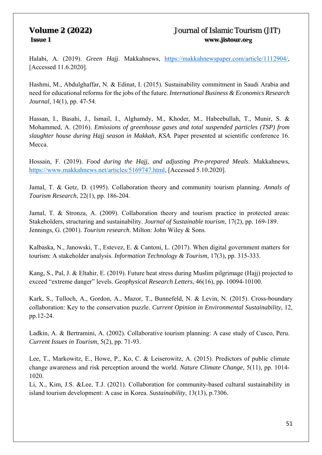Halabi, A. (2019). *Green Hajj*. Makkahnews, https://makkahnewspaper.com/article/1112904/, [Accessed 11.6.2020].

Hashmi, M., Abdulghaffar, N. & Edinat, I. (2015). Sustainability commitment in Saudi Arabia and need for educational reforms for the jobs of the future. *International Business & Economics Research Journal*, 14(1), pp. 47-54.

Hassan, I., Basahi, J., Ismail, I., Alghamdy, M., Khoder, M., Habeebullah, T., Munir, S. & Mohammed, A. (2016). *Emissions of greenhouse gases and total suspended particles (TSP) from slaughter house during Hajj season in Makkah, KSA.* Paper presented at scientific conference 16. Mecca.

Hossain, F. (2019). *Food during the Hajj, and adjusting Pre-prepared Meals*. Makkahnews, https://www.makkahnews.net/articles/5169747.html, [Accessed 5.10.2020].

Jamal, T. & Getz, D. (1995). Collaboration theory and community tourism planning. *Annals of Tourism Research*, 22(1), pp. 186-204.

Jamal, T. & Stronza, A. (2009). Collaboration theory and tourism practice in protected areas: Stakeholders, structuring and sustainability. *Journal of Sustainable tourism*, 17(2), pp. 169-189. Jennings, G. (2001). *Tourism research*. Milton: John Wiley & Sons.

Kalbaska, N., Janowski, T., Estevez, E. & Cantoni, L. (2017). When digital government matters for tourism: A stakeholder analysis. *Information Technology & Tourism*, 17(3), pp. 315-333.

Kang, S., Pal, J. & Eltahir, E. (2019). Future heat stress during Muslim pilgrimage (Hajj) projected to exceed "extreme danger" levels. *Geophysical Research Letters*, 46(16), pp. 10094-10100.

Kark, S., Tulloch, A., Gordon, A., Mazor, T., Bunnefeld, N. & Levin, N. (2015). Cross-boundary collaboration: Key to the conservation puzzle. *Current Opinion in Environmental Sustainability*, 12, pp.12-24.

Ladkin, A. & Bertramini, A. (2002). Collaborative tourism planning: A case study of Cusco, Peru. *Current Issues in Tourism*, 5(2), pp. 71-93.

Lee, T., Markowitz, E., Howe, P., Ko, C. & Leiserowitz, A. (2015). Predictors of public climate change awareness and risk perception around the world. *Nature Climate Change*, 5(11), pp. 1014- 1020.

Li, X., Kim, J.S. &Lee, T.J. (2021). Collaboration for community-based cultural sustainability in island tourism development: A case in Korea. *Sustainability*, 13(13), p.7306.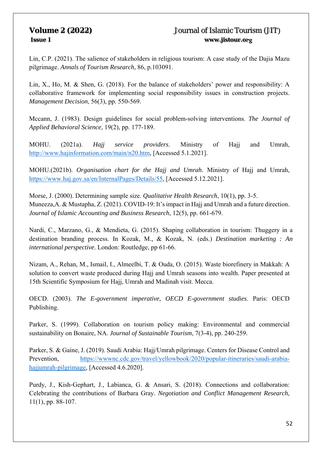Lin, C.P. (2021). The salience of stakeholders in religious tourism: A case study of the Dajia Mazu pilgrimage. *Annals of Tourism Research*, 86, p.103091.

Lin, X., Ho, M. & Shen, G. (2018). For the balance of stakeholders' power and responsibility: A collaborative framework for implementing social responsibility issues in construction projects. *Management Decision*, 56(3), pp. 550-569.

Mccann, J. (1983). Design guidelines for social problem-solving interventions. *The Journal of Applied Behavioral Science*, 19(2), pp. 177-189.

MOHU. (2021a). *Hajj service providers*. Ministry of Hajj and Umrah, http://www.hajinformation.com/main/n20.htm, [Accessed 5.1.2021].

MOHU.(2021b). *Organisation chart for the Hajj and Umrah*. Ministry of Hajj and Umrah, https://www.haj.gov.sa/en/InternalPages/Details/55, [Accessed 5.12.2021].

Morse, J. (2000). Determining sample size. *Qualitative Health Research*, 10(1), pp. 3-5. Muneeza,A. & Mustapha, Z. (2021). COVID-19: It's impact in Hajj and Umrah and a future direction. *Journal of Islamic Accounting and Business Research*, 12(5), pp. 661-679.

Nardi, C., Marzano, G., & Mendieta, G. (2015). Shaping collaboration in tourism: Thuggery in a destination branding process. In Kozak, M., & Kozak, N. (eds.) *Destination marketing : An international perspective*. London: Routledge, pp 61-66.

Nizam, A., Rehan, M., Ismail, I., Almeelbi, T. & Ouda, O. (2015). Waste biorefinery in Makkah: A solution to convert waste produced during Hajj and Umrah seasons into wealth. Paper presented at 15th Scientific Symposium for Hajj, Umrah and Madinah visit. Mecca.

OECD. (2003). *The E-government imperative, OECD E-government studies*. Paris: OECD Publishing.

Parker, S. (1999). Collaboration on tourism policy making: Environmental and commercial sustainability on Bonaire, NA. *Journal of Sustainable Tourism*, 7(3-4), pp. 240-259.

Parker, S. & Gaine, J. (2019). Saudi Arabia: Hajj/Umrah pilgrimage. Centers for Disease Control and Prevention, https://wwwnc.cdc.gov/travel/yellowbook/2020/popular-itineraries/saudi-arabiahajjumrah-pilgrimage, [Accessed 4.6.2020].

Purdy, J., Kish-Gephart, J., Labianca, G. & Ansari, S. (2018). Connections and collaboration: Celebrating the contributions of Barbara Gray. *Negotiation and Conflict Management Research*, 11(1), pp. 88-107.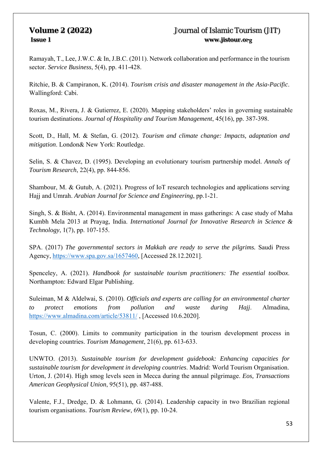Ramayah, T., Lee, J.W.C. & In, J.B.C. (2011). Network collaboration and performance in the tourism sector. *Service Business*, 5(4), pp. 411-428.

Ritchie, B. & Campiranon, K. (2014). *Tourism crisis and disaster management in the Asia-Pacific*. Wallingford: Cabi.

Roxas, M., Rivera, J. & Gutierrez, E. (2020). Mapping stakeholders' roles in governing sustainable tourism destinations. *Journal of Hospitality and Tourism Management*, 45(16), pp. 387-398.

Scott, D., Hall, M. & Stefan, G. (2012). *Tourism and climate change: Impacts, adaptation and mitigation*. London& New York: Routledge.

Selin, S. & Chavez, D. (1995). Developing an evolutionary tourism partnership model. *Annals of Tourism Research*, 22(4), pp. 844-856.

Shambour, M. & Gutub, A. (2021). Progress of IoT research technologies and applications serving Hajj and Umrah. *Arabian Journal for Science and Engineering*, pp.1-21.

Singh, S. & Bisht, A. (2014). Environmental management in mass gatherings: A case study of Maha Kumbh Mela 2013 at Prayag, India. *International Journal for Innovative Research in Science & Technology*, 1(7), pp. 107-155.

SPA. (2017) *The governmental sectors in Makkah are ready to serve the pilgrims.* Saudi Press Agency, https://www.spa.gov.sa/1657460, [Accessed 28.12.2021].

Spenceley, A. (2021). *Handbook for sustainable tourism practitioners: The essential toolbox*. Northampton: Edward Elgar Publishing.

Suleiman, M & Aldelwai, S. (2010). *Officials and experts are calling for an environmental charter to protect emotions from pollution and waste during Hajj*. Almadina, https://www.almadina.com/article/53811/ , [Accessed 10.6.2020].

Tosun, C. (2000). Limits to community participation in the tourism development process in developing countries. *Tourism Management*, 21(6), pp. 613-633.

UNWTO. (2013). *Sustainable tourism for development guidebook: Enhancing capacities for sustainable tourism for development in developing countries*. Madrid: World Tourism Organisation. Urton, J. (2014). High smog levels seen in Mecca during the annual pilgrimage. *Eos, Transactions American Geophysical Union*, 95(51), pp. 487-488.

Valente, F.J., Dredge, D. & Lohmann, G. (2014). Leadership capacity in two Brazilian regional tourism organisations. *Tourism Review*, 69(1), pp. 10-24.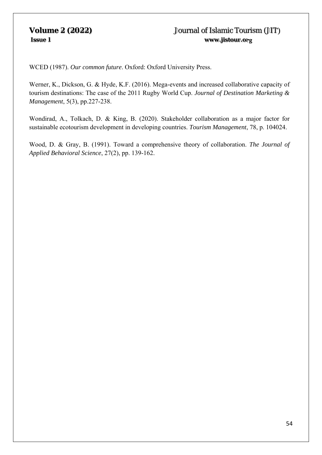WCED (1987). *Our common future*. Oxford: Oxford University Press.

Werner, K., Dickson, G. & Hyde, K.F. (2016). Mega-events and increased collaborative capacity of tourism destinations: The case of the 2011 Rugby World Cup. *Journal of Destination Marketing & Management*, 5(3), pp.227-238.

Wondirad, A., Tolkach, D. & King, B. (2020). Stakeholder collaboration as a major factor for sustainable ecotourism development in developing countries. *Tourism Management*, 78, p. 104024.

Wood, D. & Gray, B. (1991). Toward a comprehensive theory of collaboration. *The Journal of Applied Behavioral Science*, 27(2), pp. 139-162.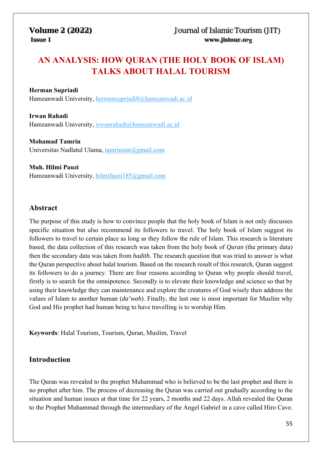# **AN ANALYSIS: HOW QURAN (THE HOLY BOOK OF ISLAM) TALKS ABOUT HALAL TOURISM**

### **Herman Supriadi**

Hamzanwadi University, hermansupriadi8@hamzanwadi.ac.id

**Irwan Rahadi** Hamzanwadi University, irwanrahadi@hamzanwadi.ac.id

**Mohamad Tamrin** Universitas Nadlatul Ulama, tamrinstat@gmail.com

### **Muh. Hilmi Pauzi**

Hamzanwadi University, hilmifauzi185@gmail.com

### **Abstract**

The purpose of this study is how to convince people that the holy book of Islam is not only discusses specific situation but also recommend its followers to travel. The holy book of Islam suggest its followers to travel to certain place as long as they follow the rule of Islam. This research is literature based, the data collection of this research was taken from the holy book of *Quran* (the primary data) then the secondary data was taken from *hadith*. The research question that was tried to answer is what the Quran perspective about halal tourism. Based on the research result of this research, Quran suggest its followers to do a journey. There are four reasons according to Quran why people should travel, firstly is to search for the omnipotence. Secondly is to elevate their knowledge and science so that by using their knowledge they can maintenance and explore the creatures of God wisely then address the values of Islam to another human (*da'wah*). Finally, the last one is most important for Muslim why God and His prophet had human being to have travelling is to worship Him.

**Keywords**: Halal Tourism, Tourism, Quran, Muslim, Travel

### **Introduction**

The Quran was revealed to the prophet Muhammad who is believed to be the last prophet and there is no prophet after him. The process of decreasing the Quran was carried out gradually according to the situation and human issues at that time for 22 years, 2 months and 22 days. Allah revealed the Quran to the Prophet Muhammad through the intermediary of the Angel Gabriel in a cave called Hiro Cave.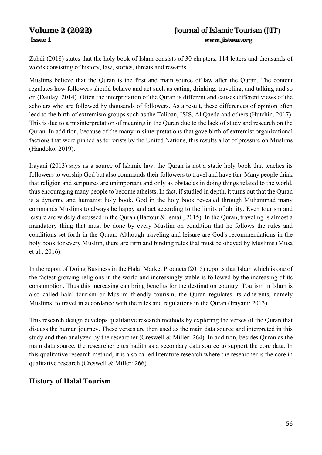Zuhdi (2018) states that the holy book of Islam consists of 30 chapters, 114 letters and thousands of words consisting of history, law, stories, threats and rewards.

Muslims believe that the Quran is the first and main source of law after the Quran. The content regulates how followers should behave and act such as eating, drinking, traveling, and talking and so on (Daulay, 2014). Often the interpretation of the Quran is different and causes different views of the scholars who are followed by thousands of followers. As a result, these differences of opinion often lead to the birth of extremism groups such as the Taliban, ISIS, Al Qaeda and others (Hutchin, 2017). This is due to a misinterpretation of meaning in the Quran due to the lack of study and research on the Quran. In addition, because of the many misinterpretations that gave birth of extremist organizational factions that were pinned as terrorists by the United Nations, this results a lot of pressure on Muslims (Handoko, 2019).

Irayani (2013) says as a source of Islamic law, the Quran is not a static holy book that teaches its followers to worship God but also commands their followers to travel and have fun. Many people think that religion and scriptures are unimportant and only as obstacles in doing things related to the world, thus encouraging many people to become atheists. In fact, if studied in depth, it turns out that the Quran is a dynamic and humanist holy book. God in the holy book revealed through Muhammad many commands Muslims to always be happy and act according to the limits of ability. Even tourism and leisure are widely discussed in the Quran (Battour & Ismail, 2015). In the Quran, traveling is almost a mandatory thing that must be done by every Muslim on condition that he follows the rules and conditions set forth in the Quran. Although traveling and leisure are God's recommendations in the holy book for every Muslim, there are firm and binding rules that must be obeyed by Muslims (Musa et al., 2016).

In the report of Doing Business in the Halal Market Products (2015) reports that Islam which is one of the fastest-growing religions in the world and increasingly stable is followed by the increasing of its consumption. Thus this increasing can bring benefits for the destination country. Tourism in Islam is also called halal tourism or Muslim friendly tourism, the Quran regulates its adherents, namely Muslims, to travel in accordance with the rules and regulations in the Quran (Irayani: 2013).

This research design develops qualitative research methods by exploring the verses of the Quran that discuss the human journey. These verses are then used as the main data source and interpreted in this study and then analyzed by the researcher (Creswell & Miller: 264). In addition, besides Quran as the main data source, the researcher cites hadith as a secondary data source to support the core data. In this qualitative research method, it is also called literature research where the researcher is the core in qualitative research (Creswell & Miller: 266).

### **History of Halal Tourism**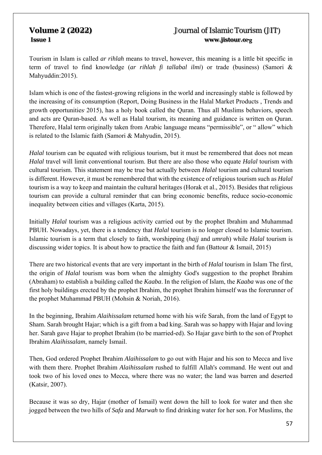Tourism in Islam is called *ar rihlah* means to travel, however, this meaning is a little bit specific in term of travel to find knowledge (*ar rihlah fi tallabal ilmi*) or trade (business) (Samori & Mahyuddin:2015).

Islam which is one of the fastest-growing religions in the world and increasingly stable is followed by the increasing of its consumption (Report, Doing Business in the Halal Market Products , Trends and growth opportunities 2015), has a holy book called the Quran. Thus all Muslims behaviors, speech and acts are Quran-based. As well as Halal tourism, its meaning and guidance is written on Quran. Therefore, Halal term originally taken from Arabic language means "permissible", or " allow" which is related to the Islamic faith (Samori & Mahyudin, 2015).

*Halal* tourism can be equated with religious tourism, but it must be remembered that does not mean *Halal* travel will limit conventional tourism. But there are also those who equate *Halal* tourism with cultural tourism. This statement may be true but actually between *Halal* tourism and cultural tourism is different. However, it must be remembered that with the existence of religious tourism such as *Halal* tourism is a way to keep and maintain the cultural heritages (Horak et al., 2015). Besides that religious tourism can provide a cultural reminder that can bring economic benefits, reduce socio-economic inequality between cities and villages (Karta, 2015).

Initially *Halal* tourism was a religious activity carried out by the prophet Ibrahim and Muhammad PBUH. Nowadays, yet, there is a tendency that *Halal* tourism is no longer closed to Islamic tourism. Islamic tourism is a term that closely to faith, worshipping (*hajj* and *umrah*) while *Halal* tourism is discussing wider topics. It is about how to practice the faith and fun (Battour  $\&$  Ismail, 2015)

There are two historical events that are very important in the birth of *Halal* tourism in Islam The first, the origin of *Halal* tourism was born when the almighty God's suggestion to the prophet Ibrahim (Abraham) to establish a building called the *Kaaba*. In the religion of Islam, the *Kaaba* was one of the first holy buildings erected by the prophet Ibrahim, the prophet Ibrahim himself was the forerunner of the prophet Muhammad PBUH (Mohsin & Noriah, 2016).

In the beginning, Ibrahim *Alaihissalam* returned home with his wife Sarah, from the land of Egypt to Sham. Sarah brought Hajar; which is a gift from a bad king. Sarah was so happy with Hajar and loving her. Sarah gave Hajar to prophet Ibrahim (to be married-ed). So Hajar gave birth to the son of Prophet Ibrahim *Alaihissalam*, namely Ismail.

Then, God ordered Prophet Ibrahim *Alaihissalam* to go out with Hajar and his son to Mecca and live with them there. Prophet Ibrahim *Alaihissalam* rushed to fulfill Allah's command. He went out and took two of his loved ones to Mecca, where there was no water; the land was barren and deserted (Katsir, 2007).

Because it was so dry, Hajar (mother of Ismail) went down the hill to look for water and then she jogged between the two hills of *Safa* and *Marwah* to find drinking water for her son. For Muslims, the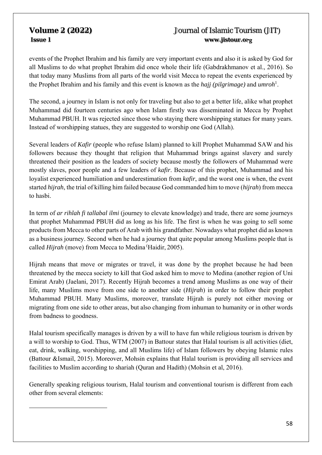# **Volume 2 (2022)** Journal of Islamic Tourism (JIT)  **Issue 1 www.jistour.org**

events of the Prophet Ibrahim and his family are very important events and also it is asked by God for all Muslims to do what prophet Ibrahim did once whole their life (Gabdrakhmanov et al., 2016). So that today many Muslims from all parts of the world visit Mecca to repeat the events experienced by the Prophet Ibrahim and his family and this event is known as the *hajj (pilgrimage)* and *umroh*<sup>1</sup> .

The second, a journey in Islam is not only for traveling but also to get a better life, alike what prophet Muhammad did fourteen centuries ago when Islam firstly was disseminated in Mecca by Prophet Muhammad PBUH. It was rejected since those who staying there worshipping statues for many years. Instead of worshipping statues, they are suggested to worship one God (Allah).

Several leaders of *Kafir* (people who refuse Islam) planned to kill Prophet Muhammad SAW and his followers because they thought that religion that Muhammad brings against slavery and surely threatened their position as the leaders of society because mostly the followers of Muhammad were mostly slaves, poor people and a few leaders of *kafir*. Because of this prophet, Muhammad and his loyalist experienced humiliation and underestimation from *kafir*, and the worst one is when, the event started *hijrah*, the trial of killing him failed because God commanded him to move (*hijrah*) from mecca to hasbi.

In term of *ar rihlah fi tallabal ilmi* (journey to elevate knowledge) and trade, there are some journeys that prophet Muhammad PBUH did as long as his life. The first is when he was going to sell some products from Mecca to other parts of Arab with his grandfather. Nowadays what prophet did as known as a business journey. Second when he had a journey that quite popular among Muslims people that is called *Hijrah* (move) from Mecca to Medina (Haidir, 2005).

Hijrah means that move or migrates or travel, it was done by the prophet because he had been threatened by the mecca society to kill that God asked him to move to Medina (another region of Uni Emirat Arab) (Jaelani, 2017). Recently Hijrah becomes a trend among Muslims as one way of their life, many Muslims move from one side to another side (*Hijrah*) in order to follow their prophet Muhammad PBUH. Many Muslims, moreover, translate Hijrah is purely not either moving or migrating from one side to other areas, but also changing from inhuman to humanity or in other words from badness to goodness.

Halal tourism specifically manages is driven by a will to have fun while religious tourism is driven by a will to worship to God. Thus, WTM (2007) in Battour states that Halal tourism is all activities (diet, eat, drink, walking, worshipping, and all Muslims life) of Islam followers by obeying Islamic rules (Battour &Ismail, 2015). Moreover, Mohsin explains that Halal tourism is providing all services and facilities to Muslim according to shariah (Quran and Hadith) (Mohsin et al, 2016).

Generally speaking religious tourism, Halal tourism and conventional tourism is different from each other from several elements: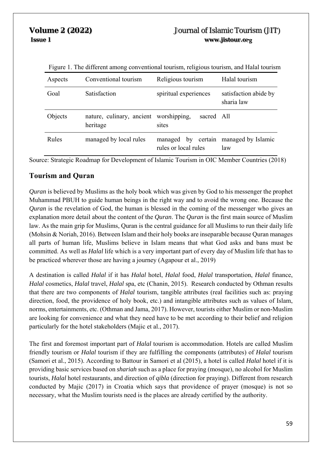| Aspects      | Conventional tourism                               | Religious tourism                          | Halal tourism                       |
|--------------|----------------------------------------------------|--------------------------------------------|-------------------------------------|
| Goal         | Satisfaction                                       | spiritual experiences                      | satisfaction abide by<br>sharia law |
| Objects      | nature, culinary, ancient worshipping,<br>heritage | sacred All<br>sites                        |                                     |
| <b>Rules</b> | managed by local rules                             | managed by certain<br>rules or local rules | managed by Islamic<br>law           |

Figure 1. The different among conventional tourism, religious tourism, and Halal tourism

Source: Strategic Roadmap for Development of Islamic Tourism in OIC Member Countries (2018)

### **Tourism and Quran**

*Quran* is believed by Muslims as the holy book which was given by God to his messenger the prophet Muhammad PBUH to guide human beings in the right way and to avoid the wrong one. Because the *Quran* is the revelation of God, the human is blessed in the coming of the messenger who gives an explanation more detail about the content of the *Quran*. The *Quran* is the first main source of Muslim law. As the main grip for Muslims, Quran is the central guidance for all Muslims to run their daily life (Mohsin & Noriah, 2016). Between Islam and their holy books are inseparable because Quran manages all parts of human life, Muslims believe in Islam means that what God asks and bans must be committed. As well as *Halal* life which is a very important part of every day of Muslim life that has to be practiced wherever those are having a journey (Agapour et al., 2019)

A destination is called *Halal* if it has *Halal* hotel, *Halal* food, *Halal* transportation, *Halal* finance, *Halal* cosmetics, *Halal* travel, *Halal* spa, etc (Chanin, 2015). Research conducted by Othman results that there are two components of *Halal* tourism, tangible attributes (real facilities such as: praying direction, food, the providence of holy book, etc.) and intangible attributes such as values of Islam, norms, entertainments, etc. (Othman and Jama, 2017). However, tourists either Muslim or non-Muslim are looking for convenience and what they need have to be met according to their belief and religion particularly for the hotel stakeholders (Majic et al., 2017).

The first and foremost important part of *Halal* tourism is accommodation. Hotels are called Muslim friendly tourism or *Halal* tourism if they are fulfilling the components (attributes) of *Halal* tourism (Samori et al., 2015). According to Battour in Samori et al (2015), a hotel is called *Halal* hotel if it is providing basic services based on *shariah* such as a place for praying (mosque), no alcohol for Muslim tourists, *Halal* hotel restaurants, and direction of *qibla* (direction for praying). Different from research conducted by Majic (2017) in Croatia which says that providence of prayer (mosque) is not so necessary, what the Muslim tourists need is the places are already certified by the authority.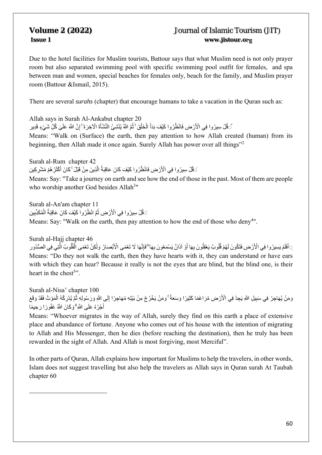Due to the hotel facilities for Muslim tourists, Battour says that what Muslim need is not only prayer room but also separated swimming pool with specific swimming pool outfit for females, and spa between man and women, special beaches for females only, beach for the family, and Muslim prayer room (Battour &Ismail, 2015).

There are several *surahs* (chapter) that encourage humans to take a vacation in the Quran such as:

Allah says in Surah Al-Ankabut chapter 20 ُ ْ قُلْ سِيرُوا فِي الْأَرْضِ فَانْظُرُوا كَيْفَ بَدَأَ الْخَلْقَ ۚ ثُمَّ اللَّهُ يُنْشِئُ النَّشْأَةَ الْآخِرَةَ ۚ إِنَّ اللَّهَ عَلَىٰ كُلِّ شَيْءٍ قَدِير ُ ֡֡**֞** ؚ<br>ا َأ ََ

Means: "Walk on (Surface) the earth, then pay attention to how Allah created (human) from its beginning, then Allah made it once again. Surely Allah has power over all things"<sup>2</sup>

Surah al-Rum chapter 42 **ٔ** َ قُلْ سِيرُوا فِي الْأَرْضِ فَانْظُرُوا كَيْفَ كَانَ عَاقِبَةُ الَّذِينَ مِنْ قَبْلُ ۚ كَانَ أَكْثَرُ هُمْ مُشْرِكِين َ

Means: Say: "Take a journey on earth and see how the end of those in the past. Most of them are people who worship another God besides Allah<sup>3</sup>"

Surah al-An'am chapter 11 َ قُلْ سِيرُوا فِي الْأَرْضِ ثُمَّ انْظُرُوا كَيْفَ كَانَ عَاقِبَةُ الْمُكَذِّبِين ֖֧֧֧֧֧ׅ֧֧֧֧֧֧֧֧֧֧֧֧֛֧֚֚֚֚֚֚֚֚֚֚֚֚֚֚֚֚֚֚֚֚֚֡֝֓֝֓֝֓֝֬֜֓֓֓֓֓֓֓֓֜֜֜֝֬ ا<br>ا ُ َ

Means: Say: "Walk on the earth, then pay attention to how the end of those who deny<sup>4</sup>".

Surah al-Hajj chapter 46 َ َل ِ أَفَلَمْ يَسِيرُوا فِي الْأَرْضِ فَتَكُونَ لَهُمْ قُلُوبٌ يَعْقِلُونَ بِهَا أَوْ آذَانٌ يَسْمَعُونَ بِهَا ۖفَإِنَّهَا لَا تَعْمَى الْأَبْصَارُ وَلَٰكِنْ تَعْمَى الْقُلُوبُ الَّتِي فِي الصُّدُور ؚ<br>ا ُُُل ََْ֧֧֧֦֧֧֧֦֧֧֦֧֧֦֧ׅ֧֛ׅ֧֛ׅ֧֛ׅ֧֛ׅ֧֛ׅ֧֛֛֪֪֪֪֪֪֪֪֪֪֪֪֪֪֪֪֪֪֚֚֚֚֚֚֚֚֚֚֚֚֕֩֩֩֩֓֓֓֓֓֓֓֓֓֓֓֟֓֩֩֓֓֓֓֓֓֓֟֓֓֜֓֓֜֓֓֜֓֜֓֜֓֜֓֜ ٔ<br>ا َ ֺَّ֖֖֪֪ׅ֦֧֧֚֚֚֚֚֚֚֚֚֚֚֚֚֚֚֚֚֚֚֚֚֚֚֚֚֚֚֚֚֝֟֓֡֟֓֟֓֞֟֓֞֟֓֞֟֟֓֝֬<br>֧֧֧֪֪֪֪֪֪֪֪֪֪֪֪֪֪֪֪֪֚֜֝֬֘֩֞֝֩֩֩ ِّ أ Means: "Do they not walk the earth, then they have hearts with it, they can understand or have ears with which they can hear? Because it really is not the eyes that are blind, but the blind one, is their heart in the chest<sup>5</sup>".

Surah al-Nisa' chapter 100 َوَمَنْ يُهَاجِرْ فِي سَبِيلِ اللَّهِ يَجِدْ فِي الْأَرْضِ مُرَاغَمًا كَثِيرًا وَسَعَةً ۚ وَمَنْ يَخْرُجْ مِنْ بَيْتِهِ مُهَاجِرًا إِلَى اللَّهِ وَرَسُولِهِ ثُمَّ يُدْرِكْهُ الْمَوْتُ فَقَدْ وَقَعَ ا<br>ا ُ  $\frac{1}{2}$ ֺ֖֖֖֚֚֚֚֚֝<u>֟</u> أَجْرُهُ عَلَى اللَّهِ ۗ وَكَانَ اللَّهُ غَفُورًا رَحِيمًا َ

Means: "Whoever migrates in the way of Allah, surely they find on this earth a place of extensive place and abundance of fortune. Anyone who comes out of his house with the intention of migrating to Allah and His Messenger, then he dies (before reaching the destination), then he truly has been rewarded in the sight of Allah. And Allah is most forgiving, most Merciful".

In other parts of Quran, Allah explains how important for Muslims to help the travelers, in other words, Islam does not suggest travelling but also help the travelers as Allah says in Quran surah At Taubah chapter 60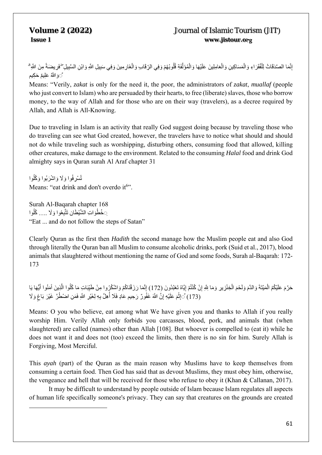إِنَّمَا الصَّدَقَاتُ لِلْفُقَرَاءِ وَالْمَسَاكِينِ وَالْعَامِلِينَ عَلَيْهَا وَالْمُؤَلَّفَةِ قُلُوبُهُمْ وَفِي الرِّقَابِ وَالْغَارِمِينَ وَفِي سَبِيلِ اللَّهِ وَابْنِ السَّبِيلِ ۖفَرِيضَةً مِنَ اللَّهِ ۖ ُل ا<br>ا ْ َ**َ** َّوَ اللَّهُ عَلِيمٌ حَكِيم ٌ

Means: "Verily, *zakat* is only for the need it, the poor, the administrators of *zakat*, *muallaf* (people who just convert to Islam) who are persuaded by their hearts, to free (liberate) slaves, those who borrow money, to the way of Allah and for those who are on their way (travelers), as a decree required by Allah, and Allah is All-Knowing.

Due to traveling in Islam is an activity that really God suggest doing because by traveling those who do traveling can see what God created, however, the travelers have to notice what should and should not do while traveling such as worshipping, disturbing others, consuming food that allowed, killing other creatures, make damage to the environment. Related to the consuming *Halal* food and drink God almighty says in Quran surah Al Araf chapter 31

تُسْرِفُوا وَلَا وَاشْرَبُوا وَكُلُوا ُMeans: "eat drink and don't overdo it<sup>6</sup>".

Surah Al-Baqarah chapter 168 ِ خُطُوَاتِ الشَّيْطَان تَتَّبِعُوا وَلَا …. ݣْلُوا "Eat ... and do not follow the steps of Satan"

Clearly Quran as the first then *Hadith* the second manage how the Muslim people eat and also God through literally the Quran ban all Muslim to consume alcoholic drinks, pork (Suid et al., 2017), blood animals that slaughtered without mentioning the name of God and some foods, Surah al-Baqarah: 172- 173

حَرَّمَ عَلَيْكُمُ الْمَيْتَةَ وَالدَّمَ وَلَحْمَ الْخِنْزِيرِ وَمَا لِلَّهِ إِنْ كُنْتُمْ إِيَّاهُ تَعْبُدُونَ (172) إِنَّمَا رَزَقْنَاكُمْ وَاشْكُرُوا مِنْ طَيِّبَاتِ مَا كُلُوا الَّذِينَ آمَنُوا أَيُّهَا يَا ؙؚ<br>ا َُؚّ<br>ا ا<br>ا ُ (173) ْ۞إِنُّمَ عَلَيْهِ إِنَّ اللَّهَ غَفُونٌ رَحِيمٍ عَادٍ فَلَا أُهِلَّ بِهِ لِغَيْرِ اللَّهِ فَمَنِ اضْطُرَّ غَيْرَ بَاغٍ وَلَا ؚ<br>ا

Means: O you who believe, eat among what We have given you and thanks to Allah if you really worship Him. Verily Allah only forbids you carcasses, blood, pork, and animals that (when slaughtered) are called (names) other than Allah [108]. But whoever is compelled to (eat it) while he does not want it and does not (too) exceed the limits, then there is no sin for him. Surely Allah is Forgiving, Most Merciful.

This *ayah* (part) of the Quran as the main reason why Muslims have to keep themselves from consuming a certain food. Then God has said that as devout Muslims, they must obey him, otherwise, the vengeance and hell that will be received for those who refuse to obey it (Khan & Callanan, 2017).

It may be difficult to understand by people outside of Islam because Islam regulates all aspects of human life specifically someone's privacy. They can say that creatures on the grounds are created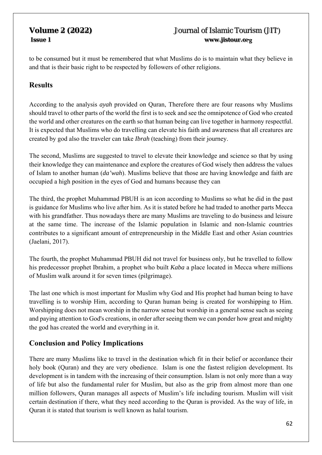to be consumed but it must be remembered that what Muslims do is to maintain what they believe in and that is their basic right to be respected by followers of other religions.

# **Results**

According to the analysis *ayah* provided on Quran, Therefore there are four reasons why Muslims should travel to other parts of the world the first is to seek and see the omnipotence of God who created the world and other creatures on the earth so that human being can live together in harmony respectful. It is expected that Muslims who do travelling can elevate his faith and awareness that all creatures are created by god also the traveler can take *Ibrah* (teaching) from their journey.

The second, Muslims are suggested to travel to elevate their knowledge and science so that by using their knowledge they can maintenance and explore the creatures of God wisely then address the values of Islam to another human (*da'wah*). Muslims believe that those are having knowledge and faith are occupied a high position in the eyes of God and humans because they can

The third, the prophet Muhammad PBUH is an icon according to Muslims so what he did in the past is guidance for Muslims who live after him. As it is stated before he had traded to another parts Mecca with his grandfather. Thus nowadays there are many Muslims are traveling to do business and leisure at the same time. The increase of the Islamic population in Islamic and non-Islamic countries contributes to a significant amount of entrepreneurship in the Middle East and other Asian countries (Jaelani, 2017).

The fourth, the prophet Muhammad PBUH did not travel for business only, but he travelled to follow his predecessor prophet Ibrahim, a prophet who built *Kaba* a place located in Mecca where millions of Muslim walk around it for seven times (pilgrimage).

The last one which is most important for Muslim why God and His prophet had human being to have travelling is to worship Him, according to Quran human being is created for worshipping to Him. Worshipping does not mean worship in the narrow sense but worship in a general sense such as seeing and paying attention to God's creations, in order after seeing them we can ponder how great and mighty the god has created the world and everything in it.

# **Conclusion and Policy Implications**

There are many Muslims like to travel in the destination which fit in their belief or accordance their holy book (Quran) and they are very obedience. Islam is one the fastest religion development. Its development is in tandem with the increasing of their consumption. Islam is not only more than a way of life but also the fundamental ruler for Muslim, but also as the grip from almost more than one million followers, Quran manages all aspects of Muslim's life including tourism. Muslim will visit certain destination if there, what they need according to the Quran is provided. As the way of life, in Quran it is stated that tourism is well known as halal tourism.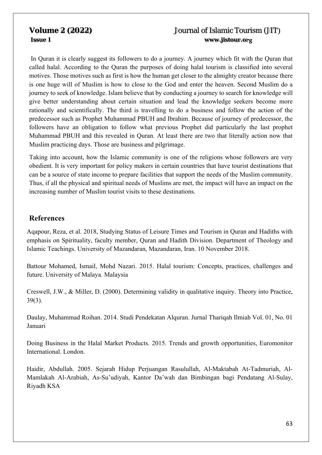In Quran it is clearly suggest its followers to do a journey. A journey which fit with the Quran that called halal. According to the Quran the purposes of doing halal tourism is classified into several motives. Those motives such as first is how the human get closer to the almighty creator because there is one huge will of Muslim is how to close to the God and enter the heaven. Second Muslim do a journey to seek of knowledge. Islam believe that by conducting a journey to search for knowledge will give better understanding about certain situation and lead the knowledge seekers become more rationally and scientifically. The third is travelling to do a business and follow the action of the predecessor such as Prophet Muhammad PBUH and Ibrahim. Because of journey of predecessor, the followers have an obligation to follow what previous Prophet did particularly the last prophet Muhammad PBUH and this revealed in Quran. At least there are two that literally action now that Muslim practicing days. Those are business and pilgrimage.

Taking into account, how the Islamic community is one of the religions whose followers are very obedient. It is very important for policy makers in certain countries that have tourist destinations that can be a source of state income to prepare facilities that support the needs of the Muslim community. Thus, if all the physical and spiritual needs of Muslims are met, the impact will have an impact on the increasing number of Muslim tourist visits to these destinations.

### **References**

Aqapour, Reza, et al. 2018, Studying Status of Leisure Times and Tourism in Quran and Hadiths with emphasis on Spirituality, faculty member, Quran and Hadith Division. Department of Theology and Islamic Teachings. University of Mazandaran, Mazandaran, Iran. 10 November 2018.

Battour Mohamed, Ismail, Mohd Nazari. 2015. Halal tourism: Concepts, practices, challenges and future. University of Malaya. Malaysia

Creswell, J.W., & Miller, D. (2000). Determining validity in qualitative inquiry. Theory into Practice, 39(3).

Daulay, Muhammad Roihan. 2014. Studi Pendekatan Alquran. Jurnal Thariqah Ilmiah Vol. 01, No. 01 Januari

Doing Business in the Halal Market Products. 2015. Trends and growth opportunities, Euromonitor International. London.

Haidir, Abdullah. 2005. Sejarah Hidup Perjuangan Rasulullah, Al-Maktabah At-Tadmuriah, Al-Mamlakah Al-Arabiah, As-Su'udiyah, Kantor Da'wah dan Bimbingan bagi Pendatang Al-Sulay, Riyadh KSA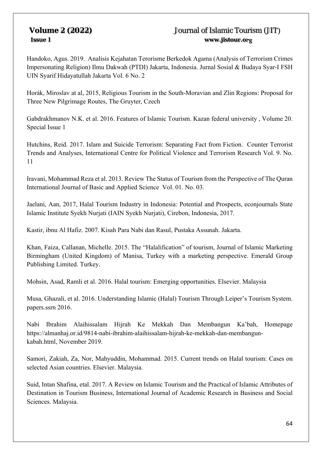Handoko, Agus. 2019. Analisis Kejahatan Terorisme Berkedok Agama (Analysis of Terrorism Crimes Impersonating Religion) Ilmu Dakwah (PTDI) Jakarta, Indonesia. Jurnal Sosial & Budaya Syar-I FSH UIN Syarif Hidayatullah Jakarta Vol. 6 No. 2

Horák, Miroslav at al, 2015, Religious Tourism in the South-Moravian and Zlin Regions: Proposal for Three New Pilgrimage Routes, The Gruyter, Czech

Gabdrakhmanov N.K. et al. 2016. Features of Islamic Tourism. Kazan federal university , Volume 20. Special Issue 1

Hutchins, Reid. 2017. Islam and Suicide Terrorism: Separating Fact from Fiction. Counter Terrorist Trends and Analyses, International Centre for Political Violence and Terrorism Research Vol. 9. No. 11

Iravani, Mohammad Reza et al. 2013. Review The Status of Tourism from the Perspective of The Quran International Journal of Basic and Applied Science Vol. 01. No. 03.

Jaelani, Aan, 2017, Halal Tourism Industry in Indonesia: Potential and Prospects, econjournals State Islamic Institute Syekh Nurjati (IAIN Syekh Nurjati), Cirebon, Indonesia, 2017.

Kastir, ibnu Al Hafiz. 2007. Kisah Para Nabi dan Rasul, Pustaka Assunah. Jakarta.

Khan, Faiza, Callanan, Michelle. 2015. The "Halalification" of tourism, Journal of Islamic Marketing Birmingham (United Kingdom) of Manisa, Turkey with a marketing perspective. Emerald Group Publishing Limited. Turkey.

Mohsin, Asad, Ramli et al. 2016. Halal tourism: Emerging opportunities. Elsevier. Malaysia

Musa, Ghazali, et al. 2016. Understanding Islamic (Halal) Tourism Through Leiper's Tourism System. papers.ssrn 2016.

Nabi Ibrahim Alaihissalam Hijrah Ke Mekkah Dan Membangun Ka'bah, Homepage https://almanhaj.or.id/9814-nabi-ibrahim-alaihissalam-hijrah-ke-mekkah-dan-membangunkabah.html, November 2019.

Samori, Zakiah, Za, Nor, Mahyuddin, Mohammad. 2015. Current trends on Halal tourism: Cases on selected Asian countries. Elsevier. Malaysia.

Suid, Intan Shafina, etal. 2017. A Review on Islamic Tourism and the Practical of Islamic Attributes of Destination in Tourism Business, International Journal of Academic Research in Business and Social Sciences. Malaysia.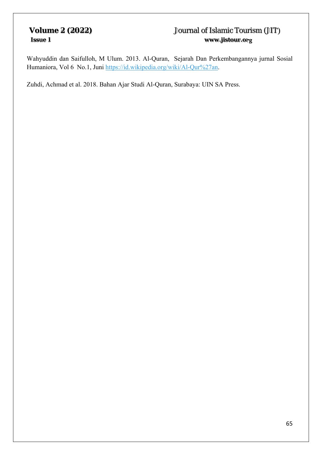Wahyuddin dan Saifulloh, M Ulum. 2013. Al-Quran, Sejarah Dan Perkembangannya jurnal Sosial Humaniora, Vol 6 No.1, Juni https://id.wikipedia.org/wiki/Al-Qur%27an.

Zuhdi, Achmad et al. 2018. Bahan Ajar Studi Al-Quran, Surabaya: UIN SA Press.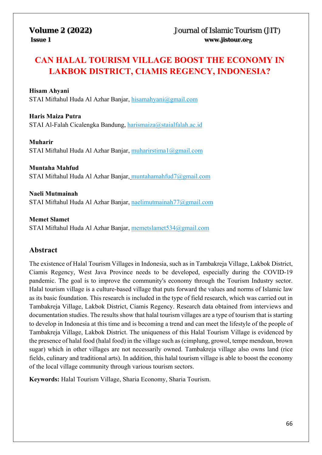# **CAN HALAL TOURISM VILLAGE BOOST THE ECONOMY IN LAKBOK DISTRICT, CIAMIS REGENCY, INDONESIA?**

### **Hisam Ahyani**

STAI Miftahul Huda Al Azhar Banjar, hisamahyani@gmail.com

**Haris Maiza Putra**  STAI Al-Falah Cicalengka Bandung, harismaiza@staialfalah.ac.id

**Muharir**  STAI Miftahul Huda Al Azhar Banjar, muharirstima1@gmail.com

**Muntaha Mahfud**  STAI Miftahul Huda Al Azhar Banjar, muntahamahfud7@gmail.com

**Naeli Mutmainah**  STAI Miftahul Huda Al Azhar Banjar, naelimutmainah77@gmail.com

**Memet Slamet**  STAI Miftahul Huda Al Azhar Banjar, memetslamet534@gmail.com

### **Abstract**

The existence of Halal Tourism Villages in Indonesia, such as in Tambakreja Village, Lakbok District, Ciamis Regency, West Java Province needs to be developed, especially during the COVID-19 pandemic. The goal is to improve the community's economy through the Tourism Industry sector. Halal tourism village is a culture-based village that puts forward the values and norms of Islamic law as its basic foundation. This research is included in the type of field research, which was carried out in Tambakreja Village, Lakbok District, Ciamis Regency. Research data obtained from interviews and documentation studies. The results show that halal tourism villages are a type of tourism that is starting to develop in Indonesia at this time and is becoming a trend and can meet the lifestyle of the people of Tambakreja Village, Lakbok District. The uniqueness of this Halal Tourism Village is evidenced by the presence of halal food (halal food) in the village such as (cimplung, growol, tempe mendoan, brown sugar) which in other villages are not necessarily owned. Tambakreja village also owns land (rice fields, culinary and traditional arts). In addition, this halal tourism village is able to boost the economy of the local village community through various tourism sectors.

**Keywords:** Halal Tourism Village, Sharia Economy, Sharia Tourism.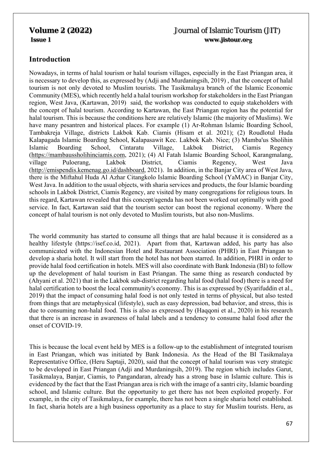# **Introduction**

Nowadays, in terms of halal tourism or halal tourism villages, especially in the East Priangan area, it is necessary to develop this, as expressed by (Adji and Murdaningsih, 2019) , that the concept of halal tourism is not only devoted to Muslim tourists. The Tasikmalaya branch of the Islamic Economic Community (MES), which recently held a halal tourism workshop for stakeholders in the East Priangan region, West Java, (Kartawan, 2019) said, the workshop was conducted to equip stakeholders with the concept of halal tourism. According to Kartawan, the East Priangan region has the potential for halal tourism. This is because the conditions here are relatively Islamic (the majority of Muslims). We have many pesantren and historical places. For example (1) Ar-Rohman Islamic Boarding School, Tambakreja Village, districts Lakbok Kab. Ciamis (Hisam et al. 2021); (2) Roudlotul Huda Kalapagada Islamic Boarding School, Kalapasawit Kec. Lakbok Kab. Nice; (3) Mamba'us Sholihin Islamic Boarding School, Cintaratu Village, Lakbok District, Ciamis Regency (https://mambaussholihinciamis.com, 2021); (4) Al Fatah Islamic Boarding School, Karangmalang, village Puloerang, Lakbok District, Ciamis Regency, West Java (http://emispendis.kemenag.go.id/dashboard, 2021). In addition, in the Banjar City area of West Java, there is the Miftahul Huda Al Azhar Citangkolo Islamic Boarding School (YaMAC) in Banjar City, West Java. In addition to the usual objects, with sharia services and products, the four Islamic boarding schools in Lakbok District, Ciamis Regency, are visited by many congregations for religious tours. In this regard, Kartawan revealed that this concept/agenda has not been worked out optimally with good service. In fact, Kartawan said that the tourism sector can boost the regional economy. Where the concept of halal tourism is not only devoted to Muslim tourists, but also non-Muslims.

The world community has started to consume all things that are halal because it is considered as a healthy lifestyle (https://isef.co.id, 2021). Apart from that, Kartawan added, his party has also communicated with the Indonesian Hotel and Restaurant Association (PHRI) in East Priangan to develop a sharia hotel. It will start from the hotel has not been starred. In addition, PHRI in order to provide halal food certification in hotels. MES will also coordinate with Bank Indonesia (BI) to follow up the development of halal tourism in East Priangan. The same thing as research conducted by (Ahyani et al. 2021) that in the Lakbok sub-district regarding halal food (halal food) there is a need for halal certification to boost the local community's economy. This is as expressed by (Syarifuddin et al., 2019) that the impact of consuming halal food is not only tested in terms of physical, but also tested from things that are metaphysical (lifestyle), such as easy depression, bad behavior, and stress, this is due to consuming non-halal food. This is also as expressed by (Haqqoni et al., 2020) in his research that there is an increase in awareness of halal labels and a tendency to consume halal food after the onset of COVID-19.

This is because the local event held by MES is a follow-up to the establishment of integrated tourism in East Priangan, which was initiated by Bank Indonesia. As the Head of the BI Tasikmalaya Representative Office, (Heru Saptaji, 2020), said that the concept of halal tourism was very strategic to be developed in East Priangan (Adji and Murdaningsih, 2019). The region which includes Garut, Tasikmalaya, Banjar, Ciamis, to Pangandaran, already has a strong base in Islamic culture. This is evidenced by the fact that the East Priangan area is rich with the image of a santri city, Islamic boarding school, and Islamic culture. But the opportunity to get there has not been exploited properly. For example, in the city of Tasikmalaya, for example, there has not been a single sharia hotel established. In fact, sharia hotels are a high business opportunity as a place to stay for Muslim tourists. Heru, as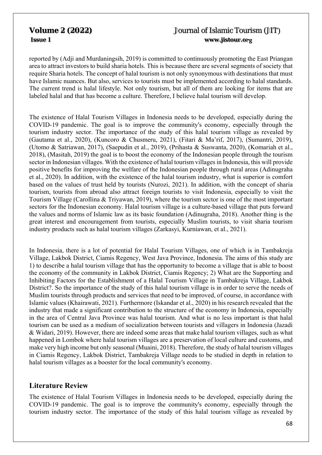reported by (Adji and Murdaningsih, 2019) is committed to continuously promoting the East Priangan area to attract investors to build sharia hotels. This is because there are several segments of society that require Sharia hotels. The concept of halal tourism is not only synonymous with destinations that must have Islamic nuances. But also, services to tourists must be implemented according to halal standards. The current trend is halal lifestyle. Not only tourism, but all of them are looking for items that are labeled halal and that has become a culture. Therefore, I believe halal tourism will develop.

The existence of Halal Tourism Villages in Indonesia needs to be developed, especially during the COVID-19 pandemic. The goal is to improve the community's economy, especially through the tourism industry sector. The importance of the study of this halal tourism village as revealed by (Gautama et al., 2020), (Kuncoro & Chusmeru, 2021), (Fitari & Ma'rif, 2017), (Sumantri, 2019), (Utomo & Satriawan, 2017), (Saepudin et al., 2019), (Prihasta & Suswanta, 2020), (Komariah et al., 2018), (Masitah, 2019) the goal is to boost the economy of the Indonesian people through the tourism sector in Indonesian villages. With the existence of halal tourism villages in Indonesia, this will provide positive benefits for improving the welfare of the Indonesian people through rural areas (Adinugraha et al., 2020). In addition, with the existence of the halal tourism industry, what is superior is comfort based on the values of trust held by tourists (Nurozi, 2021). In addition, with the concept of sharia tourism, tourists from abroad also attract foreign tourists to visit Indonesia, especially to visit the Tourism Village (Carollina & Triyawan, 2019), where the tourism sector is one of the most important sectors for the Indonesian economy. Halal tourism village is a culture-based village that puts forward the values and norms of Islamic law as its basic foundation (Adinugraha, 2018). Another thing is the great interest and encouragement from tourists, especially Muslim tourists, to visit sharia tourism industry products such as halal tourism villages (Zarkasyi, Kurniawan, et al., 2021).

In Indonesia, there is a lot of potential for Halal Tourism Villages, one of which is in Tambakreja Village, Lakbok District, Ciamis Regency, West Java Province, Indonesia. The aims of this study are 1) to describe a halal tourism village that has the opportunity to become a village that is able to boost the economy of the community in Lakbok District, Ciamis Regency; 2) What are the Supporting and Inhibiting Factors for the Establishment of a Halal Tourism Village in Tambakreja Village, Lakbok District?. So the importance of the study of this halal tourism village is in order to serve the needs of Muslim tourists through products and services that need to be improved, of course, in accordance with Islamic values (Khairawati, 2021). Furthermore (Iskandar et al., 2020) in his research revealed that the industry that made a significant contribution to the structure of the economy in Indonesia, especially in the area of Central Java Province was halal tourism. And what is no less important is that halal tourism can be used as a medium of socialization between tourists and villagers in Indonesia (Jazadi & Widari, 2019). However, there are indeed some areas that make halal tourism villages, such as what happened in Lombok where halal tourism villages are a preservation of local culture and customs, and make very high income but only seasonal (Muaini, 2018). Therefore, the study of halal tourism villages in Ciamis Regency, Lakbok District, Tambakreja Village needs to be studied in depth in relation to halal tourism villages as a booster for the local community's economy.

### **Literature Review**

The existence of Halal Tourism Villages in Indonesia needs to be developed, especially during the COVID-19 pandemic. The goal is to improve the community's economy, especially through the tourism industry sector. The importance of the study of this halal tourism village as revealed by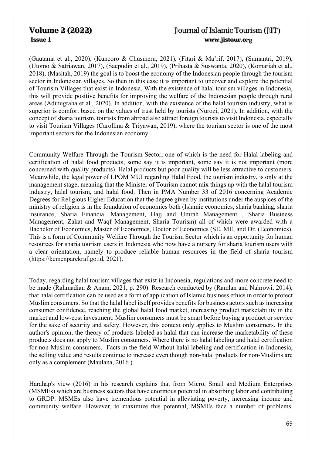(Gautama et al., 2020), (Kuncoro & Chusmeru, 2021), (Fitari & Ma'rif, 2017), (Sumantri, 2019), (Utomo & Satriawan, 2017), (Saepudin et al., 2019), (Prihasta & Suswanta, 2020), (Komariah et al., 2018), (Masitah, 2019) the goal is to boost the economy of the Indonesian people through the tourism sector in Indonesian villages. So then in this case it is important to uncover and explore the potential of Tourism Villages that exist in Indonesia. With the existence of halal tourism villages in Indonesia, this will provide positive benefits for improving the welfare of the Indonesian people through rural areas (Adinugraha et al., 2020). In addition, with the existence of the halal tourism industry, what is superior is comfort based on the values of trust held by tourists (Nurozi, 2021). In addition, with the concept of sharia tourism, tourists from abroad also attract foreign tourists to visit Indonesia, especially to visit Tourism Villages (Carollina & Triyawan, 2019), where the tourism sector is one of the most important sectors for the Indonesian economy.

Community Welfare Through the Tourism Sector, one of which is the need for Halal labeling and certification of halal food products, some say it is important, some say it is not important (more concerned with quality products). Halal products but poor quality will be less attractive to customers. Meanwhile, the legal power of LPOM MUI regarding Halal Food, the tourism industry, is only at the management stage, meaning that the Minister of Tourism cannot mix things up with the halal tourism industry, halal tourism, and halal food. Then in PMA Number 33 of 2016 concerning Academic Degrees for Religious Higher Education that the degree given by institutions under the auspices of the ministry of religion is in the foundation of economics both (Islamic economics, sharia banking, sharia insurance, Sharia Financial Management, Hajj and Umrah Management , Sharia Business Management, Zakat and Waqf Management, Sharia Tourism) all of which were awarded with a Bachelor of Economics, Master of Economics, Doctor of Economics (SE, ME, and Dr. (Economics). This is a form of Community Welfare Through the Tourism Sector which is an opportunity for human resources for sharia tourism users in Indonesia who now have a nursery for sharia tourism users with a clear orientation, namely to produce reliable human resources in the field of sharia tourism (https://kemenparekraf.go.id, 2021).

Today, regarding halal tourism villages that exist in Indonesia, regulations and more concrete need to be made (Rahmadian & Anam, 2021, p. 290). Research conducted by (Ramlan and Nahrowi, 2014), that halal certification can be used as a form of application of Islamic business ethics in order to protect Muslim consumers. So that the halal label itself provides benefits for business actors such as increasing consumer confidence, reaching the global halal food market, increasing product marketability in the market and low-cost investment. Muslim consumers must be smart before buying a product or service for the sake of security and safety. However, this context only applies to Muslim consumers. In the author's opinion, the theory of products labeled as halal that can increase the marketability of these products does not apply to Muslim consumers. Where there is no halal labeling and halal certification for non-Muslim consumers. Facts in the field Without halal labeling and certification in Indonesia, the selling value and results continue to increase even though non-halal products for non-Muslims are only as a complement (Maulana, 2016 ).

Harahap's view (2016) in his research explains that from Micro, Small and Medium Enterprises (MSMEs) which are business sectors that have enormous potential in absorbing labor and contributing to GRDP. MSMEs also have tremendous potential in alleviating poverty, increasing income and community welfare. However, to maximize this potential, MSMEs face a number of problems.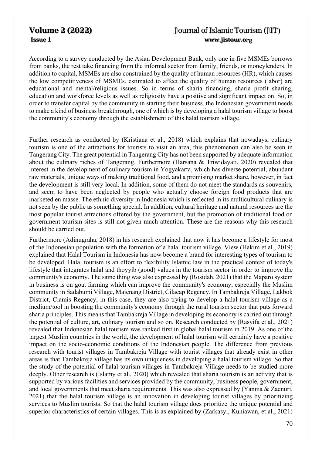According to a survey conducted by the Asian Development Bank, only one in five MSMEs borrows from banks, the rest take financing from the informal sector from family, friends, or moneylenders. In addition to capital, MSMEs are also constrained by the quality of human resources (HR), which causes the low competitiveness of MSMEs. estimated to affect the quality of human resources (labor) are educational and mental/religious issues. So in terms of sharia financing, sharia profit sharing, education and workforce levels as well as religiosity have a positive and significant impact on. So, in order to transfer capital by the community in starting their business, the Indonesian government needs to make a kind of business breakthrough, one of which is by developing a halal tourism village to boost the community's economy through the establishment of this halal tourism village.

Further research as conducted by (Kristiana et al., 2018) which explains that nowadays, culinary tourism is one of the attractions for tourists to visit an area, this phenomenon can also be seen in Tangerang City. The great potential in Tangerang City has not been supported by adequate information about the culinary riches of Tangerang. Furthermore (Harsana & Triwidayati, 2020) revealed that interest in the development of culinary tourism in Yogyakarta, which has diverse potential, abundant raw materials, unique ways of making traditional food, and a promising market share, however, in fact the development is still very local. In addition, some of them do not meet the standards as souvenirs, and seem to have been neglected by people who actually choose foreign food products that are marketed en masse. The ethnic diversity in Indonesia which is reflected in its multicultural culinary is not seen by the public as something special. In addition, cultural heritage and natural resources are the most popular tourist attractions offered by the government, but the promotion of traditional food on government tourism sites is still not given much attention. These are the reasons why this research should be carried out.

Furthermore (Adinugraha, 2018) in his research explained that now it has become a lifestyle for most of the Indonesian population with the formation of a halal tourism village. View (Hakim et al., 2019) explained that Halal Tourism in Indonesia has now become a brand for interesting types of tourism to be developed. Halal tourism is an effort to flexibility Islamic law in the practical context of today's lifestyle that integrates halal and thoyyib (good) values in the tourism sector in order to improve the community's economy. The same thing was also expressed by (Rosidah, 2021) that the Maparo system in business is on goat farming which can improve the community's economy, especially the Muslim community in Sadabumi Village, Majenang District, Cilacap Regency. In Tambakreja Village, Lakbok District, Ciamis Regency, in this case, they are also trying to develop a halal tourism village as a medium/tool in boosting the community's economy through the rural tourism sector that puts forward sharia principles. This means that Tambakreja Village in developing its economy is carried out through the potential of culture, art, culinary tourism and so on. Research conducted by (Rasyifa et al., 2021) revealed that Indonesian halal tourism was ranked first in global halal tourism in 2019. As one of the largest Muslim countries in the world, the development of halal tourism will certainly have a positive impact on the socio-economic conditions of the Indonesian people. The difference from previous research with tourist villages in Tambakreja Village with tourist villages that already exist in other areas is that Tambakreja village has its own uniqueness in developing a halal tourism village. So that the study of the potential of halal tourism villages in Tambakreja Village needs to be studied more deeply. Other research is (Islamy et al., 2020) which revealed that sharia tourism is an activity that is supported by various facilities and services provided by the community, business people, government, and local governments that meet sharia requirements. This was also expressed by (Yanma & Zaenuri, 2021) that the halal tourism village is an innovation in developing tourist villages by prioritizing services to Muslim tourists. So that the halal tourism village does prioritize the unique potential and superior characteristics of certain villages. This is as explained by (Zarkasyi, Kuniawan, et al., 2021)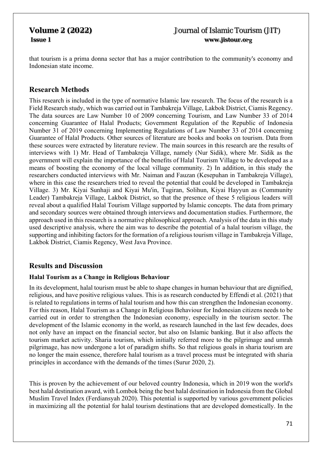that tourism is a prima donna sector that has a major contribution to the community's economy and Indonesian state income.

### **Research Methods**

This research is included in the type of normative Islamic law research. The focus of the research is a Field Research study, which was carried out in Tambakreja Village, Lakbok District, Ciamis Regency. The data sources are Law Number 10 of 2009 concerning Tourism, and Law Number 33 of 2014 concerning Guarantee of Halal Products; Government Regulation of the Republic of Indonesia Number 31 of 2019 concerning Implementing Regulations of Law Number 33 of 2014 concerning Guarantee of Halal Products. Other sources of literature are books and books on tourism. Data from these sources were extracted by literature review. The main sources in this research are the results of interviews with 1) Mr. Head of Tambakreja Village, namely (Nur Sidik), where Mr. Sidik as the government will explain the importance of the benefits of Halal Tourism Village to be developed as a means of boosting the economy of the local village community. 2) In addition, in this study the researchers conducted interviews with Mr. Naiman and Fauzan (Kesepuhan in Tambakreja Village), where in this case the researchers tried to reveal the potential that could be developed in Tambakreja Village. 3) Mr. Kiyai Sunhaji and Kiyai Mu'in, Tugiran, Solihun, Kiyai Hayyun as (Community Leader) Tambakreja Village, Lakbok District, so that the presence of these 5 religious leaders will reveal about a qualified Halal Tourism Village supported by Islamic concepts. The data from primary and secondary sources were obtained through interviews and documentation studies. Furthermore, the approach used in this research is a normative philosophical approach. Analysis of the data in this study used descriptive analysis, where the aim was to describe the potential of a halal tourism village, the supporting and inhibiting factors for the formation of a religious tourism village in Tambakreja Village, Lakbok District, Ciamis Regency, West Java Province.

### **Results and Discussion**

### **Halal Tourism as a Change in Religious Behaviour**

In its development, halal tourism must be able to shape changes in human behaviour that are dignified, religious, and have positive religious values. This is as research conducted by Effendi et al. (2021) that is related to regulations in terms of halal tourism and how this can strengthen the Indonesian economy. For this reason, Halal Tourism as a Change in Religious Behaviour for Indonesian citizens needs to be carried out in order to strengthen the Indonesian economy, especially in the tourism sector. The development of the Islamic economy in the world, as research launched in the last few decades, does not only have an impact on the financial sector, but also on Islamic banking. But it also affects the tourism market activity. Sharia tourism, which initially referred more to the pilgrimage and umrah pilgrimage, has now undergone a lot of paradigm shifts. So that religious goals in sharia tourism are no longer the main essence, therefore halal tourism as a travel process must be integrated with sharia principles in accordance with the demands of the times (Surur 2020, 2).

This is proven by the achievement of our beloved country Indonesia, which in 2019 won the world's best halal destination award, with Lombok being the best halal destination in Indonesia from the Global Muslim Travel Index (Ferdiansyah 2020). This potential is supported by various government policies in maximizing all the potential for halal tourism destinations that are developed domestically. In the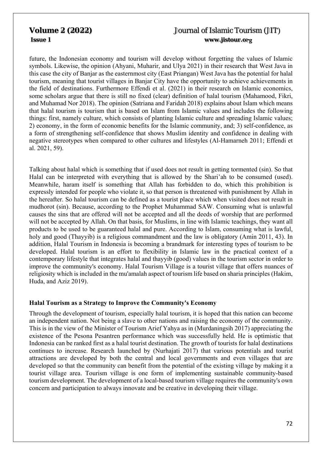future, the Indonesian economy and tourism will develop without forgetting the values of Islamic symbols. Likewise, the opinion (Ahyani, Muharir, and Ulya 2021) in their research that West Java in this case the city of Banjar as the easternmost city (East Priangan) West Java has the potential for halal tourism, meaning that tourist villages in Banjar City have the opportunity to achieve achievements in the field of destinations. Furthermore Effendi et al. (2021) in their research on Islamic economics, some scholars argue that there is still no fixed (clear) definition of halal tourism (Mahamood, Fikri, and Muhamad Nor 2018). The opinion (Satriana and Faridah 2018) explains about Islam which means that halal tourism is tourism that is based on Islam from Islamic values and includes the following things: first, namely culture, which consists of planting Islamic culture and spreading Islamic values; 2) economy, in the form of economic benefits for the Islamic community, and; 3) self-confidence, as a form of strengthening self-confidence that shows Muslim identity and confidence in dealing with negative stereotypes when compared to other cultures and lifestyles (Al-Hamarneh 2011; Effendi et al. 2021, 59).

Talking about halal which is something that if used does not result in getting tormented (sin). So that Halal can be interpreted with everything that is allowed by the Shari'ah to be consumed (used). Meanwhile, haram itself is something that Allah has forbidden to do, which this prohibition is expressly intended for people who violate it, so that person is threatened with punishment by Allah in the hereafter. So halal tourism can be defined as a tourist place which when visited does not result in mudhorot (sin). Because, according to the Prophet Muhammad SAW. Consuming what is unlawful causes the sins that are offered will not be accepted and all the deeds of worship that are performed will not be accepted by Allah. On that basis, for Muslims, in line with Islamic teachings, they want all products to be used to be guaranteed halal and pure. According to Islam, consuming what is lawful, holy and good (Thayyib) is a religious commandment and the law is obligatory (Amin 2011, 43). In addition, Halal Tourism in Indonesia is becoming a brandmark for interesting types of tourism to be developed. Halal tourism is an effort to flexibility in Islamic law in the practical context of a contemporary lifestyle that integrates halal and thayyib (good) values in the tourism sector in order to improve the community's economy. Halal Tourism Village is a tourist village that offers nuances of religiosity which is included in the mu'amalah aspect of tourism life based on sharia principles (Hakim, Huda, and Aziz 2019).

### **Halal Tourism as a Strategy to Improve the Community's Economy**

Through the development of tourism, especially halal tourism, it is hoped that this nation can become an independent nation. Not being a slave to other nations and raising the economy of the community. This is in the view of the Minister of Tourism Arief Yahya as in (Murdaningsih 2017) appreciating the existence of the Pesona Pesantren performance which was successfully held. He is optimistic that Indonesia can be ranked first as a halal tourist destination. The growth of tourists for halal destinations continues to increase. Research launched by (Nurhajati 2017) that various potentials and tourist attractions are developed by both the central and local governments and even villages that are developed so that the community can benefit from the potential of the existing village by making it a tourist village area. Tourism village is one form of implementing sustainable community-based tourism development. The development of a local-based tourism village requires the community's own concern and participation to always innovate and be creative in developing their village.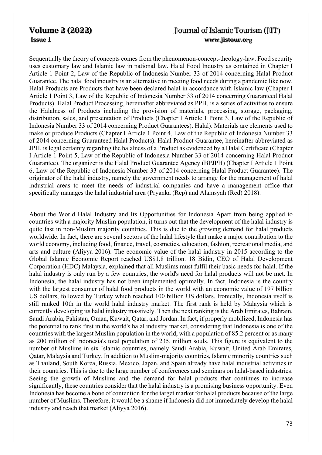Sequentially the theory of concepts comes from the phenomenon-concept-theology-law. Food security uses customary law and Islamic law in national law. Halal Food Industry as contained in Chapter I Article 1 Point 2, Law of the Republic of Indonesia Number 33 of 2014 concerning Halal Product Guarantee. The halal food industry is an alternative in meeting food needs during a pandemic like now. Halal Products are Products that have been declared halal in accordance with Islamic law (Chapter I Article 1 Point 3, Law of the Republic of Indonesia Number 33 of 2014 concerning Guaranteed Halal Products). Halal Product Processing, hereinafter abbreviated as PPH, is a series of activities to ensure the Halalness of Products including the provision of materials, processing, storage, packaging, distribution, sales, and presentation of Products (Chapter I Article 1 Point 3, Law of the Republic of Indonesia Number 33 of 2014 concerning Product Guarantees). Halal). Materials are elements used to make or produce Products (Chapter I Article 1 Point 4, Law of the Republic of Indonesia Number 33 of 2014 concerning Guaranteed Halal Products). Halal Product Guarantee, hereinafter abbreviated as JPH, is legal certainty regarding the halalness of a Product as evidenced by a Halal Certificate (Chapter I Article 1 Point 5, Law of the Republic of Indonesia Number 33 of 2014 concerning Halal Product Guarantee). The organizer is the Halal Product Guarantee Agency (BPJPH) (Chapter I Article 1 Point 6, Law of the Republic of Indonesia Number 33 of 2014 concerning Halal Product Guarantee). The originator of the halal industry, namely the government needs to arrange for the management of halal industrial areas to meet the needs of industrial companies and have a management office that specifically manages the halal industrial area (Pryanka (Rep) and Alamsyah (Red) 2018).

About the World Halal Industry and Its Opportunities for Indonesia Apart from being applied to countries with a majority Muslim population, it turns out that the development of the halal industry is quite fast in non-Muslim majority countries. This is due to the growing demand for halal products worldwide. In fact, there are several sectors of the halal lifestyle that make a major contribution to the world economy, including food, finance, travel, cosmetics, education, fashion, recreational media, and arts and culture (Aliyya 2016). The economic value of the halal industry in 2015 according to the Global Islamic Economic Report reached US\$1.8 trillion. 18 Bidin, CEO of Halal Development Corporation (HDC) Malaysia, explained that all Muslims must fulfil their basic needs for halal. If the halal industry is only run by a few countries, the world's need for halal products will not be met. In Indonesia, the halal industry has not been implemented optimally. In fact, Indonesia is the country with the largest consumer of halal food products in the world with an economic value of 197 billion US dollars, followed by Turkey which reached 100 billion US dollars. Ironically, Indonesia itself is still ranked 10th in the world halal industry market. The first rank is held by Malaysia which is currently developing its halal industry massively. Then the next ranking is the Arab Emirates, Bahrain, Saudi Arabia, Pakistan, Oman, Kuwait, Qatar, and Jordan. In fact, if properly mobilized, Indonesia has the potential to rank first in the world's halal industry market, considering that Indonesia is one of the countries with the largest Muslim population in the world, with a population of 85.2 percent or as many as 200 million of Indonesia's total population of 235. million souls. This figure is equivalent to the number of Muslims in six Islamic countries, namely Saudi Arabia, Kuwait, United Arab Emirates, Qatar, Malaysia and Turkey. In addition to Muslim-majority countries, Islamic minority countries such as Thailand, South Korea, Russia, Mexico, Japan, and Spain already have halal industrial activities in their countries. This is due to the large number of conferences and seminars on halal-based industries. Seeing the growth of Muslims and the demand for halal products that continues to increase significantly, these countries consider that the halal industry is a promising business opportunity. Even Indonesia has become a bone of contention for the target market for halal products because of the large number of Muslims. Therefore, it would be a shame if Indonesia did not immediately develop the halal industry and reach that market (Aliyya 2016).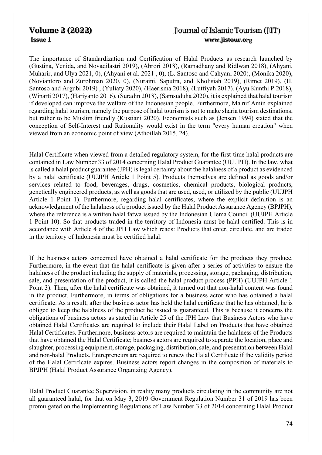The importance of Standardization and Certification of Halal Products as research launched by (Gustina, Yenida, and Novadilastri 2019), (Abrori 2018), (Ramadhany and Ridlwan 2018), (Ahyani, Muharir, and Ulya 2021, 0), (Ahyani et al. 2021 , 0), (L. Santoso and Cahyani 2020), (Monika 2020), (Noviantoro and Zurohman 2020, 0), (Nuraini, Saputra, and Kholisiah 2019), (Rimet 2019), (H. Santoso and Argubi 2019) , (Yuliaty 2020), (Haerisma 2018), (Lutfiyah 2017), (Ayu Kunthi P 2018), (Winarti 2017), (Hariyanto 2016), (Suradin 2018), (Samsuduha 2020), it is explained that halal tourism if developed can improve the welfare of the Indonesian people. Furthermore, Ma'ruf Amin explained regarding halal tourism, namely the purpose of halal tourism is not to make sharia tourism destinations, but rather to be Muslim friendly (Kustiani 2020). Economists such as (Jensen 1994) stated that the conception of Self-Interest and Rationality would exist in the term "every human creation" when viewed from an economic point of view (Athoillah 2015, 24).

Halal Certificate when viewed from a detailed regulatory system, for the first-time halal products are contained in Law Number 33 of 2014 concerning Halal Product Guarantee (UU JPH). In the law, what is called a halal product guarantee (JPH) is legal certainty about the halalness of a product as evidenced by a halal certificate (UUJPH Article 1 Point 5). Products themselves are defined as goods and/or services related to food, beverages, drugs, cosmetics, chemical products, biological products, genetically engineered products, as well as goods that are used, used, or utilized by the public (UUJPH Article 1 Point 1). Furthermore, regarding halal certificates, where the explicit definition is an acknowledgment of the halalness of a product issued by the Halal Product Assurance Agency (BPJPH), where the reference is a written halal fatwa issued by the Indonesian Ulema Council (UUJPH Article 1 Point 10). So that products traded in the territory of Indonesia must be halal certified. This is in accordance with Article 4 of the JPH Law which reads: Products that enter, circulate, and are traded in the territory of Indonesia must be certified halal.

If the business actors concerned have obtained a halal certificate for the products they produce. Furthermore, in the event that the halal certificate is given after a series of activities to ensure the halalness of the product including the supply of materials, processing, storage, packaging, distribution, sale, and presentation of the product, it is called the halal product process (PPH) (UUJPH Article 1 Point 3). Then, after the halal certificate was obtained, it turned out that non-halal content was found in the product. Furthermore, in terms of obligations for a business actor who has obtained a halal certificate. As a result, after the business actor has held the halal certificate that he has obtained, he is obliged to keep the halalness of the product he issued is guaranteed. This is because it concerns the obligations of business actors as stated in Article 25 of the JPH Law that Business Actors who have obtained Halal Certificates are required to include their Halal Label on Products that have obtained Halal Certificates. Furthermore, business actors are required to maintain the halalness of the Products that have obtained the Halal Certificate; business actors are required to separate the location, place and slaughter, processing equipment, storage, packaging, distribution, sale, and presentation between Halal and non-halal Products. Entrepreneurs are required to renew the Halal Certificate if the validity period of the Halal Certificate expires. Business actors report changes in the composition of materials to BPJPH (Halal Product Assurance Organizing Agency).

Halal Product Guarantee Supervision, in reality many products circulating in the community are not all guaranteed halal, for that on May 3, 2019 Government Regulation Number 31 of 2019 has been promulgated on the Implementing Regulations of Law Number 33 of 2014 concerning Halal Product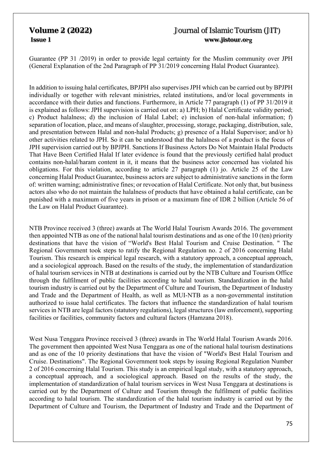Guarantee (PP 31 /2019) in order to provide legal certainty for the Muslim community over JPH (General Explanation of the 2nd Paragraph of PP 31/2019 concerning Halal Product Guarantee).

In addition to issuing halal certificates, BPJPH also supervises JPH which can be carried out by BPJPH individually or together with relevant ministries, related institutions, and/or local governments in accordance with their duties and functions. Furthermore, in Article 77 paragraph (1) of PP 31/2019 it is explained as follows: JPH supervision is carried out on: a) LPH; b) Halal Certificate validity period; c) Product halalness; d) the inclusion of Halal Label; e) inclusion of non-halal information; f) separation of location, place, and means of slaughter, processing, storage, packaging, distribution, sale, and presentation between Halal and non-halal Products; g) presence of a Halal Supervisor; and/or h) other activities related to JPH. So it can be understood that the halalness of a product is the focus of JPH supervision carried out by BPJPH. Sanctions If Business Actors Do Not Maintain Halal Products That Have Been Certified Halal If later evidence is found that the previously certified halal product contains non-halal/haram content in it, it means that the business actor concerned has violated his obligations. For this violation, according to article 27 paragraph (1) jo. Article 25 of the Law concerning Halal Product Guarantee, business actors are subject to administrative sanctions in the form of: written warning; administrative fines; or revocation of Halal Certificate. Not only that, but business actors also who do not maintain the halalness of products that have obtained a halal certificate, can be punished with a maximum of five years in prison or a maximum fine of IDR 2 billion (Article 56 of the Law on Halal Product Guarantee).

NTB Province received 3 (three) awards at The World Halal Tourism Awards 2016. The government then appointed NTB as one of the national halal tourism destinations and as one of the 10 (ten) priority destinations that have the vision of "World's Best Halal Tourism and Cruise Destination. " The Regional Government took steps to ratify the Regional Regulation no. 2 of 2016 concerning Halal Tourism. This research is empirical legal research, with a statutory approach, a conceptual approach, and a sociological approach. Based on the results of the study, the implementation of standardization of halal tourism services in NTB at destinations is carried out by the NTB Culture and Tourism Office through the fulfilment of public facilities according to halal tourism. Standardization in the halal tourism industry is carried out by the Department of Culture and Tourism, the Department of Industry and Trade and the Department of Health, as well as MUI-NTB as a non-governmental institution authorized to issue halal certificates. The factors that influence the standardization of halal tourism services in NTB are legal factors (statutory regulations), legal structures (law enforcement), supporting facilities or facilities, community factors and cultural factors (Hamzana 2018).

West Nusa Tenggara Province received 3 (three) awards in The World Halal Tourism Awards 2016. The government then appointed West Nusa Tenggara as one of the national halal tourism destinations and as one of the 10 priority destinations that have the vision of "World's Best Halal Tourism and Cruise. Destinations". The Regional Government took steps by issuing Regional Regulation Number 2 of 2016 concerning Halal Tourism. This study is an empirical legal study, with a statutory approach, a conceptual approach, and a sociological approach. Based on the results of the study, the implementation of standardization of halal tourism services in West Nusa Tenggara at destinations is carried out by the Department of Culture and Tourism through the fulfilment of public facilities according to halal tourism. The standardization of the halal tourism industry is carried out by the Department of Culture and Tourism, the Department of Industry and Trade and the Department of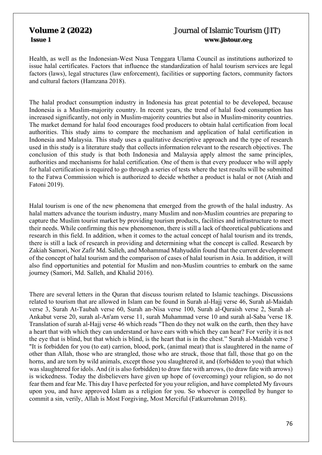Health, as well as the Indonesian-West Nusa Tenggara Ulama Council as institutions authorized to issue halal certificates. Factors that influence the standardization of halal tourism services are legal factors (laws), legal structures (law enforcement), facilities or supporting factors, community factors and cultural factors (Hamzana 2018).

The halal product consumption industry in Indonesia has great potential to be developed, because Indonesia is a Muslim-majority country. In recent years, the trend of halal food consumption has increased significantly, not only in Muslim-majority countries but also in Muslim-minority countries. The market demand for halal food encourages food producers to obtain halal certification from local authorities. This study aims to compare the mechanism and application of halal certification in Indonesia and Malaysia. This study uses a qualitative descriptive approach and the type of research used in this study is a literature study that collects information relevant to the research objectives. The conclusion of this study is that both Indonesia and Malaysia apply almost the same principles, authorities and mechanisms for halal certification. One of them is that every producer who will apply for halal certification is required to go through a series of tests where the test results will be submitted to the Fatwa Commission which is authorized to decide whether a product is halal or not (Atiah and Fatoni 2019).

Halal tourism is one of the new phenomena that emerged from the growth of the halal industry. As halal matters advance the tourism industry, many Muslim and non-Muslim countries are preparing to capture the Muslim tourist market by providing tourism products, facilities and infrastructure to meet their needs. While confirming this new phenomenon, there is still a lack of theoretical publications and research in this field. In addition, when it comes to the actual concept of halal tourism and its trends, there is still a lack of research in providing and determining what the concept is called. Research by Zakiah Samori, Nor Zafir Md. Salleh, and Mohammad Mahyuddin found that the current development of the concept of halal tourism and the comparison of cases of halal tourism in Asia. In addition, it will also find opportunities and potential for Muslim and non-Muslim countries to embark on the same journey (Samori, Md. Salleh, and Khalid 2016).

There are several letters in the Quran that discuss tourism related to Islamic teachings. Discussions related to tourism that are allowed in Islam can be found in Surah al-Hajj verse 46, Surah al-Maidah verse 3, Surah At-Taubah verse 60, Surah an-Nisa verse 100, Surah al-Quraish verse 2, Surah al-Ankabut verse 20, surah al-An'am verse 11, surah Muhammad verse 10 and surah al-Saba 'verse 18. Translation of surah al-Hajj verse 46 which reads "Then do they not walk on the earth, then they have a heart that with which they can understand or have ears with which they can hear? For verily it is not the eye that is blind, but that which is blind, is the heart that is in the chest." Surah al-Maidah verse 3 "It is forbidden for you (to eat) carrion, blood, pork, (animal meat) that is slaughtered in the name of other than Allah, those who are strangled, those who are struck, those that fall, those that go on the horns, and are torn by wild animals, except those you slaughtered it, and (forbidden to you) that which was slaughtered for idols. And (it is also forbidden) to draw fate with arrows, (to draw fate with arrows) is wickedness. Today the disbelievers have given up hope of (overcoming) your religion, so do not fear them and fear Me. This day I have perfected for you your religion, and have completed My favours upon you, and have approved Islam as a religion for you. So whoever is compelled by hunger to commit a sin, verily, Allah is Most Forgiving, Most Merciful (Fatkurrohman 2018).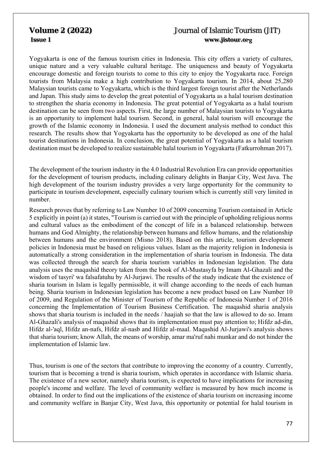Yogyakarta is one of the famous tourism cities in Indonesia. This city offers a variety of cultures, unique nature and a very valuable cultural heritage. The uniqueness and beauty of Yogyakarta encourage domestic and foreign tourists to come to this city to enjoy the Yogyakarta race. Foreign tourists from Malaysia make a high contribution to Yogyakarta tourism. In 2014, about 25,280 Malaysian tourists came to Yogyakarta, which is the third largest foreign tourist after the Netherlands and Japan. This study aims to develop the great potential of Yogyakarta as a halal tourism destination to strengthen the sharia economy in Indonesia. The great potential of Yogyakarta as a halal tourism destination can be seen from two aspects. First, the large number of Malaysian tourists to Yogyakarta is an opportunity to implement halal tourism. Second, in general, halal tourism will encourage the growth of the Islamic economy in Indonesia. I used the document analysis method to conduct this research. The results show that Yogyakarta has the opportunity to be developed as one of the halal tourist destinations in Indonesia. In conclusion, the great potential of Yogyakarta as a halal tourism destination must be developed to realize sustainable halal tourism in Yogyakarta (Fatkurrohman 2017).

The development of the tourism industry in the 4.0 Industrial Revolution Era can provide opportunities for the development of tourism products, including culinary delights in Banjar City, West Java. The high development of the tourism industry provides a very large opportunity for the community to participate in tourism development, especially culinary tourism which is currently still very limited in number.

Research proves that by referring to Law Number 10 of 2009 concerning Tourism contained in Article 5 explicitly in point (a) it states, "Tourism is carried out with the principle of upholding religious norms and cultural values as the embodiment of the concept of life in a balanced relationship. between humans and God Almighty, the relationship between humans and fellow humans, and the relationship between humans and the environment (Misno 2018). Based on this article, tourism development policies in Indonesia must be based on religious values. Islam as the majority religion in Indonesia is automatically a strong consideration in the implementation of sharia tourism in Indonesia. The data was collected through the search for sharia tourism variables in Indonesian legislation. The data analysis uses the maqashid theory taken from the book of Al-Mustasyfa by Imam Al-Ghazali and the wisdom of tasyri' wa falsafatuhu by Al-Jurjawi. The results of the study indicate that the existence of sharia tourism in Islam is legally permissible, it will change according to the needs of each human being. Sharia tourism in Indonesian legislation has become a new product based on Law Number 10 of 2009, and Regulation of the Minister of Tourism of the Republic of Indonesia Number 1 of 2016 concerning the Implementation of Tourism Business Certification. The maqashid sharia analysis shows that sharia tourism is included in the needs / haajiah so that the law is allowed to do so. Imam Al-Ghazali's analysis of maqashid shows that its implementation must pay attention to; Hifdz ad-din, Hifdz al-'aql, Hifdz an-nafs, Hifdz al-nasb and Hifdz al-maal. Maqashid Al-Jurjawi's analysis shows that sharia tourism; know Allah, the means of worship, amar ma'ruf nahi munkar and do not hinder the implementation of Islamic law.

Thus, tourism is one of the sectors that contribute to improving the economy of a country. Currently, tourism that is becoming a trend is sharia tourism, which operates in accordance with Islamic sharia. The existence of a new sector, namely sharia tourism, is expected to have implications for increasing people's income and welfare. The level of community welfare is measured by how much income is obtained. In order to find out the implications of the existence of sharia tourism on increasing income and community welfare in Banjar City, West Java, this opportunity or potential for halal tourism in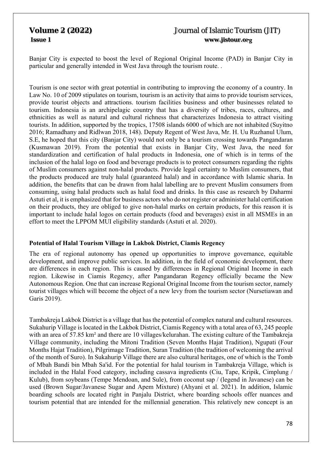Banjar City is expected to boost the level of Regional Original Income (PAD) in Banjar City in particular and generally intended in West Java through the tourism route. .

Tourism is one sector with great potential in contributing to improving the economy of a country. In Law No. 10 of 2009 stipulates on tourism, tourism is an activity that aims to provide tourism services, provide tourist objects and attractions. tourism facilities business and other businesses related to tourism. Indonesia is an archipelagic country that has a diversity of tribes, races, cultures, and ethnicities as well as natural and cultural richness that characterizes Indonesia to attract visiting tourists. In addition, supported by the tropics, 17508 islands 6000 of which are not inhabited (Suyitno 2016; Ramadhany and Ridlwan 2018, 148). Deputy Regent of West Java, Mr. H. Uu Ruzhanul Ulum, S.E, he hoped that this city (Banjar City) would not only be a tourism crossing towards Pangandaran (Kusmawan 2019). From the potential that exists in Banjar City, West Java, the need for standardization and certification of halal products in Indonesia, one of which is in terms of the inclusion of the halal logo on food and beverage products is to protect consumers regarding the rights of Muslim consumers against non-halal products. Provide legal certainty to Muslim consumers, that the products produced are truly halal (guaranteed halal) and in accordance with Islamic sharia. In addition, the benefits that can be drawn from halal labelling are to prevent Muslim consumers from consuming, using halal products such as halal food and drinks. In this case as research by Daharmi Astuti et al, it is emphasized that for business actors who do not register or administer halal certification on their products, they are obliged to give non-halal marks on certain products, for this reason it is important to include halal logos on certain products (food and beverages) exist in all MSMEs in an effort to meet the LPPOM MUI eligibility standards (Astuti et al. 2020).

## **Potential of Halal Tourism Village in Lakbok District, Ciamis Regency**

The era of regional autonomy has opened up opportunities to improve governance, equitable development, and improve public services. In addition, in the field of economic development, there are differences in each region. This is caused by differences in Regional Original Income in each region. Likewise in Ciamis Regency, after Pangandaran Regency officially became the New Autonomous Region. One that can increase Regional Original Income from the tourism sector, namely tourist villages which will become the object of a new levy from the tourism sector (Nursetiawan and Garis 2019).

Tambakreja Lakbok District is a village that has the potential of complex natural and cultural resources. Sukahurip Village is located in the Lakbok District, Ciamis Regency with a total area of 63, 245 people with an area of 57.85 km<sup>2</sup> and there are 10 villages/kelurahan. The existing culture of the Tambakreja Village community, including the Mitoni Tradition (Seven Months Hajat Tradition), Ngupati (Four Months Hajat Tradition), Pilgrimage Tradition, Suran Tradition (the tradition of welcoming the arrival of the month of Suro). In Sukahurip Village there are also cultural heritages, one of which is the Tomb of Mbah Bandi bin Mbah Sa'id. For the potential for halal tourism in Tambakreja Village, which is included in the Halal Food category, including cassava ingredients (Ciu, Tape, Kripik, Cimplung / Kulub), from soybeans (Tempe Mendoan, and Sule), from coconut sap / (legend in Javanese) can be used (Brown Sugar/Javanese Sugar and Apem Mixture) (Ahyani et al. 2021). In addition, Islamic boarding schools are located right in Panjalu District, where boarding schools offer nuances and tourism potential that are intended for the millennial generation. This relatively new concept is an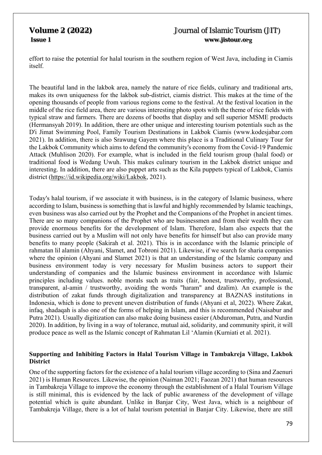effort to raise the potential for halal tourism in the southern region of West Java, including in Ciamis itself.

The beautiful land in the lakbok area, namely the nature of rice fields, culinary and traditional arts, makes its own uniqueness for the lakbok sub-district, ciamis district. This makes at the time of the opening thousands of people from various regions come to the festival. At the festival location in the middle of the rice field area, there are various interesting photo spots with the theme of rice fields with typical straw and farmers. There are dozens of booths that display and sell superior MSME products (Hermansyah 2019). In addition, there are other unique and interesting tourism potentials such as the D'i Jimat Swimming Pool, Family Tourism Destinations in Lakbok Ciamis (www.kodesjabar.com 2021). In addition, there is also Srawung Gayem where this place is a Traditional Culinary Tour for the Lakbok Community which aims to defend the community's economy from the Covid-19 Pandemic Attack (Muhlison 2020). For example, what is included in the field tourism group (halal food) or traditional food is Wedang Uwuh. This makes culinary tourism in the Lakbok district unique and interesting. In addition, there are also puppet arts such as the Kila puppets typical of Lakbok, Ciamis district (https://id.wikipedia.org/wiki/Lakbok, 2021).

Today's halal tourism, if we associate it with business, is in the category of Islamic business, where according to Islam, business is something that is lawful and highly recommended by Islamic teachings, even business was also carried out by the Prophet and the Companions of the Prophet in ancient times. There are so many companions of the Prophet who are businessmen and from their wealth they can provide enormous benefits for the development of Islam. Therefore, Islam also expects that the business carried out by a Muslim will not only have benefits for himself but also can provide many benefits to many people (Sakirah et al. 2021). This is in accordance with the Islamic principle of rahmatan lil alamin (Ahyani, Slamet, and Tobroni 2021). Likewise, if we search for sharia companies where the opinion (Ahyani and Slamet 2021) is that an understanding of the Islamic company and business environment today is very necessary for Muslim business actors to support their understanding of companies and the Islamic business environment in accordance with Islamic principles including values. noble morals such as traits (fair, honest, trustworthy, professional, transparent, al-amin / trustworthy, avoiding the words "haram" and dzalim). An example is the distribution of zakat funds through digitalization and transparency at BAZNAS institutions in Indonesia, which is done to prevent uneven distribution of funds (Ahyani et al, 2022). Where Zakat, infaq, shadaqah is also one of the forms of helping in Islam, and this is recommended (Naisabur and Putra 2021). Usually digitization can also make doing business easier (Abduroman, Putra, and Nurdin 2020). In addition, by living in a way of tolerance, mutual aid, solidarity, and community spirit, it will produce peace as well as the Islamic concept of Rahmatan Lil 'Alamin (Kurniati et al. 2021).

## **Supporting and Inhibiting Factors in Halal Tourism Village in Tambakreja Village, Lakbok District**

One of the supporting factors for the existence of a halal tourism village according to (Sina and Zaenuri 2021) is Human Resources. Likewise, the opinion (Naiman 2021; Faozan 2021) that human resources in Tambakreja Village to improve the economy through the establishment of a Halal Tourism Village is still minimal, this is evidenced by the lack of public awareness of the development of village potential which is quite abundant. Unlike in Banjar City, West Java, which is a neighbour of Tambakreja Village, there is a lot of halal tourism potential in Banjar City. Likewise, there are still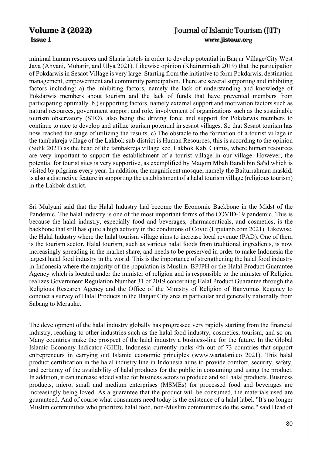minimal human resources and Sharia hotels in order to develop potential in Banjar Village/City West Java (Ahyani, Muharir, and Ulya 2021). Likewise opinion (Khairunnisah 2019) that the participation of Pokdarwis in Sesaot Village is very large. Starting from the initiative to form Pokdarwis, destination management, empowerment and community participation. There are several supporting and inhibiting factors including: a) the inhibiting factors, namely the lack of understanding and knowledge of Pokdarwis members about tourism and the lack of funds that have prevented members from participating optimally. b.) supporting factors, namely external support and motivation factors such as natural resources, government support and role, involvement of organizations such as the sustainable tourism observatory (STO), also being the driving force and support for Pokdarwis members to continue to race to develop and utilize tourism potential in sesaot villages. So that Sesaot tourism has now reached the stage of utilizing the results. c) The obstacle to the formation of a tourist village in the tambakreja village of the Lakbok sub-district is Human Resources, this is according to the opinion (Sidik 2021) as the head of the tambakreja village kec. Lakbok Kab. Ciamis, where human resources are very important to support the establishment of a tourist village in our village. However, the potential for tourist sites is very supportive, as exemplified by Maqom Mbah Bandi bin Sa'id which is visited by pilgrims every year. In addition, the magnificent mosque, namely the Baiturrahman maskid, is also a distinctive feature in supporting the establishment of a halal tourism village (religious tourism) in the Lakbok district.

Sri Mulyani said that the Halal Industry had become the Economic Backbone in the Midst of the Pandemic. The halal industry is one of the most important forms of the COVID-19 pandemic. This is because the halal industry, especially food and beverages, pharmaceuticals, and cosmetics, is the backbone that still has quite a high activity in the conditions of Covid (Liputan6.com 2021). Likewise, the Halal Industry where the halal tourism village aims to increase local revenue (PAD). One of them is the tourism sector. Halal tourism, such as various halal foods from traditional ingredients, is now increasingly spreading in the market share, and needs to be preserved in order to make Indonesia the largest halal food industry in the world. This is the importance of strengthening the halal food industry in Indonesia where the majority of the population is Muslim. BPJPH or the Halal Product Guarantee Agency which is located under the minister of religion and is responsible to the minister of Religion realizes Government Regulation Number 31 of 2019 concerning Halal Product Guarantee through the Religious Research Agency and the Office of the Ministry of Religion of Banyumas Regency to conduct a survey of Halal Products in the Banjar City area in particular and generally nationally from Sabang to Merauke.

The development of the halal industry globally has progressed very rapidly starting from the financial industry, reaching to other industries such as the halal food industry, cosmetics, tourism, and so on. Many countries make the prospect of the halal industry a business-line for the future. In the Global Islamic Economy Indicator (GIEI), Indonesia currently ranks 4th out of 73 countries that support entrepreneurs in carrying out Islamic economic principles (www.wartatani.co 2021). This halal product certification in the halal industry line in Indonesia aims to provide comfort, security, safety, and certainty of the availability of halal products for the public in consuming and using the product. In addition, it can increase added value for business actors to produce and sell halal products. Business products, micro, small and medium enterprises (MSMEs) for processed food and beverages are increasingly being loved. As a guarantee that the product will be consumed, the materials used are guaranteed. And of course what consumers need today is the existence of a halal label. "It's no longer Muslim communities who prioritize halal food, non-Muslim communities do the same," said Head of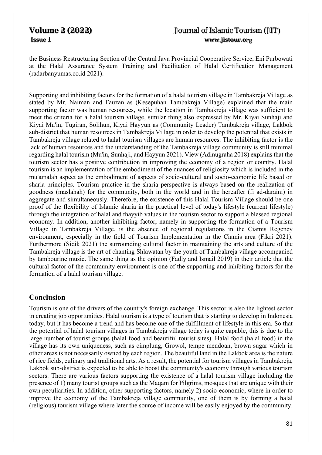the Business Restructuring Section of the Central Java Provincial Cooperative Service, Eni Purbowati at the Halal Assurance System Training and Facilitation of Halal Certification Management (radarbanyumas.co.id 2021).

Supporting and inhibiting factors for the formation of a halal tourism village in Tambakreja Village as stated by Mr. Naiman and Fauzan as (Kesepuhan Tambakreja Village) explained that the main supporting factor was human resources, while the location in Tambakreja village was sufficient to meet the criteria for a halal tourism village, similar thing also expressed by Mr. Kiyai Sunhaji and Kiyai Mu'in, Tugiran, Solihun, Kiyai Hayyun as (Community Leader) Tambakreja village, Lakbok sub-district that human resources in Tambakreja Village in order to develop the potential that exists in Tambakreja village related to halal tourism villages are human resources. The inhibiting factor is the lack of human resources and the understanding of the Tambakreja village community is still minimal regarding halal tourism (Mu'in, Sunhaji, and Hayyun 2021). View (Adinugraha 2018) explains that the tourism sector has a positive contribution in improving the economy of a region or country. Halal tourism is an implementation of the embodiment of the nuances of religiosity which is included in the mu'amalah aspect as the embodiment of aspects of socio-cultural and socio-economic life based on sharia principles. Tourism practice in the sharia perspective is always based on the realization of goodness (maslahah) for the community, both in the world and in the hereafter (fi ad-daraini) in aggregate and simultaneously. Therefore, the existence of this Halal Tourism Village should be one proof of the flexibility of Islamic sharia in the practical level of today's lifestyle (current lifestyle) through the integration of halal and thayyib values in the tourism sector to support a blessed regional economy. In addition, another inhibiting factor, namely in supporting the formation of a Tourism Village in Tambakreja Village, is the absence of regional regulations in the Ciamis Regency environment, especially in the field of Tourism Implementation in the Ciamis area (Fikri 2021). Furthermore (Sidik 2021) the surrounding cultural factor in maintaining the arts and culture of the Tambakreja village is the art of chanting Shlawatan by the youth of Tambakreja village accompanied by tambourine music. The same thing as the opinion (Fadly and Ismail 2019) in their article that the cultural factor of the community environment is one of the supporting and inhibiting factors for the formation of a halal tourism village.

## **Conclusion**

Tourism is one of the drivers of the country's foreign exchange. This sector is also the lightest sector in creating job opportunities. Halal tourism is a type of tourism that is starting to develop in Indonesia today, but it has become a trend and has become one of the fulfillment of lifestyle in this era. So that the potential of halal tourism villages in Tambakreja village today is quite capable, this is due to the large number of tourist groups (halal food and beautiful tourist sites). Halal food (halal food) in the village has its own uniqueness, such as cimplung, Growol, tempe mendoan, brown sugar which in other areas is not necessarily owned by each region. The beautiful land in the Lakbok area is the nature of rice fields, culinary and traditional arts. As a result, the potential for tourism villages in Tambakreja, Lakbok sub-district is expected to be able to boost the community's economy through various tourism sectors. There are various factors supporting the existence of a halal tourism village including the presence of 1) many tourist groups such as the Maqam for Pilgrims, mosques that are unique with their own peculiarities. In addition, other supporting factors, namely 2) socio-economic, where in order to improve the economy of the Tambakreja village community, one of them is by forming a halal (religious) tourism village where later the source of income will be easily enjoyed by the community.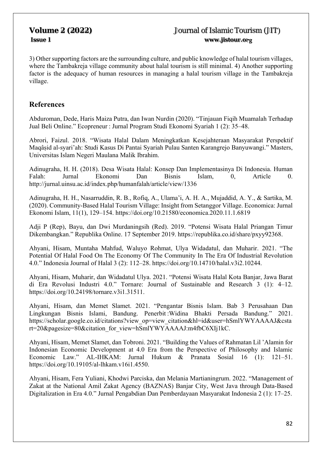3) Other supporting factors are the surrounding culture, and public knowledge of halal tourism villages, where the Tambakreja village community about halal tourism is still minimal. 4) Another supporting factor is the adequacy of human resources in managing a halal tourism village in the Tambakreja village.

## **References**

Abduroman, Dede, Haris Maiza Putra, dan Iwan Nurdin (2020). "Tinjauan Fiqih Muamalah Terhadap Jual Beli Online." Ecopreneur : Jurnal Program Studi Ekonomi Syariah 1 (2): 35–48.

Abrori, Faizul. 2018. "Wisata Halal Dalam Meningkatkan Kesejahteraan Masyarakat Perspektif Maqâṣid al-syari'ah: Studi Kasus Di Pantai Syariah Pulau Santen Karangrejo Banyuwangi." Masters, Universitas Islam Negeri Maulana Malik Ibrahim.

Adinugraha, H. H. (2018). Desa Wisata Halal: Konsep Dan Implementasinya Di Indonesia. Human Falah: Jurnal Ekonomi Dan Bisnis Islam, 0, Article 0. http://jurnal.uinsu.ac.id/index.php/humanfalah/article/view/1336

Adinugraha, H. H., Nasarruddin, R. B., Rofiq, A., Ulama'i, A. H. A., Mujaddid, A. Y., & Sartika, M. (2020). Community-Based Halal Tourism Village: Insight from Setanggor Village. Economica: Jurnal Ekonomi Islam, 11(1), 129–154. https://doi.org/10.21580/economica.2020.11.1.6819

Adji P (Rep), Bayu, dan Dwi Murdaningsih (Red). 2019. "Potensi Wisata Halal Priangan Timur Dikembangkan." Republika Online. 17 September 2019. https://republika.co.id/share/pxyy92368.

Ahyani, Hisam, Muntaha Mahfud, Waluyo Rohmat, Ulya Widadatul, dan Muharir. 2021. "The Potential Of Halal Food On The Economy Of The Community In The Era Of Industrial Revolution 4.0." Indonesia Journal of Halal 3 (2): 112–28. https://doi.org/10.14710/halal.v3i2.10244.

Ahyani, Hisam, Muharir, dan Widadatul Ulya. 2021. "Potensi Wisata Halal Kota Banjar, Jawa Barat di Era Revolusi Industri 4.0." Tornare: Journal of Sustainable and Research 3 (1): 4–12. https://doi.org/10.24198/tornare.v3i1.31511.

Ahyani, Hisam, dan Memet Slamet. 2021. "Pengantar Bisnis Islam. Bab 3 Perusahaan Dan Lingkungan Bisnis Islami, Bandung. Penerbit :Widina Bhakti Persada Bandung." 2021. https://scholar.google.co.id/citations?view\_op=view\_citation&hl=id&user=hSmlYWYAAAAJ&csta rt=20&pagesize=80&citation\_for\_view=hSmlYWYAAAAJ:m4fbC6XIj1kC.

Ahyani, Hisam, Memet Slamet, dan Tobroni. 2021. "Building the Values of Rahmatan Lil 'Alamin for Indonesian Economic Development at 4.0 Era from the Perspective of Philosophy and Islamic Economic Law." AL-IHKAM: Jurnal Hukum & Pranata Sosial 16 (1): 121–51. https://doi.org/10.19105/al-lhkam.v16i1.4550.

Ahyani, Hisam, Fera Yuliani, Khodwi Parciska, dan Melania Martianingrum. 2022. "Management of Zakat at the National Amil Zakat Agency (BAZNAS) Banjar City, West Java through Data-Based Digitalization in Era 4.0." Jurnal Pengabdian Dan Pemberdayaan Masyarakat Indonesia 2 (1): 17–25.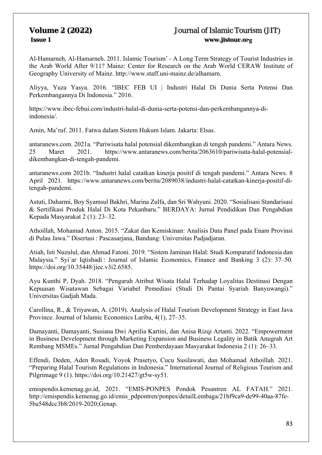Al-Hamarneh, Al-Hamarneh. 2011. Islamic Tourism' - A Long Term Strategy of Tourist Industries in the Arab World After 9/11? Mainz: Center for Research on the Arab World CERAW Institute of Geography University of Mainz. http://www.staff.uni-mainz.de/alhamarn.

Aliyya, Yuza Yasya. 2016. "IBEC FEB UI | Industri Halal Di Dunia Serta Potensi Dan Perkembangannya Di Indonesia." 2016.

https://www.ibec-febui.com/industri-halal-di-dunia-serta-potensi-dan-perkembangannya-diindonesia/.

Amin, Ma'ruf. 2011. Fatwa dalam Sistem Hukum Islam. Jakarta: Elsas.

antaranews.com. 2021a. "Pariwisata halal potensial dikembangkan di tengah pandemi." Antara News. 25 Maret 2021. https://www.antaranews.com/berita/2063610/pariwisata-halal-potensialdikembangkan-di-tengah-pandemi.

antaranews.com 2021b. "Industri halal catatkan kinerja positif di tengah pandemi." Antara News. 8 April 2021. https://www.antaranews.com/berita/2089038/industri-halal-catatkan-kinerja-positif-ditengah-pandemi.

Astuti, Daharmi, Boy Syamsul Bakhri, Marina Zulfa, dan Sri Wahyuni. 2020. "Sosialisasi Standarisasi & Sertifikasi Produk Halal Di Kota Pekanbaru." BERDAYA: Jurnal Pendidikan Dan Pengabdian Kepada Masyarakat 2 (1): 23–32.

Athoillah, Mohamad Anton. 2015. "Zakat dan Kemiskinan: Analisis Data Panel pada Enam Provinsi di Pulau Jawa." Disertasi : Pascasarjana, Bandung: Universitas Padjadjaran.

Atiah, Isti Nuzulul, dan Ahmad Fatoni. 2019. "Sistem Jaminan Halal: Studi Komparatif Indonesia dan Malaysia." Syi`ar Iqtishadi : Journal of Islamic Economics, Finance and Banking 3 (2): 37–50. https://doi.org/10.35448/jiec.v3i2.6585.

Ayu Kunthi P, Dyah. 2018. "Pengaruh Atribut Wisata Halal Terhadap Loyalitas Destinasi Dengan Kepuasan Wisatawan Sebagai Variabel Pemediasi (Studi Di Pantai Syariah Banyuwangi)." Universitas Gadjah Mada.

Carollina, R., & Triyawan, A. (2019). Analysis of Halal Tourism Development Strategy in East Java Province. Journal of Islamic Economics Lariba, 4(1), 27–35.

Damayanti, Damayanti, Susiana Dwi Aprilia Kartini, dan Anisa Rizqi Artanti. 2022. "Empowerment in Business Development through Marketing Expansion and Business Legality in Batik Anugrah Art Rembang MSMEs." Jurnal Pengabdian Dan Pemberdayaan Masyarakat Indonesia 2 (1): 26–33.

Effendi, Deden, Aden Rosadi, Yoyok Prasetyo, Cucu Susilawati, dan Mohamad Athoillah. 2021. "Preparing Halal Tourism Regulations in Indonesia." International Journal of Religious Tourism and Pilgrimage 9 (1). https://doi.org/10.21427/gt5w-sy51.

emispendis.kemenag.go.id, 2021. "EMIS-PONPES Pondok Pesantren AL FATAH." 2021. http://emispendis.kemenag.go.id/emis\_pdpontren/ponpes/detailLembaga/21bf9ca9-de99-40aa-87fe-5ba548dcc3b8/2019-2020;Genap.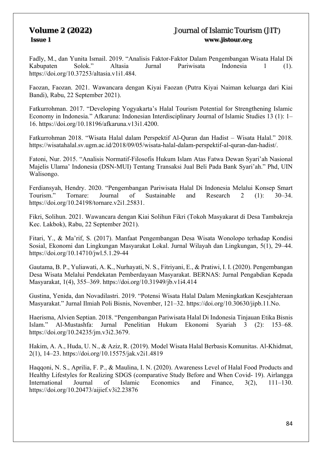Fadly, M., dan Yunita Ismail. 2019. "Analisis Faktor-Faktor Dalam Pengembangan Wisata Halal Di Kabupaten Solok." Altasia Jurnal Pariwisata Indonesia 1 (1). https://doi.org/10.37253/altasia.v1i1.484.

Faozan, Faozan. 2021. Wawancara dengan Kiyai Faozan (Putra Kiyai Naiman keluarga dari Kiai Bandi), Rabu, 22 September 2021).

Fatkurrohman. 2017. "Developing Yogyakarta's Halal Tourism Potential for Strengthening Islamic Economy in Indonesia." Afkaruna: Indonesian Interdisciplinary Journal of Islamic Studies 13 (1): 1– 16. https://doi.org/10.18196/afkaruna.v13i1.4200.

Fatkurrohman 2018. "Wisata Halal dalam Perspektif Al-Quran dan Hadist – Wisata Halal." 2018. https://wisatahalal.sv.ugm.ac.id/2018/09/05/wisata-halal-dalam-perspektif-al-quran-dan-hadist/.

Fatoni, Nur. 2015. "Analisis Normatif-Filosofis Hukum Islam Atas Fatwa Dewan Syari'ah Nasional Majelis Ulama' Indonesia (DSN-MUI) Tentang Transaksi Jual Beli Pada Bank Syari'ah." Phd, UIN Walisongo.

Ferdiansyah, Hendry. 2020. "Pengembangan Pariwisata Halal Di Indonesia Melalui Konsep Smart Tourism." Tornare: Journal of Sustainable and Research 2 (1): 30–34. https://doi.org/10.24198/tornare.v2i1.25831.

Fikri, Solihun. 2021. Wawancara dengan Kiai Solihun Fikri (Tokoh Masyakarat di Desa Tambakreja Kec. Lakbok), Rabu, 22 September 2021).

Fitari, Y., & Ma'rif, S. (2017). Manfaat Pengembangan Desa Wisata Wonolopo terhadap Kondisi Sosial, Ekonomi dan Lingkungan Masyarakat Lokal. Jurnal Wilayah dan Lingkungan, 5(1), 29–44. https://doi.org/10.14710/jwl.5.1.29-44

Gautama, B. P., Yuliawati, A. K., Nurhayati, N. S., Fitriyani, E., & Pratiwi, I. I. (2020). Pengembangan Desa Wisata Melalui Pendekatan Pemberdayaan Masyarakat. BERNAS: Jurnal Pengabdian Kepada Masyarakat, 1(4), 355–369. https://doi.org/10.31949/jb.v1i4.414

Gustina, Yenida, dan Novadilastri. 2019. "Potensi Wisata Halal Dalam Meningkatkan Kesejahteraan Masyarakat." Jurnal Ilmiah Poli Bisnis, November, 121–32. https://doi.org/10.30630/jipb.11.No.

Haerisma, Alvien Septian. 2018. "Pengembangan Pariwisata Halal Di Indonesia Tinjauan Etika Bisnis Islam." Al-Mustashfa: Jurnal Penelitian Hukum Ekonomi Syariah 3 (2): 153–68. https://doi.org/10.24235/jm.v3i2.3679.

Hakim, A. A., Huda, U. N., & Aziz, R. (2019). Model Wisata Halal Berbasis Komunitas. Al-Khidmat, 2(1), 14–23. https://doi.org/10.15575/jak.v2i1.4819

Haqqoni, N. S., Aprilia, F. P., & Maulina, I. N. (2020). Awareness Level of Halal Food Products and Healthy Lifestyles for Realizing SDGS (comparative Study Before and When Covid- 19). Airlangga International Journal of Islamic Economics and Finance, 3(2), 111–130. https://doi.org/10.20473/aijief.v3i2.23876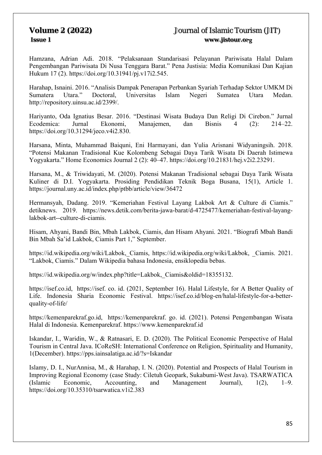Hamzana, Adrian Adi. 2018. "Pelaksanaan Standarisasi Pelayanan Pariwisata Halal Dalam Pengembangan Pariwisata Di Nusa Tenggara Barat." Pena Justisia: Media Komunikasi Dan Kajian Hukum 17 (2). https://doi.org/10.31941/pj.v17i2.545.

Harahap, Isnaini. 2016. "Analisis Dampak Penerapan Perbankan Syariah Terhadap Sektor UMKM Di Sumatera Utara." Doctoral, Universitas Islam Negeri Sumatea Utara Medan. http://repository.uinsu.ac.id/2399/.

Hariyanto, Oda Ignatius Besar. 2016. "Destinasi Wisata Budaya Dan Religi Di Cirebon." Jurnal Ecodemica: Jurnal Ekonomi, Manajemen, dan Bisnis 4 (2): 214–22. https://doi.org/10.31294/jeco.v4i2.830.

Harsana, Minta, Muhammad Baiquni, Eni Harmayani, dan Yulia Arisnani Widyaningsih. 2018. "Potensi Makanan Tradisional Kue Kolombeng Sebagai Daya Tarik Wisata Di Daerah Istimewa Yogyakarta." Home Economics Journal 2 (2): 40–47. https://doi.org/10.21831/hej.v2i2.23291.

Harsana, M., & Triwidayati, M. (2020). Potensi Makanan Tradisional sebagai Daya Tarik Wisata Kuliner di D.I. Yogyakarta. Prosiding Pendidikan Teknik Boga Busana, 15(1), Article 1. https://journal.uny.ac.id/index.php/ptbb/article/view/36472

Hermansyah, Dadang. 2019. "Kemeriahan Festival Layang Lakbok Art & Culture di Ciamis." detiknews. 2019. https://news.detik.com/berita-jawa-barat/d-4725477/kemeriahan-festival-layanglakbok-art--culture-di-ciamis.

Hisam, Ahyani, Bandi Bin, Mbah Lakbok, Ciamis, dan Hisam Ahyani. 2021. "Biografi Mbah Bandi Bin Mbah Sa'id Lakbok, Ciamis Part 1," September.

https://id.wikipedia.org/wiki/Lakbok,\_Ciamis, https://id.wikipedia.org/wiki/Lakbok, \_Ciamis. 2021. "Lakbok, Ciamis." Dalam Wikipedia bahasa Indonesia, ensiklopedia bebas.

https://id.wikipedia.org/w/index.php?title=Lakbok, Ciamis&oldid=18355132.

https://isef.co.id, https://isef. co. id. (2021, September 16). Halal Lifestyle, for A Better Quality of Life. Indonesia Sharia Economic Festival. https://isef.co.id/blog-en/halal-lifestyle-for-a-betterquality-of-life/

https://kemenparekraf.go.id, https://kemenparekraf. go. id. (2021). Potensi Pengembangan Wisata Halal di Indonesia. Kemenparekraf. https://www.kemenparekraf.id

Iskandar, I., Waridin, W., & Ratnasari, E. D. (2020). The Political Economic Perspective of Halal Tourism in Central Java. ICoReSH: International Conference on Religion, Spirituality and Humanity, 1(December). https://pps.iainsalatiga.ac.id/?s=Iskandar

Islamy, D. I., NurAnnisa, M., & Harahap, I. N. (2020). Potential and Prospects of Halal Tourism in Improving Regional Economy (case Study: Ciletuh Geopark, Sukabumi-West Java). TSARWATICA (Islamic Economic, Accounting, and Management Journal), 1(2), 1–9. https://doi.org/10.35310/tsarwatica.v1i2.383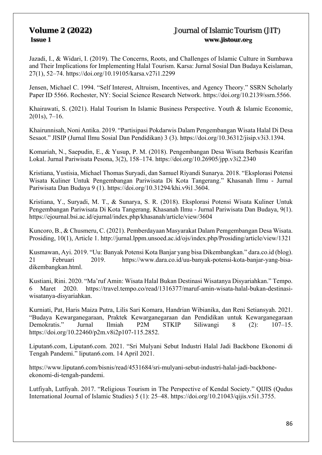Jazadi, I., & Widari, I. (2019). The Concerns, Roots, and Challenges of Islamic Culture in Sumbawa and Their Implications for Implementing Halal Tourism. Karsa: Jurnal Sosial Dan Budaya Keislaman, 27(1), 52–74. https://doi.org/10.19105/karsa.v27i1.2299

Jensen, Michael C. 1994. "Self Interest, Altruism, Incentives, and Agency Theory." SSRN Scholarly Paper ID 5566. Rochester, NY: Social Science Research Network. https://doi.org/10.2139/ssrn.5566.

Khairawati, S. (2021). Halal Tourism In Islamic Business Perspective. Youth & Islamic Economic, 2(01s), 7–16.

Khairunnisah, Noni Antika. 2019. "Partisipasi Pokdarwis Dalam Pengembangan Wisata Halal Di Desa Sesaot." JISIP (Jurnal Ilmu Sosial Dan Pendidikan) 3 (3). https://doi.org/10.36312/jisip.v3i3.1394.

Komariah, N., Saepudin, E., & Yusup, P. M. (2018). Pengembangan Desa Wisata Berbasis Kearifan Lokal. Jurnal Pariwisata Pesona, 3(2), 158–174. https://doi.org/10.26905/jpp.v3i2.2340

Kristiana, Yustisia, Michael Thomas Suryadi, dan Samuel Riyandi Sunarya. 2018. "Eksplorasi Potensi Wisata Kuliner Untuk Pengembangan Pariwisata Di Kota Tangerang." Khasanah Ilmu - Jurnal Pariwisata Dan Budaya 9 (1). https://doi.org/10.31294/khi.v9i1.3604.

Kristiana, Y., Suryadi, M. T., & Sunarya, S. R. (2018). Eksplorasi Potensi Wisata Kuliner Untuk Pengembangan Pariwisata Di Kota Tangerang. Khasanah Ilmu - Jurnal Pariwisata Dan Budaya, 9(1). https://ejournal.bsi.ac.id/ejurnal/index.php/khasanah/article/view/3604

Kuncoro, B., & Chusmeru, C. (2021). Pemberdayaan Masyarakat Dalam Pemgembangan Desa Wisata. Prosiding, 10(1), Article 1. http://jurnal.lppm.unsoed.ac.id/ojs/index.php/Prosiding/article/view/1321

Kusmawan, Ayi. 2019. "Uu: Banyak Potensi Kota Banjar yang bisa Dikembangkan." dara.co.id (blog). 21 Februari 2019. https://www.dara.co.id/uu-banyak-potensi-kota-banjar-yang-bisadikembangkan.html.

Kustiani, Rini. 2020. "Ma'ruf Amin: Wisata Halal Bukan Destinasi Wisatanya Disyariahkan." Tempo. 6 Maret 2020. https://travel.tempo.co/read/1316377/maruf-amin-wisata-halal-bukan-destinasiwisatanya-disyariahkan.

Kurniati, Pat, Haris Maiza Putra, Lilis Sari Komara, Handrian Wibianika, dan Reni Setiansyah. 2021. "Budaya Kewarganegaraan, Praktek Kewarganegaraan dan Pendidikan untuk Kewarganegaraan Demokratis." Jurnal Ilmiah P2M STKIP Siliwangi 8 (2): 107–15. https://doi.org/10.22460/p2m.v8i2p107-115.2852.

Liputan6.com, Liputan6.com. 2021. "Sri Mulyani Sebut Industri Halal Jadi Backbone Ekonomi di Tengah Pandemi." liputan6.com. 14 April 2021.

https://www.liputan6.com/bisnis/read/4531684/sri-mulyani-sebut-industri-halal-jadi-backboneekonomi-di-tengah-pandemi.

Lutfiyah, Lutfiyah. 2017. "Religious Tourism in The Perspective of Kendal Society." QIJIS (Qudus International Journal of Islamic Studies) 5 (1): 25–48. https://doi.org/10.21043/qijis.v5i1.3755.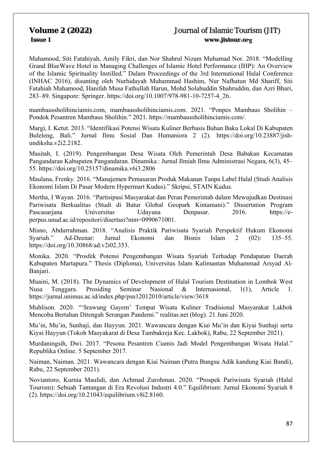Mahamood, Siti Fatahiyah, Amily Fikri, dan Nor Shahrul Nizam Muhamad Nor. 2018. "Modelling Grand BlueWave Hotel in Managing Challenges of Islamic Hotel Performance (IHP): An Overview of the Islamic Spirituality Instilled." Dalam Proceedings of the 3rd International Halal Conference (INHAC 2016), disunting oleh Nurhidayah Muhammad Hashim, Nur Nafhatun Md Shariff, Siti Fatahiah Mahamood, Hanifah Musa Fathullah Harun, Mohd Solahuddin Shahruddin, dan Azri Bhari, 283–89. Singapore: Springer. https://doi.org/10.1007/978-981-10-7257-4\_26.

mambaussholihinciamis.com, mambaussholihinciamis.com. 2021. "Ponpes Mambaus Sholihin – Pondok Pesantren Mambaus Sholihin." 2021. https://mambaussholihinciamis.com/.

Margi, I. Ketut. 2013. "Identifikasi Potensi Wisata Kuliner Berbasis Bahan Baku Lokal Di Kabupaten Buleleng, Bali." Jurnal Ilmu Sosial Dan Humaniora 2 (2). https://doi.org/10.23887/jishundiksha.v2i2.2182.

Masitah, I. (2019). Pengembangan Desa Wisata Oleh Pemerintah Desa Babakan Kecamatan Pangandaran Kabupaten Pangandaran. Dinamika : Jurnal Ilmiah Ilmu Administrasi Negara, 6(3), 45– 55. https://doi.org/10.25157/dinamika.v6i3.2806

Maulana, Frenky. 2016. "Manajemen Pemasaran Produk Makanan Tanpa Label Halal (Studi Analisis Ekonomi Islam Di Pasar Modern Hypermart Kudus)." Skripsi, STAIN Kudus.

Mertha, I Wayan. 2016. "Partisipasi Masyarakat dan Peran Pemerintah dalam Mewujudkan Destinasi Pariwisata Berkualitas (Studi di Batur Global Geopark Kintamani)." Dissertation Program Pascasarjana Universitas Udayana Denpasar. 2016. https://eperpus.unud.ac.id/repositori/disertasi?nim=0990671001.

Misno, Abdurrahman. 2018. "Analisis Praktik Pariwisata Syariah Perspektif Hukum Ekonomi Syariah." Ad-Deenar: Jurnal Ekonomi dan Bisnis Islam 2 (02): 135–55. https://doi.org/10.30868/ad.v2i02.353.

Monika. 2020. "Prosfek Potensi Pengembangan Wisata Syariah Terhadap Pendapatan Daerah Kabupaten Martapura." Thesis (Diploma), Universitas Islam Kalimantan Muhammad Arsyad Al-Banjari.

Muaini, M. (2018). The Dynamics of Development of Halal Tourism Destination in Lombok West Nusa Tenggara. Prosiding Seminar Nasional & Internasional, 1(1), Article 1. https://jurnal.unimus.ac.id/index.php/psn12012010/article/view/3618

Muhlison. 2020. "'Srawung Gayem' Tempat Wisata Kuliner Tradisional Masyarakat Lakbok Mencoba Bertahan Ditengah Serangan Pandemi." realitas.net (blog). 21 Juni 2020.

Mu'in, Mu'in, Sunhaji, dan Hayyun. 2021. Wawancara dengan Kiai Mu'in dan Kiyai Sunhaji serta Kiyai Hayyun (Tokoh Masyakarat di Desa Tambakreja Kec. Lakbok), Rabu, 22 September 2021).

Murdaningsih, Dwi. 2017. "Pesona Pesantren Ciamis Jadi Model Pengembangan Wisata Halal." Republika Online. 5 September 2017.

Naiman, Naiman. 2021. Wawancara dengan Kiai Naiman (Putra Bungsu Adik kandung Kiai Bandi), Rabu, 22 September 2021).

Noviantoro, Kurnia Maulidi, dan Achmad Zurohman. 2020. "Prospek Pariwisata Syariah (Halal Tourism): Sebuah Tantangan di Era Revolusi Industri 4.0." Equilibrium: Jurnal Ekonomi Syariah 8 (2). https://doi.org/10.21043/equilibrium.v8i2.8160.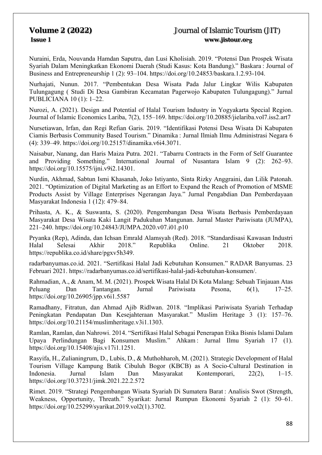Nuraini, Erda, Nouvanda Hamdan Saputra, dan Lusi Kholisiah. 2019. "Potensi Dan Prospek Wisata Syariah Dalam Meningkatkan Ekonomi Daerah (Studi Kasus: Kota Bandung)." Baskara : Journal of Business and Entrepreneurship 1 (2): 93–104. https://doi.org/10.24853/baskara.1.2.93-104.

Nurhajati, Nunun. 2017. "Pembentukan Desa Wisata Pada Jalur Lingkar Wilis Kabupaten Tulungagung ( Studi Di Desa Gambiran Kecamatan Pagerwojo Kabupaten Tulungagung)." Jurnal PUBLICIANA 10 (1): 1–22.

Nurozi, A. (2021). Design and Potential of Halal Tourism Industry in Yogyakarta Special Region. Journal of Islamic Economics Lariba, 7(2), 155–169. https://doi.org/10.20885/jielariba.vol7.iss2.art7

Nursetiawan, Irfan, dan Regi Refian Garis. 2019. "Identifikasi Potensi Desa Wisata Di Kabupaten Ciamis Berbasis Community Based Tourism." Dinamika : Jurnal Ilmiah Ilmu Administrasi Negara 6 (4): 339–49. https://doi.org/10.25157/dinamika.v6i4.3071.

Naisabur, Nanang, dan Haris Maiza Putra. 2021. "Tabarru Contracts in the Form of Self Guarantee and Providing Something." International Journal of Nusantara Islam 9 (2): 262–93. https://doi.org/10.15575/ijni.v9i2.14301.

Nurdin, Akhmad, Sabtun Ismi Khasanah, Joko Istiyanto, Sinta Rizky Anggraini, dan Lilik Patonah. 2021. "Optimization of Digital Marketing as an Effort to Expand the Reach of Promotion of MSME Products Assist by Village Enterprises Ngerangan Jaya." Jurnal Pengabdian Dan Pemberdayaan Masyarakat Indonesia 1 (12): 479–84.

Prihasta, A. K., & Suswanta, S. (2020). Pengembangan Desa Wisata Berbasis Pemberdayaan Masyarakat Desa Wisata Kaki Langit Padukuhan Mangunan. Jurnal Master Pariwisata (JUMPA), 221–240. https://doi.org/10.24843/JUMPA.2020.v07.i01.p10

Pryanka (Rep), Adinda, dan Ichsan Emrald Alamsyah (Red). 2018. "Standardisasi Kawasan Industri Halal Selesai Akhir 2018." Republika Online. 21 Oktober 2018. https://republika.co.id/share/pgxv5h349.

radarbanyumas.co.id. 2021. "Sertifikasi Halal Jadi Kebutuhan Konsumen." RADAR Banyumas. 23 Februari 2021. https://radarbanyumas.co.id/sertifikasi-halal-jadi-kebutuhan-konsumen/.

Rahmadian, A., & Anam, M. M. (2021). Prospek Wisata Halal Di Kota Malang: Sebuah Tinjauan Atas Peluang Dan Tantangan. Jurnal Pariwisata Pesona, 6(1), 17–25. https://doi.org/10.26905/jpp.v6i1.5587

Ramadhany, Fitratun, dan Ahmad Ajib Ridlwan. 2018. "Implikasi Pariwisata Syariah Terhadap Peningkatan Pendapatan Dan Kesejahteraan Masyarakat." Muslim Heritage 3 (1): 157–76. https://doi.org/10.21154/muslimheritage.v3i1.1303.

Ramlan, Ramlan, dan Nahrowi. 2014. "Sertifikasi Halal Sebagai Penerapan Etika Bisnis Islami Dalam Upaya Perlindungan Bagi Konsumen Muslim." Ahkam : Jurnal Ilmu Syariah 17 (1). https://doi.org/10.15408/ajis.v17i1.1251.

Rasyifa, H., Zulianingrum, D., Lubis, D., & Muthohharoh, M. (2021). Strategic Development of Halal Tourism Village Kampung Batik Cibuluh Bogor (KBCB) as A Socio-Cultural Destination in Indonesia. Jurnal Islam Dan Masyarakat Kontemporari, 22(2), 1–15. https://doi.org/10.37231/jimk.2021.22.2.572

Rimet. 2019. "Strategi Pengembangan Wisata Syariah Di Sumatera Barat : Analisis Swot (Strength, Weakness, Opportunity, Threath." Syarikat: Jurnal Rumpun Ekonomi Syariah 2 (1): 50–61. https://doi.org/10.25299/syarikat.2019.vol2(1).3702.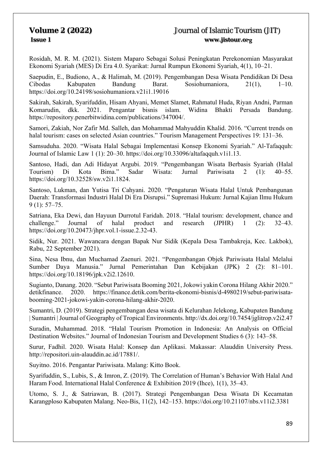Rosidah, M. R. M. (2021). Sistem Maparo Sebagai Solusi Peningkatan Perekonomian Masyarakat Ekonomi Syariah (MES) Di Era 4.0. Syarikat: Jurnal Rumpun Ekonomi Syariah, 4(1), 10–21.

Saepudin, E., Budiono, A., & Halimah, M. (2019). Pengembangan Desa Wisata Pendidikan Di Desa Cibodas Kabupaten Bandung Barat. Sosiohumaniora, 21(1), 1–10. https://doi.org/10.24198/sosiohumaniora.v21i1.19016

Sakirah, Sakirah, Syarifuddin, Hisam Ahyani, Memet Slamet, Rahmatul Huda, Riyan Andni, Parman Komarudin, dkk. 2021. Pengantar bisnis islam. Widina Bhakti Persada Bandung. https://repository.penerbitwidina.com/publications/347004/.

Samori, Zakiah, Nor Zafir Md. Salleh, dan Mohammad Mahyuddin Khalid. 2016. "Current trends on halal tourism: cases on selected Asian countries." Tourism Management Perspectives 19: 131-36.

Samsuduha. 2020. "Wisata Halal Sebagai Implementasi Konsep Ekonomi Syariah." Al-Tafaqquh: Journal of Islamic Law 1 (1): 20–30. https://doi.org/10.33096/altafaqquh.v1i1.13.

Santoso, Hadi, dan Adi Hidayat Argubi. 2019. "Pengembangan Wisata Berbasis Syariah (Halal Tourism) Di Kota Bima." Sadar Wisata: Jurnal Pariwisata 2 (1): 40–55. https://doi.org/10.32528/sw.v2i1.1824.

Santoso, Lukman, dan Yutisa Tri Cahyani. 2020. "Pengaturan Wisata Halal Untuk Pembangunan Daerah: Transformasi Industri Halal Di Era Disrupsi." Supremasi Hukum: Jurnal Kajian Ilmu Hukum 9 (1): 57–75.

Satriana, Eka Dewi, dan Hayuun Durrotul Faridah. 2018. "Halal tourism: development, chance and challenge." Journal of halal product and research (JPHR) 1 (2): 32–43. https://doi.org/10.20473/jhpr.vol.1-issue.2.32-43.

Sidik, Nur. 2021. Wawancara dengan Bapak Nur Sidik (Kepala Desa Tambakreja, Kec. Lakbok), Rabu, 22 September 2021).

Sina, Nesa Ibnu, dan Muchamad Zaenuri. 2021. "Pengembangan Objek Pariwisata Halal Melalui Jurnal Pemerintahan Dan Kebijakan (JPK) 2 (2): 81–101. https://doi.org/10.18196/jpk.v2i2.12610.

Sugianto, Danang. 2020. "Sebut Pariwisata Booming 2021, Jokowi yakin Corona Hilang Akhir 2020." detikfinance. 2020. https://finance.detik.com/berita-ekonomi-bisnis/d-4980219/sebut-pariwisatabooming-2021-jokowi-yakin-corona-hilang-akhir-2020.

Sumantri, D. (2019). Strategi pengembangan desa wisata di Kelurahan Jelekong, Kabupaten Bandung | Sumantri | Journal of Geography of Tropical Environments. http://dx.doi.org/10.7454/jglitrop.v2i2.47

Suradin, Muhammad. 2018. "Halal Tourism Promotion in Indonesia: An Analysis on Official Destination Websites." Journal of Indonesian Tourism and Development Studies 6 (3): 143–58.

Surur, Fadhil. 2020. Wisata Halal: Konsep dan Aplikasi. Makassar: Alauddin University Press. http://repositori.uin-alauddin.ac.id/17881/.

Suyitno. 2016. Pengantar Pariwisata. Malang: Kitto Book.

Syarifuddin, S., Lubis, S., & Imron, Z. (2019). The Correlation of Human's Behavior With Halal And Haram Food. International Halal Conference & Exhibition 2019 (Ihce), 1(1), 35–43.

Utomo, S. J., & Satriawan, B. (2017). Strategi Pengembangan Desa Wisata Di Kecamatan Karangploso Kabupaten Malang. Neo-Bis, 11(2), 142–153. https://doi.org/10.21107/nbs.v11i2.3381